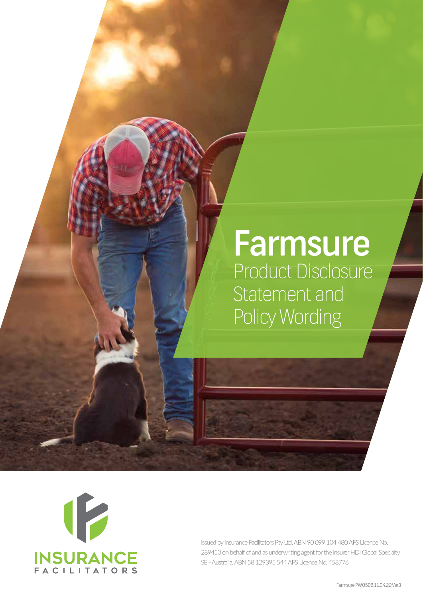# Farmsure Product Disclosure Statement and Policy Wording



Issued by Insurance Facilitators Pty Ltd, ABN 90 099 104 480 AFS Licence No. 289450 on behalf of and as underwriting agent for the insurer HDI Global Specialty SE - Australia, ABN 58 129395 544 AFS Licence No. 458776

Farmsure.PW.0506.11.04.22.Ver3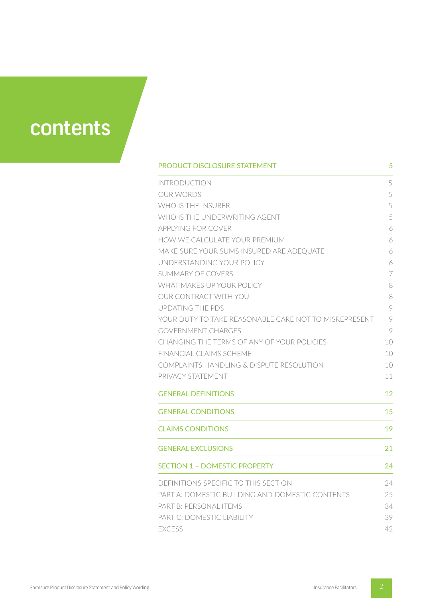

| PRODUCT DISCLOSURE STATEMENT                          | 5  |
|-------------------------------------------------------|----|
| <b>INTRODUCTION</b>                                   | 5  |
| <b>OUR WORDS</b>                                      | 5  |
| WHO IS THE INSURER                                    | 5  |
| WHO IS THE UNDERWRITING AGENT                         | 5  |
| <b>APPLYING FOR COVER</b>                             | 6  |
| HOW WE CALCULATE YOUR PREMIUM                         | 6  |
| MAKE SURE YOUR SUMS INSURED ARE ADEQUATE              | 6  |
| UNDERSTANDING YOUR POLICY                             | 6  |
| <b>SUMMARY OF COVERS</b>                              | 7  |
| WHAT MAKES UP YOUR POLICY                             | 8  |
| OUR CONTRACT WITH YOU                                 | 8  |
| <b>UPDATING THE PDS</b>                               | 9  |
| YOUR DUTY TO TAKE REASONABLE CARE NOT TO MISREPRESENT | 9  |
| <b>GOVERNMENT CHARGES</b>                             | 9  |
| CHANGING THE TERMS OF ANY OF YOUR POLICIES            | 10 |
| FINANCIAL CLAIMS SCHEME                               | 10 |
| <b>COMPLAINTS HANDLING &amp; DISPUTE RESOLUTION</b>   | 10 |
| PRIVACY STATEMENT                                     | 11 |
| <b>GENERAL DEFINITIONS</b>                            | 12 |
| <b>GENERAL CONDITIONS</b>                             | 15 |
| <b>CLAIMS CONDITIONS</b>                              | 19 |
| <b>GENERAL EXCLUSIONS</b>                             | 21 |
| <b>SECTION 1 - DOMESTIC PROPERTY</b>                  | 24 |
| DEFINITIONS SPECIFIC TO THIS SECTION                  | 24 |
| PART A: DOMESTIC BUILDING AND DOMESTIC CONTENTS       | 25 |
| PART B: PERSONAL ITEMS                                | 34 |
| PART C: DOMESTIC LIABILITY                            | 39 |
| <b>EXCESS</b>                                         | 42 |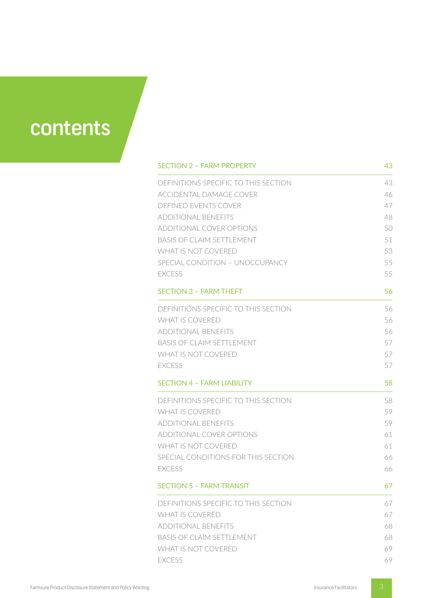

| <b>SECTION 2 - FARM PROPERTY</b>     | 43 |
|--------------------------------------|----|
| DEFINITIONS SPECIFIC TO THIS SECTION | 43 |
| ACCIDENTAL DAMAGE COVER              | 46 |
| DEFINED EVENTS COVER                 | 47 |
| ADDITIONAL BENEFITS                  | 48 |
| ADDITIONAL COVER OPTIONS             | 50 |
| <b>BASIS OF CLAIM SETTLEMENT</b>     | 51 |
| WHAT IS NOT COVERED                  | 53 |
| SPECIAL CONDITION - UNOCCUPANCY      | 55 |
| <b>FXCESS</b>                        | 55 |
| <b>SECTION 3 - FARM THEFT</b>        | 56 |
| DEFINITIONS SPECIFIC TO THIS SECTION | 56 |
| <b>WHAT IS COVERED</b>               | 56 |
| <b>ADDITIONAL BENEFITS</b>           | 56 |
| <b>BASIS OF CLAIM SETTLEMENT</b>     | 57 |
| <b>WHAT IS NOT COVERED</b>           | 57 |
| <b>EXCESS</b>                        | 57 |
| <b>SECTION 4 - FARM LIABILITY</b>    | 58 |
| DEFINITIONS SPECIFIC TO THIS SECTION | 58 |
| <b>WHAT IS COVERED</b>               | 59 |
| <b>ADDITIONAL BENEFITS</b>           | 59 |
| ADDITIONAL COVER OPTIONS             | 61 |
| <b>WHAT IS NOT COVERED</b>           | 61 |
| SPECIAL CONDITIONS FOR THIS SECTION  | 66 |
| <b>FXCESS</b>                        | 66 |
| <b>SECTION 5 - FARM TRANSIT</b>      | 67 |
| DEFINITIONS SPECIFIC TO THIS SECTION | 67 |
| <b>WHAT IS COVERED</b>               | 67 |
| <b>ADDITIONAL BENEFITS</b>           | 68 |
| <b>BASIS OF CLAIM SETTLEMENT</b>     | 68 |
| WHAT IS NOT COVERED                  | 69 |
| <b>EXCESS</b>                        | 69 |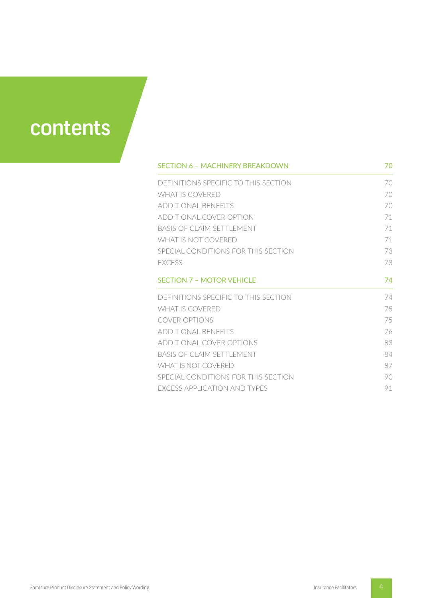

| <b>SECTION 6 - MACHINERY BREAKDOWN</b> | 70 |
|----------------------------------------|----|
| DEFINITIONS SPECIFIC TO THIS SECTION   | 70 |
| WHAT IS COVERED                        | 70 |
| ADDITIONAL BENEFITS                    | 70 |
| ADDITIONAL COVER OPTION                | 71 |
| <b>BASIS OF CLAIM SETTLEMENT</b>       | 71 |
| WHAT IS NOT COVERED                    | 71 |
| SPECIAL CONDITIONS FOR THIS SECTION    | 73 |
| <b>FXCESS</b>                          | 73 |
| <b>SECTION 7 - MOTOR VEHICLE</b>       | 74 |
| DEFINITIONS SPECIFIC TO THIS SECTION   | 74 |
| WHAT IS COVERED                        | 75 |
| COVER OPTIONS                          | 75 |
| <b>ADDITIONAL BENEFITS</b>             | 76 |
| ADDITIONAL COVER OPTIONS               | 83 |
| <b>BASIS OF CLAIM SETTLEMENT</b>       | 84 |
| WHAT IS NOT COVERED                    | 87 |
| SPECIAL CONDITIONS FOR THIS SECTION    | 90 |
| <b>EXCESS APPLICATION AND TYPES</b>    | 91 |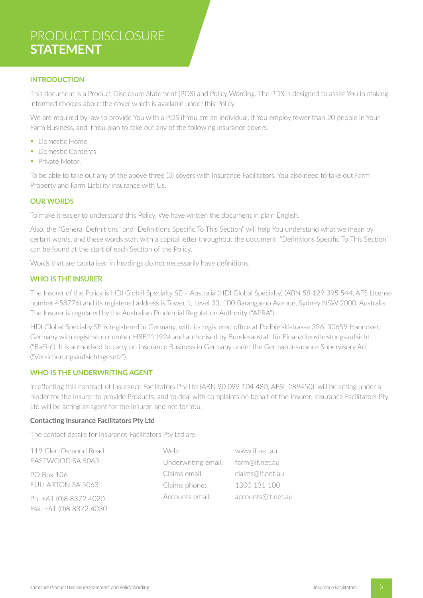# PRODUCT DISCLOSURE **STATEMENT**

# **INTRODUCTION**

This document is a Product Disclosure Statement (PDS) and Policy Wording. The PDS is designed to assist You in making informed choices about the cover which is available under this Policy.

We are required by law to provide You with a PDS if You are an individual, if You employ fewer than 20 people in Your Farm Business, and if You plan to take out any of the following insurance covers:

- § Domestic Home
- Domestic Contents
- Private Motor.

To be able to take out any of the above three (3) covers with Insurance Facilitators, You also need to take out Farm Property and Farm Liability insurance with Us.

# **OUR WORDS**

To make it easier to understand this Policy, We have written the document in plain English.

Also, the "General Definitions" and "Definitions Specific To This Section" will help You understand what we mean by certain words, and these words start with a capital letter throughout the document. "Definitions Specific To This Section" can be found at the start of each Section of the Policy.

Words that are capitalised in headings do not necessarily have definitions.

# **WHO IS THE INSURER**

The Insurer of the Policy is HDI Global Specialty SE – Australia (HDI Global Specialty) (ABN 58 129 395 544, AFS License number 458776) and its registered address is Tower 1, Level 33, 100 Barangaroo Avenue, Sydney NSW 2000, Australia. The Insurer is regulated by the Australian Prudential Regulation Authority ("APRA").

HDI Global Specialty SE is registered in Germany, with its registered office at Podbielskistrasse 396, 30659 Hannover, Germany with registraton number HRB211924 and authorised by Bundesanstalt für Finanzdienstleistungsaufsicht ("BaFin"). It is authorised to carry on insurance Business in Germany under the German Insurance Supervisory Act ("Versicherungsaufsichtsgesetz").

# **WHO IS THE UNDERWRITING AGENT**

In effecting this contract of Insurance Facilitators Pty Ltd (ABN 90 099 104 480, AFSL 289450), will be acting under a binder for the Insurer to provide Products, and to deal with complaints on behalf of the Insurer. Insurance Facilitators Pty Ltd will be acting as agent for the Insurer, and not for You.

# **Contacting Insurance Facilitators Pty Ltd**

The contact details for Insurance Facilitators Pty Ltd are:

119 Glen Osmond Road EASTWOOD SA 5063 PO Box 106 FULLARTON SA 5063 Ph: +61 (0)8 8372 4020 Fax: +61 (0)8 8372 4030 Web: Underwriting email: Claims email: Claims phone: Accounts email: www.if.net.au farm@if.net.au claims@if.net.au 1300 131 100 accounts@if.net.au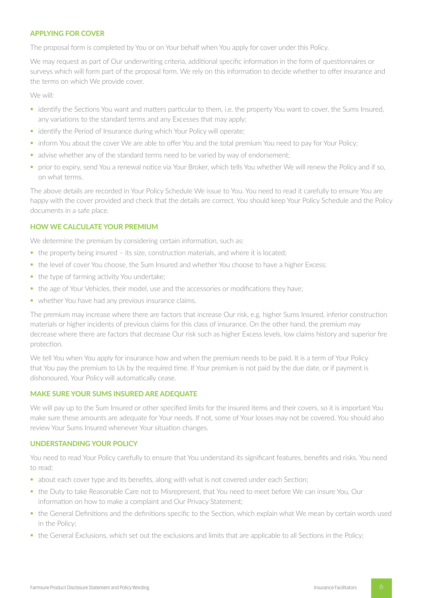# **APPLYING FOR COVER**

The proposal form is completed by You or on Your behalf when You apply for cover under this Policy.

We may request as part of Our underwriting criteria, additional specific information in the form of questionnaires or surveys which will form part of the proposal form. We rely on this information to decide whether to offer insurance and the terms on which We provide cover.

We will:

- identify the Sections You want and matters particular to them, i.e. the property You want to cover, the Sums Insured, any variations to the standard terms and any Excesses that may apply;
- identify the Period of Insurance during which Your Policy will operate;
- inform You about the cover We are able to offer You and the total premium You need to pay for Your Policy;
- advise whether any of the standard terms need to be varied by way of endorsement;
- § prior to expiry, send You a renewal notice via Your Broker, which tells You whether We will renew the Policy and if so, on what terms.

The above details are recorded in Your Policy Schedule We issue to You. You need to read it carefully to ensure You are happy with the cover provided and check that the details are correct. You should keep Your Policy Schedule and the Policy documents in a safe place.

# **HOW WE CALCULATE YOUR PREMIUM**

We determine the premium by considering certain information, such as:

- the property being insured its size, construction materials, and where it is located;
- the level of cover You choose, the Sum Insured and whether You choose to have a higher Excess;
- the type of farming activity You undertake;
- the age of Your Vehicles, their model, use and the accessories or modifications they have;
- whether You have had any previous insurance claims.

The premium may increase where there are factors that increase Our risk, e.g. higher Sums Insured, inferior construction materials or higher incidents of previous claims for this class of insurance. On the other hand, the premium may decrease where there are factors that decrease Our risk such as higher Excess levels, low claims history and superior fire protection.

We tell You when You apply for insurance how and when the premium needs to be paid. It is a term of Your Policy that You pay the premium to Us by the required time. If Your premium is not paid by the due date, or if payment is dishonoured, Your Policy will automatically cease.

# **MAKE SURE YOUR SUMS INSURED ARE ADEQUATE**

We will pay up to the Sum Insured or other specified limits for the insured items and their covers, so it is important You make sure these amounts are adequate for Your needs. If not, some of Your losses may not be covered. You should also review Your Sums Insured whenever Your situation changes.

# **UNDERSTANDING YOUR POLICY**

You need to read Your Policy carefully to ensure that You understand its significant features, benefits and risks. You need to read:

- about each cover type and its benefits, along with what is not covered under each Section;
- § the Duty to take Reasonable Care not to Misrepresent, that You need to meet before We can insure You, Our information on how to make a complaint and Our Privacy Statement;
- the General Definitions and the definitions specific to the Section, which explain what We mean by certain words used in the Policy;
- the General Exclusions, which set out the exclusions and limits that are applicable to all Sections in the Policy;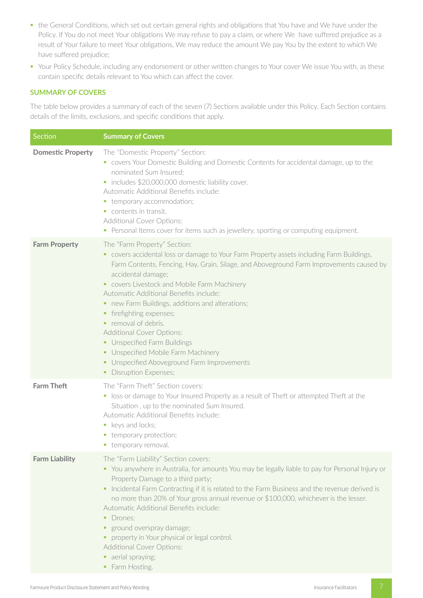- § the General Conditions, which set out certain general rights and obligations that You have and We have under the Policy. If You do not meet Your obligations We may refuse to pay a claim, or where We have suffered prejudice as a result of Your failure to meet Your obligations, We may reduce the amount We pay You by the extent to which We have suffered prejudice;
- Your Policy Schedule, including any endorsement or other written changes to Your cover We issue You with, as these contain specific details relevant to You which can affect the cover.

# **SUMMARY OF COVERS**

The table below provides a summary of each of the seven (7) Sections available under this Policy. Each Section contains details of the limits, exclusions, and specific conditions that apply.

| Section                  | <b>Summary of Covers</b>                                                                                                                                                                                                                                                                                                                                                                                                                                                                                                                                                                                                |
|--------------------------|-------------------------------------------------------------------------------------------------------------------------------------------------------------------------------------------------------------------------------------------------------------------------------------------------------------------------------------------------------------------------------------------------------------------------------------------------------------------------------------------------------------------------------------------------------------------------------------------------------------------------|
| <b>Domestic Property</b> | The "Domestic Property" Section:<br>• covers Your Domestic Building and Domestic Contents for accidental damage, up to the<br>nominated Sum Insured;<br>· includes \$20,000,000 domestic liability cover.<br>Automatic Additional Benefits include:<br>• temporary accommodation;<br>contents in transit.<br><b>Additional Cover Options:</b><br>• Personal Items cover for items such as jewellery, sporting or computing equipment.                                                                                                                                                                                   |
| <b>Farm Property</b>     | The "Farm Property" Section:<br>• covers accidental loss or damage to Your Farm Property assets including Farm Buildings,<br>Farm Contents, Fencing, Hay, Grain, Silage, and Aboveground Farm Improvements caused by<br>accidental damage;<br>• covers Livestock and Mobile Farm Machinery<br>Automatic Additional Benefits include:<br>• new Farm Buildings, additions and alterations;<br>• firefighting expenses;<br>removal of debris.<br>Additional Cover Options:<br>• Unspecified Farm Buildings<br>• Unspecified Mobile Farm Machinery<br>• Unspecified Aboveground Farm Improvements<br>• Disruption Expenses; |
| <b>Farm Theft</b>        | The "Farm Theft" Section covers:<br>• loss or damage to Your Insured Property as a result of Theft or attempted Theft at the<br>Situation, up to the nominated Sum Insured.<br>Automatic Additional Benefits include:<br>keys and locks;<br>temporary protection;<br>temporary removal.<br>ш                                                                                                                                                                                                                                                                                                                            |
| <b>Farm Liability</b>    | The "Farm Liability" Section covers:<br>• You anywhere in Australia, for amounts You may be legally liable to pay for Personal Injury or<br>Property Damage to a third party;<br>Incidental Farm Contracting if it is related to the Farm Business and the revenue derived is<br>no more than 20% of Your gross annual revenue or \$100,000, whichever is the lesser.<br>Automatic Additional Benefits include:<br>Drones:<br>٠<br>• ground overspray damage;<br>property in Your physical or legal control.<br>٠<br><b>Additional Cover Options:</b><br>• aerial spraying;<br>• Farm Hosting.                          |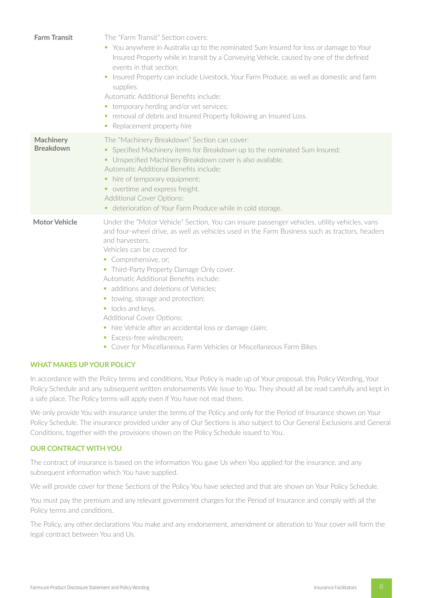| <b>Farm Transit</b>                  | The "Farm Transit" Section covers:<br>• You anywhere in Australia up to the nominated Sum Insured for loss or damage to Your<br>Insured Property while in transit by a Conveying Vehicle, caused by one of the defined<br>events in that section;<br>Insured Property can include Livestock, Your Farm Produce, as well as domestic and farm<br>supplies.<br>Automatic Additional Benefits include:<br>• temporary herding and/or vet services;<br>• removal of debris and Insured Property following an Insured Loss.<br>Replacement property hire<br>$\blacksquare$                                                                                     |
|--------------------------------------|-----------------------------------------------------------------------------------------------------------------------------------------------------------------------------------------------------------------------------------------------------------------------------------------------------------------------------------------------------------------------------------------------------------------------------------------------------------------------------------------------------------------------------------------------------------------------------------------------------------------------------------------------------------|
| <b>Machinery</b><br><b>Breakdown</b> | The "Machinery Breakdown" Section can cover:<br>Specified Machinery items for Breakdown up to the nominated Sum Insured;<br>٠<br>• Unspecified Machinery Breakdown cover is also available.<br>Automatic Additional Benefits include:<br>• hire of temporary equipment;<br>• overtime and express freight.<br><b>Additional Cover Options:</b><br>• deterioration of Your Farm Produce while in cold storage.                                                                                                                                                                                                                                             |
| <b>Motor Vehicle</b>                 | Under the "Motor Vehicle" Section, You can insure passenger vehicles, utility vehicles, vans<br>and four-wheel drive, as well as vehicles used in the Farm Business such as tractors, headers<br>and harvesters.<br>Vehicles can be covered for<br>• Comprehensive, or;<br>• Third-Party Property Damage Only cover.<br>Automatic Additional Benefits include:<br>additions and deletions of Vehicles;<br>• towing, storage and protection;<br>locks and keys.<br>Additional Cover Options:<br>• hire Vehicle after an accidental loss or damage claim;<br>Excess-free windscreen:<br>• Cover for Miscellaneous Farm Vehicles or Miscellaneous Farm Bikes |

# **WHAT MAKES UP YOUR POLICY**

In accordance with the Policy terms and conditions, Your Policy is made up of Your proposal, this Policy Wording, Your Policy Schedule and any subsequent written endorsements We issue to You. They should all be read carefully and kept in a safe place. The Policy terms will apply even if You have not read them.

We only provide You with insurance under the terms of the Policy and only for the Period of Insurance shown on Your Policy Schedule. The insurance provided under any of Our Sections is also subject to Our General Exclusions and General Conditions, together with the provisions shown on the Policy Schedule issued to You.

# **OUR CONTRACT WITH YOU**

The contract of insurance is based on the information You gave Us when You applied for the insurance, and any subsequent information which You have supplied.

We will provide cover for those Sections of the Policy You have selected and that are shown on Your Policy Schedule.

You must pay the premium and any relevant government charges for the Period of Insurance and comply with all the Policy terms and conditions.

The Policy, any other declarations You make and any endorsement, amendment or alteration to Your cover will form the legal contract between You and Us.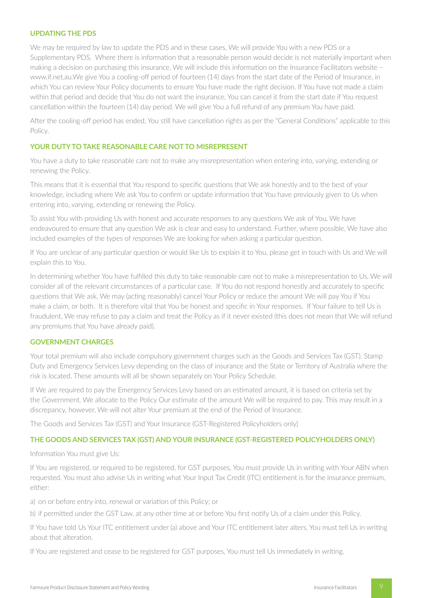# **UPDATING THE PDS**

We may be required by law to update the PDS and in these cases, We will provide You with a new PDS or a Supplementary PDS. Where there is information that a reasonable person would decide is not materially important when making a decision on purchasing this insurance, We will include this information on the Insurance Facilitators website – www.if.net.au.We give You a cooling-off period of fourteen (14) days from the start date of the Period of Insurance, in which You can review Your Policy documents to ensure You have made the right decision. If You have not made a claim within that period and decide that You do not want the insurance, You can cancel it from the start date if You request cancellation within the fourteen (14) day period. We will give You a full refund of any premium You have paid.

After the cooling-off period has ended, You still have cancellation rights as per the "General Conditions" applicable to this Policy.

#### **YOUR DUTY TO TAKE REASONABLE CARE NOT TO MISREPRESENT**

You have a duty to take reasonable care not to make any misrepresentation when entering into, varying, extending or renewing the Policy.

This means that it is essential that You respond to specific questions that We ask honestly and to the best of your knowledge, including where We ask You to confirm or update information that You have previously given to Us when entering into, varying, extending or renewing the Policy.

To assist You with providing Us with honest and accurate responses to any questions We ask of You, We have endeavoured to ensure that any question We ask is clear and easy to understand. Further, where possible, We have also included examples of the types of responses We are looking for when asking a particular question.

If You are unclear of any particular question or would like Us to explain it to You, please get in touch with Us and We will explain this to You.

In determining whether You have fulfilled this duty to take reasonable care not to make a misrepresentation to Us, We will consider all of the relevant circumstances of a particular case. If You do not respond honestly and accurately to specific questions that We ask, We may (acting reasonably) cancel Your Policy or reduce the amount We will pay You if You make a claim, or both. It is therefore vital that You be honest and specific in Your responses. If Your failure to tell Us is fraudulent, We may refuse to pay a claim and treat the Policy as if it never existed (this does not mean that We will refund any premiums that You have already paid).

# **GOVERNMENT CHARGES**

Your total premium will also include compulsory government charges such as the Goods and Services Tax (GST), Stamp Duty and Emergency Services Levy depending on the class of insurance and the State or Territory of Australia where the risk is located. These amounts will all be shown separately on Your Policy Schedule.

If We are required to pay the Emergency Services Levy based on an estimated amount, it is based on criteria set by the Government. We allocate to the Policy Our estimate of the amount We will be required to pay. This may result in a discrepancy, however, We will not alter Your premium at the end of the Period of Insurance.

The Goods and Services Tax (GST) and Your Insurance (GST-Registered Policyholders only)

#### **THE GOODS AND SERVICES TAX (GST) AND YOUR INSURANCE (GST-REGISTERED POLICYHOLDERS ONLY)**

Information You must give Us:

If You are registered, or required to be registered, for GST purposes, You must provide Us in writing with Your ABN when requested. You must also advise Us in writing what Your Input Tax Credit (ITC) entitlement is for the insurance premium, either:

a) on or before entry into, renewal or variation of this Policy; or

b) if permitted under the GST Law, at any other time at or before You first notify Us of a claim under this Policy.

If You have told Us Your ITC entitlement under (a) above and Your ITC entitlement later alters, You must tell Us in writing about that alteration.

If You are registered and cease to be registered for GST purposes, You must tell Us immediately in writing.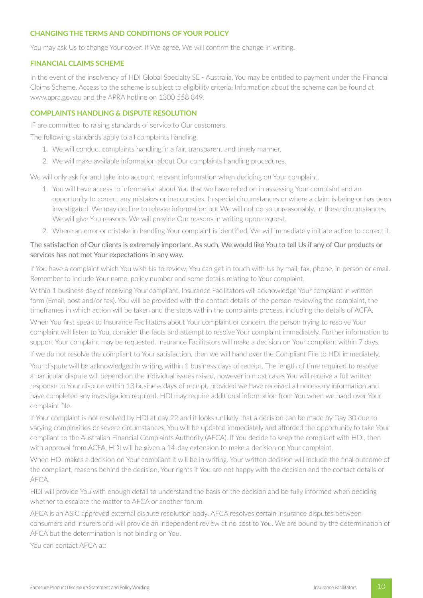# **CHANGING THE TERMS AND CONDITIONS OF YOUR POLICY**

You may ask Us to change Your cover. If We agree, We will confirm the change in writing.

### **FINANCIAL CLAIMS SCHEME**

In the event of the insolvency of HDI Global Specialty SE - Australia, You may be entitled to payment under the Financial Claims Scheme. Access to the scheme is subject to eligibility criteria. Information about the scheme can be found at www.apra.gov.au and the APRA hotline on 1300 558 849.

# **COMPLAINTS HANDLING & DISPUTE RESOLUTION**

IF are committed to raising standards of service to Our customers.

The following standards apply to all complaints handling.

- 1. We will conduct complaints handling in a fair, transparent and timely manner.
- 2. We will make available information about Our complaints handling procedures.

We will only ask for and take into account relevant information when deciding on Your complaint.

- 1. You will have access to information about You that we have relied on in assessing Your complaint and an opportunity to correct any mistakes or inaccuracies. In special circumstances or where a claim is being or has been investigated, We may decline to release information but We will not do so unreasonably. In these circumstances, We will give You reasons. We will provide Our reasons in writing upon request.
- 2. Where an error or mistake in handling Your complaint is identified, We will immediately initiate action to correct it.

# The satisfaction of Our clients is extremely important. As such, We would like You to tell Us if any of Our products or services has not met Your expectations in any way.

If You have a complaint which You wish Us to review, You can get in touch with Us by mail, fax, phone, in person or email. Remember to include Your name, policy number and some details relating to Your complaint.

Within 1 business day of receiving Your compliant, Insurance Facilitators will acknowledge Your compliant in written form (Email, post and/or fax). You will be provided with the contact details of the person reviewing the complaint, the timeframes in which action will be taken and the steps within the complaints process, including the details of ACFA.

When You first speak to Insurance Facilitators about Your complaint or concern, the person trying to resolve Your complaint will listen to You, consider the facts and attempt to resolve Your complaint immediately. Further information to support Your complaint may be requested. Insurance Facilitators will make a decision on Your compliant within 7 days.

If we do not resolve the compliant to Your satisfaction, then we will hand over the Compliant File to HDI immediately.

Your dispute will be acknowledged in writing within 1 business days of receipt. The length of time required to resolve a particular dispute will depend on the individual issues raised, however in most cases You will receive a full written response to Your dispute within 13 business days of receipt, provided we have received all necessary information and have completed any investigation required. HDI may require additional information from You when we hand over Your complaint file.

If Your complaint is not resolved by HDI at day 22 and it looks unlikely that a decision can be made by Day 30 due to varying complexities or severe circumstances, You will be updated immediately and afforded the opportunity to take Your compliant to the Australian Financial Complaints Authority (AFCA). If You decide to keep the compliant with HDI, then with approval from ACFA, HDI will be given a 14-day extension to make a decision on Your complaint.

When HDI makes a decision on Your compliant it will be in writing. Your written decision will include the final outcome of the compliant, reasons behind the decision, Your rights if You are not happy with the decision and the contact details of AFCA.

HDI will provide You with enough detail to understand the basis of the decision and be fully informed when deciding whether to escalate the matter to AFCA or another forum.

AFCA is an ASIC approved external dispute resolution body. AFCA resolves certain insurance disputes between consumers and insurers and will provide an independent review at no cost to You. We are bound by the determination of AFCA but the determination is not binding on You.

You can contact AFCA at: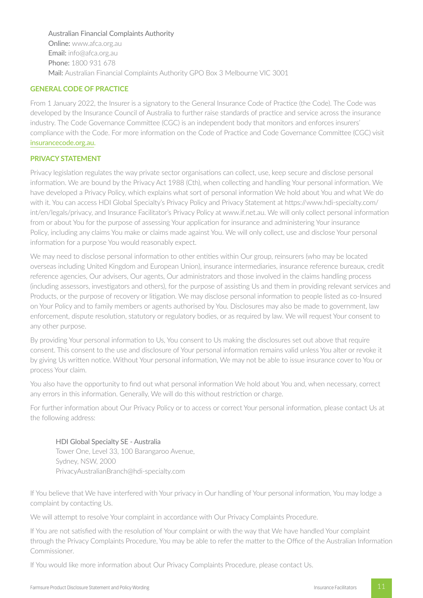# Australian Financial Complaints Authority

Online: www.afca.org.au Email: info@afca.org.au Phone: 1800 931 678 Mail: Australian Financial Complaints Authority GPO Box 3 Melbourne VIC 3001

# **GENERAL CODE OF PRACTICE**

From 1 January 2022, the Insurer is a signatory to the General Insurance Code of Practice (the Code). The Code was developed by the Insurance Council of Australia to further raise standards of practice and service across the insurance industry. The Code Governance Committee (CGC) is an independent body that monitors and enforces insurers' compliance with the Code. For more information on the Code of Practice and Code Governance Committee (CGC) visit insurancecode.org.au.

# **PRIVACY STATEMENT**

Privacy legislation regulates the way private sector organisations can collect, use, keep secure and disclose personal information. We are bound by the Privacy Act 1988 (Cth), when collecting and handling Your personal information. We have developed a Privacy Policy, which explains what sort of personal information We hold about You and what We do with it. You can access HDI Global Specialty's Privacy Policy and Privacy Statement at https://www.hdi-specialty.com/ int/en/legals/privacy, and Insurance Facilitator's Privacy Policy at www.if.net.au. We will only collect personal information from or about You for the purpose of assessing Your application for insurance and administering Your insurance Policy, including any claims You make or claims made against You. We will only collect, use and disclose Your personal information for a purpose You would reasonably expect.

We may need to disclose personal information to other entities within Our group, reinsurers (who may be located overseas including United Kingdom and European Union), insurance intermediaries, insurance reference bureaux, credit reference agencies, Our advisers, Our agents, Our administrators and those involved in the claims handling process (including assessors, investigators and others), for the purpose of assisting Us and them in providing relevant services and Products, or the purpose of recovery or litigation. We may disclose personal information to people listed as co-Insured on Your Policy and to family members or agents authorised by You. Disclosures may also be made to government, law enforcement, dispute resolution, statutory or regulatory bodies, or as required by law. We will request Your consent to any other purpose.

By providing Your personal information to Us, You consent to Us making the disclosures set out above that require consent. This consent to the use and disclosure of Your personal information remains valid unless You alter or revoke it by giving Us written notice. Without Your personal information, We may not be able to issue insurance cover to You or process Your claim.

You also have the opportunity to find out what personal information We hold about You and, when necessary, correct any errors in this information. Generally, We will do this without restriction or charge.

For further information about Our Privacy Policy or to access or correct Your personal information, please contact Us at the following address:

# HDI Global Specialty SE - Australia

Tower One, Level 33, 100 Barangaroo Avenue, Sydney, NSW, 2000 PrivacyAustralianBranch@hdi-specialty.com

If You believe that We have interfered with Your privacy in Our handling of Your personal information, You may lodge a complaint by contacting Us.

We will attempt to resolve Your complaint in accordance with Our Privacy Complaints Procedure.

If You are not satisfied with the resolution of Your complaint or with the way that We have handled Your complaint through the Privacy Complaints Procedure, You may be able to refer the matter to the Office of the Australian Information Commissioner.

If You would like more information about Our Privacy Complaints Procedure, please contact Us.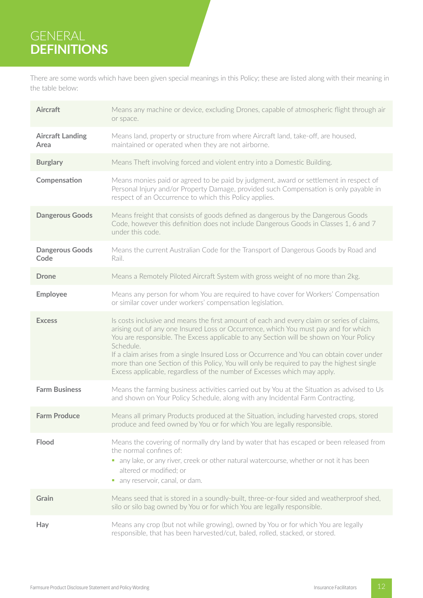# GENERAL **DEFINITIONS**

There are some words which have been given special meanings in this Policy; these are listed along with their meaning in the table below:

| <b>Aircraft</b>                 | Means any machine or device, excluding Drones, capable of atmospheric flight through air<br>or space.                                                                                                                                                                                                                                                                                                                                                                                                                                                          |
|---------------------------------|----------------------------------------------------------------------------------------------------------------------------------------------------------------------------------------------------------------------------------------------------------------------------------------------------------------------------------------------------------------------------------------------------------------------------------------------------------------------------------------------------------------------------------------------------------------|
| <b>Aircraft Landing</b><br>Area | Means land, property or structure from where Aircraft land, take-off, are housed,<br>maintained or operated when they are not airborne.                                                                                                                                                                                                                                                                                                                                                                                                                        |
| <b>Burglary</b>                 | Means Theft involving forced and violent entry into a Domestic Building.                                                                                                                                                                                                                                                                                                                                                                                                                                                                                       |
| Compensation                    | Means monies paid or agreed to be paid by judgment, award or settlement in respect of<br>Personal Injury and/or Property Damage, provided such Compensation is only payable in<br>respect of an Occurrence to which this Policy applies.                                                                                                                                                                                                                                                                                                                       |
| <b>Dangerous Goods</b>          | Means freight that consists of goods defined as dangerous by the Dangerous Goods<br>Code, however this definition does not include Dangerous Goods in Classes 1, 6 and 7<br>under this code.                                                                                                                                                                                                                                                                                                                                                                   |
| <b>Dangerous Goods</b><br>Code  | Means the current Australian Code for the Transport of Dangerous Goods by Road and<br>Rail.                                                                                                                                                                                                                                                                                                                                                                                                                                                                    |
| <b>Drone</b>                    | Means a Remotely Piloted Aircraft System with gross weight of no more than 2kg.                                                                                                                                                                                                                                                                                                                                                                                                                                                                                |
| <b>Employee</b>                 | Means any person for whom You are required to have cover for Workers' Compensation<br>or similar cover under workers' compensation legislation.                                                                                                                                                                                                                                                                                                                                                                                                                |
| <b>Excess</b>                   | Is costs inclusive and means the first amount of each and every claim or series of claims,<br>arising out of any one Insured Loss or Occurrence, which You must pay and for which<br>You are responsible. The Excess applicable to any Section will be shown on Your Policy<br>Schedule.<br>If a claim arises from a single Insured Loss or Occurrence and You can obtain cover under<br>more than one Section of this Policy, You will only be required to pay the highest single<br>Excess applicable, regardless of the number of Excesses which may apply. |
| <b>Farm Business</b>            | Means the farming business activities carried out by You at the Situation as advised to Us<br>and shown on Your Policy Schedule, along with any Incidental Farm Contracting.                                                                                                                                                                                                                                                                                                                                                                                   |
| <b>Farm Produce</b>             | Means all primary Products produced at the Situation, including harvested crops, stored<br>produce and feed owned by You or for which You are legally responsible.                                                                                                                                                                                                                                                                                                                                                                                             |
| Flood                           | Means the covering of normally dry land by water that has escaped or been released from<br>the normal confines of:<br>• any lake, or any river, creek or other natural watercourse, whether or not it has been<br>altered or modified; or<br>• any reservoir, canal, or dam.                                                                                                                                                                                                                                                                                   |
| Grain                           | Means seed that is stored in a soundly-built, three-or-four sided and weatherproof shed,<br>silo or silo bag owned by You or for which You are legally responsible.                                                                                                                                                                                                                                                                                                                                                                                            |
| Hay                             | Means any crop (but not while growing), owned by You or for which You are legally<br>responsible, that has been harvested/cut, baled, rolled, stacked, or stored.                                                                                                                                                                                                                                                                                                                                                                                              |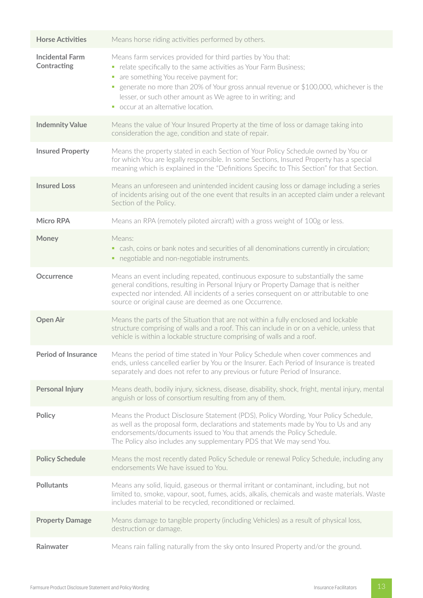| <b>Horse Activities</b>               | Means horse riding activities performed by others.                                                                                                                                                                                                                                                                                                                          |
|---------------------------------------|-----------------------------------------------------------------------------------------------------------------------------------------------------------------------------------------------------------------------------------------------------------------------------------------------------------------------------------------------------------------------------|
| <b>Incidental Farm</b><br>Contracting | Means farm services provided for third parties by You that:<br>relate specifically to the same activities as Your Farm Business;<br>are something You receive payment for;<br>• generate no more than 20% of Your gross annual revenue or \$100,000, whichever is the<br>lesser, or such other amount as We agree to in writing; and<br>• occur at an alternative location. |
| <b>Indemnity Value</b>                | Means the value of Your Insured Property at the time of loss or damage taking into<br>consideration the age, condition and state of repair.                                                                                                                                                                                                                                 |
| <b>Insured Property</b>               | Means the property stated in each Section of Your Policy Schedule owned by You or<br>for which You are legally responsible. In some Sections, Insured Property has a special<br>meaning which is explained in the "Definitions Specific to This Section" for that Section.                                                                                                  |
| <b>Insured Loss</b>                   | Means an unforeseen and unintended incident causing loss or damage including a series<br>of incidents arising out of the one event that results in an accepted claim under a relevant<br>Section of the Policy.                                                                                                                                                             |
| <b>Micro RPA</b>                      | Means an RPA (remotely piloted aircraft) with a gross weight of 100g or less.                                                                                                                                                                                                                                                                                               |
| Money                                 | Means:<br>• cash, coins or bank notes and securities of all denominations currently in circulation;<br>• negotiable and non-negotiable instruments.                                                                                                                                                                                                                         |
| <b>Occurrence</b>                     | Means an event including repeated, continuous exposure to substantially the same<br>general conditions, resulting in Personal Injury or Property Damage that is neither<br>expected nor intended. All incidents of a series consequent on or attributable to one<br>source or original cause are deemed as one Occurrence.                                                  |
| <b>Open Air</b>                       | Means the parts of the Situation that are not within a fully enclosed and lockable<br>structure comprising of walls and a roof. This can include in or on a vehicle, unless that<br>vehicle is within a lockable structure comprising of walls and a roof.                                                                                                                  |
| <b>Period of Insurance</b>            | Means the period of time stated in Your Policy Schedule when cover commences and<br>ends, unless cancelled earlier by You or the Insurer. Each Period of Insurance is treated<br>separately and does not refer to any previous or future Period of Insurance.                                                                                                               |
| <b>Personal Injury</b>                | Means death, bodily injury, sickness, disease, disability, shock, fright, mental injury, mental<br>anguish or loss of consortium resulting from any of them.                                                                                                                                                                                                                |
| <b>Policy</b>                         | Means the Product Disclosure Statement (PDS), Policy Wording, Your Policy Schedule,<br>as well as the proposal form, declarations and statements made by You to Us and any<br>endorsements/documents issued to You that amends the Policy Schedule.<br>The Policy also includes any supplementary PDS that We may send You.                                                 |
| <b>Policy Schedule</b>                | Means the most recently dated Policy Schedule or renewal Policy Schedule, including any<br>endorsements We have issued to You.                                                                                                                                                                                                                                              |
| <b>Pollutants</b>                     | Means any solid, liquid, gaseous or thermal irritant or contaminant, including, but not<br>limited to, smoke, vapour, soot, fumes, acids, alkalis, chemicals and waste materials. Waste<br>includes material to be recycled, reconditioned or reclaimed.                                                                                                                    |
| <b>Property Damage</b>                | Means damage to tangible property (including Vehicles) as a result of physical loss,<br>destruction or damage.                                                                                                                                                                                                                                                              |
| Rainwater                             | Means rain falling naturally from the sky onto Insured Property and/or the ground.                                                                                                                                                                                                                                                                                          |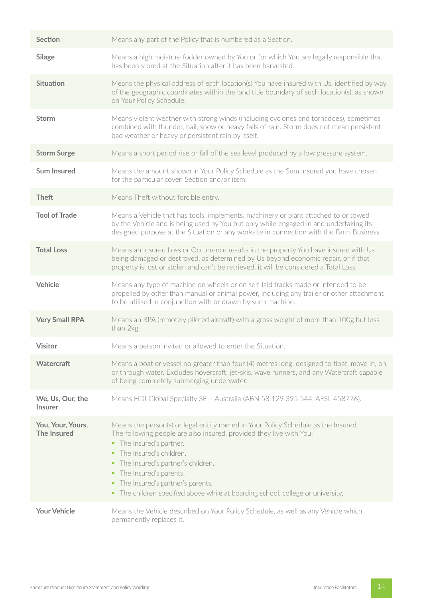| Section                                 | Means any part of the Policy that is numbered as a Section.                                                                                                                                                                                                                                                                                                                                                   |
|-----------------------------------------|---------------------------------------------------------------------------------------------------------------------------------------------------------------------------------------------------------------------------------------------------------------------------------------------------------------------------------------------------------------------------------------------------------------|
| <b>Silage</b>                           | Means a high moisture fodder owned by You or for which You are legally responsible that<br>has been stored at the Situation after it has been harvested.                                                                                                                                                                                                                                                      |
| Situation                               | Means the physical address of each location(s) You have insured with Us, identified by way<br>of the geographic coordinates within the land title boundary of such location(s), as shown<br>on Your Policy Schedule.                                                                                                                                                                                          |
| <b>Storm</b>                            | Means violent weather with strong winds (including cyclones and tornadoes), sometimes<br>combined with thunder, hail, snow or heavy falls of rain. Storm does not mean persistent<br>bad weather or heavy or persistent rain by itself.                                                                                                                                                                       |
| <b>Storm Surge</b>                      | Means a short period rise or fall of the sea level produced by a low pressure system.                                                                                                                                                                                                                                                                                                                         |
| <b>Sum Insured</b>                      | Means the amount shown in Your Policy Schedule as the Sum Insured you have chosen<br>for the particular cover, Section and/or item.                                                                                                                                                                                                                                                                           |
| <b>Theft</b>                            | Means Theft without forcible entry.                                                                                                                                                                                                                                                                                                                                                                           |
| <b>Tool of Trade</b>                    | Means a Vehicle that has tools, implements, machinery or plant attached to or towed<br>by the Vehicle and is being used by You but only while engaged in and undertaking its<br>designed purpose at the Situation or any worksite in connection with the Farm Business.                                                                                                                                       |
| <b>Total Loss</b>                       | Means an Insured Loss or Occurrence results in the property You have insured with Us<br>being damaged or destroyed, as determined by Us beyond economic repair, or if that<br>property is lost or stolen and can't be retrieved, it will be considered a Total Loss                                                                                                                                           |
| Vehicle                                 | Means any type of machine on wheels or on self-laid tracks made or intended to be<br>propelled by other than manual or animal power, including any trailer or other attachment<br>to be utilised in conjunction with or drawn by such machine.                                                                                                                                                                |
| <b>Very Small RPA</b>                   | Means an RPA (remotely piloted aircraft) with a gross weight of more than 100g but less<br>than 2kg.                                                                                                                                                                                                                                                                                                          |
| <b>Visitor</b>                          | Means a person invited or allowed to enter the Situation.                                                                                                                                                                                                                                                                                                                                                     |
| <b>Watercraft</b>                       | Means a boat or vessel no greater than four (4) metres long, designed to float, move in, on<br>or through water. Excludes hovercraft, jet-skis, wave runners, and any Watercraft capable<br>of being completely submerging underwater.                                                                                                                                                                        |
| We, Us, Our, the<br><b>Insurer</b>      | Means HDI Global Specialty SE - Australia (ABN 58 129 395 544, AFSL 458776).                                                                                                                                                                                                                                                                                                                                  |
| You, Your, Yours,<br><b>The Insured</b> | Means the person(s) or legal entity named in Your Policy Schedule as the Insured.<br>The following people are also insured, provided they live with You:<br>• The Insured's partner.<br>• The Insured's children.<br>• The Insured's partner's children.<br>• The Insured's parents.<br>• The Insured's partner's parents.<br>• The children specified above while at boarding school, college or university. |
| <b>Your Vehicle</b>                     | Means the Vehicle described on Your Policy Schedule, as well as any Vehicle which<br>permanently replaces it.                                                                                                                                                                                                                                                                                                 |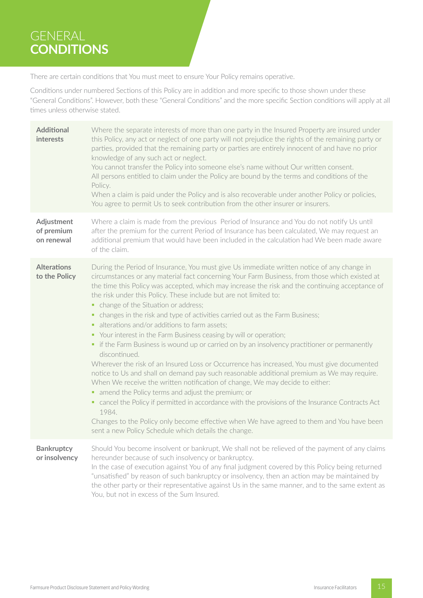# GENERAL **CONDITIONS**

There are certain conditions that You must meet to ensure Your Policy remains operative.

Conditions under numbered Sections of this Policy are in addition and more specific to those shown under these "General Conditions". However, both these "General Conditions" and the more specific Section conditions will apply at all times unless otherwise stated.

| <b>Additional</b><br>interests         | Where the separate interests of more than one party in the Insured Property are insured under<br>this Policy, any act or neglect of one party will not prejudice the rights of the remaining party or<br>parties, provided that the remaining party or parties are entirely innocent of and have no prior<br>knowledge of any such act or neglect.<br>You cannot transfer the Policy into someone else's name without Our written consent.<br>All persons entitled to claim under the Policy are bound by the terms and conditions of the<br>Policy.<br>When a claim is paid under the Policy and is also recoverable under another Policy or policies,<br>You agree to permit Us to seek contribution from the other insurer or insurers.                                                                                                                                                                                                                                                                                                                                                                                                                                                                                                                                                                                                         |
|----------------------------------------|----------------------------------------------------------------------------------------------------------------------------------------------------------------------------------------------------------------------------------------------------------------------------------------------------------------------------------------------------------------------------------------------------------------------------------------------------------------------------------------------------------------------------------------------------------------------------------------------------------------------------------------------------------------------------------------------------------------------------------------------------------------------------------------------------------------------------------------------------------------------------------------------------------------------------------------------------------------------------------------------------------------------------------------------------------------------------------------------------------------------------------------------------------------------------------------------------------------------------------------------------------------------------------------------------------------------------------------------------|
| Adjustment<br>of premium<br>on renewal | Where a claim is made from the previous Period of Insurance and You do not notify Us until<br>after the premium for the current Period of Insurance has been calculated, We may request an<br>additional premium that would have been included in the calculation had We been made aware<br>of the claim.                                                                                                                                                                                                                                                                                                                                                                                                                                                                                                                                                                                                                                                                                                                                                                                                                                                                                                                                                                                                                                          |
| <b>Alterations</b><br>to the Policy    | During the Period of Insurance, You must give Us immediate written notice of any change in<br>circumstances or any material fact concerning Your Farm Business, from those which existed at<br>the time this Policy was accepted, which may increase the risk and the continuing acceptance of<br>the risk under this Policy. These include but are not limited to:<br>• change of the Situation or address;<br>• changes in the risk and type of activities carried out as the Farm Business;<br>• alterations and/or additions to farm assets;<br>• Your interest in the Farm Business ceasing by will or operation;<br>• if the Farm Business is wound up or carried on by an insolvency practitioner or permanently<br>discontinued.<br>Wherever the risk of an Insured Loss or Occurrence has increased, You must give documented<br>notice to Us and shall on demand pay such reasonable additional premium as We may require.<br>When We receive the written notification of change, We may decide to either:<br>amend the Policy terms and adjust the premium; or<br>п,<br>• cancel the Policy if permitted in accordance with the provisions of the Insurance Contracts Act<br>1984.<br>Changes to the Policy only become effective when We have agreed to them and You have been<br>sent a new Policy Schedule which details the change. |
| <b>Bankruptcy</b><br>or insolvency     | Should You become insolvent or bankrupt, We shall not be relieved of the payment of any claims<br>hereunder because of such insolvency or bankruptcy.<br>In the case of execution against You of any final judgment covered by this Policy being returned<br>"unsatisfied" by reason of such bankruptcy or insolvency, then an action may be maintained by<br>the other party or their representative against Us in the same manner, and to the same extent as<br>You, but not in excess of the Sum Insured.                                                                                                                                                                                                                                                                                                                                                                                                                                                                                                                                                                                                                                                                                                                                                                                                                                       |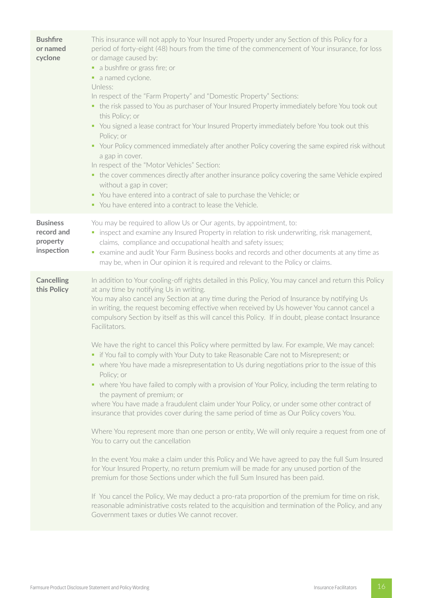| <b>Bushfire</b><br>or named<br>cyclone                  | This insurance will not apply to Your Insured Property under any Section of this Policy for a<br>period of forty-eight (48) hours from the time of the commencement of Your insurance, for loss<br>or damage caused by:<br>• a bushfire or grass fire; or<br>• a named cyclone.<br>Unless:<br>In respect of the "Farm Property" and "Domestic Property" Sections:<br>• the risk passed to You as purchaser of Your Insured Property immediately before You took out<br>this Policy; or<br>• You signed a lease contract for Your Insured Property immediately before You took out this<br>Policy; or<br>• Your Policy commenced immediately after another Policy covering the same expired risk without<br>a gap in cover.<br>In respect of the "Motor Vehicles" Section:<br>• the cover commences directly after another insurance policy covering the same Vehicle expired<br>without a gap in cover;<br>• You have entered into a contract of sale to purchase the Vehicle; or<br>• You have entered into a contract to lease the Vehicle.                                                                                                                                                                                                                                                                                                                                                                                                                                                                                                                                                                                                                                                                                                                                   |
|---------------------------------------------------------|---------------------------------------------------------------------------------------------------------------------------------------------------------------------------------------------------------------------------------------------------------------------------------------------------------------------------------------------------------------------------------------------------------------------------------------------------------------------------------------------------------------------------------------------------------------------------------------------------------------------------------------------------------------------------------------------------------------------------------------------------------------------------------------------------------------------------------------------------------------------------------------------------------------------------------------------------------------------------------------------------------------------------------------------------------------------------------------------------------------------------------------------------------------------------------------------------------------------------------------------------------------------------------------------------------------------------------------------------------------------------------------------------------------------------------------------------------------------------------------------------------------------------------------------------------------------------------------------------------------------------------------------------------------------------------------------------------------------------------------------------------------------------------|
| <b>Business</b><br>record and<br>property<br>inspection | You may be required to allow Us or Our agents, by appointment, to:<br>• inspect and examine any Insured Property in relation to risk underwriting, risk management,<br>claims, compliance and occupational health and safety issues;<br>• examine and audit Your Farm Business books and records and other documents at any time as<br>may be, when in Our opinion it is required and relevant to the Policy or claims.                                                                                                                                                                                                                                                                                                                                                                                                                                                                                                                                                                                                                                                                                                                                                                                                                                                                                                                                                                                                                                                                                                                                                                                                                                                                                                                                                         |
| <b>Cancelling</b><br>this Policy                        | In addition to Your cooling-off rights detailed in this Policy, You may cancel and return this Policy<br>at any time by notifying Us in writing.<br>You may also cancel any Section at any time during the Period of Insurance by notifying Us<br>in writing, the request becoming effective when received by Us however You cannot cancel a<br>compulsory Section by itself as this will cancel this Policy. If in doubt, please contact Insurance<br>Facilitators.<br>We have the right to cancel this Policy where permitted by law. For example, We may cancel:<br>if You fail to comply with Your Duty to take Reasonable Care not to Misrepresent; or<br>• where You have made a misrepresentation to Us during negotiations prior to the issue of this<br>Policy; or<br>• where You have failed to comply with a provision of Your Policy, including the term relating to<br>the payment of premium; or<br>where You have made a fraudulent claim under Your Policy, or under some other contract of<br>insurance that provides cover during the same period of time as Our Policy covers You.<br>Where You represent more than one person or entity, We will only require a request from one of<br>You to carry out the cancellation<br>In the event You make a claim under this Policy and We have agreed to pay the full Sum Insured<br>for Your Insured Property, no return premium will be made for any unused portion of the<br>premium for those Sections under which the full Sum Insured has been paid.<br>If You cancel the Policy, We may deduct a pro-rata proportion of the premium for time on risk,<br>reasonable administrative costs related to the acquisition and termination of the Policy, and any<br>Government taxes or duties We cannot recover. |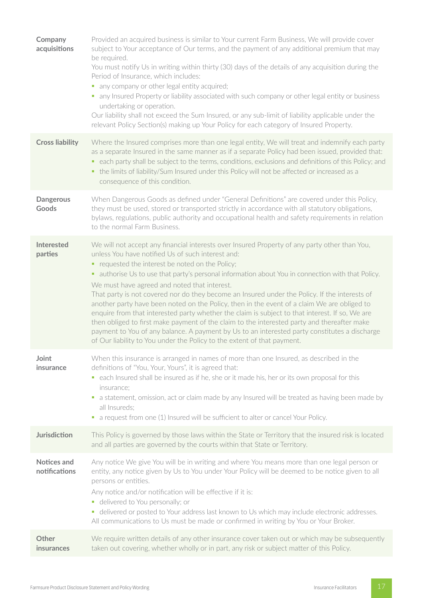| Company<br>acquisitions             | Provided an acquired business is similar to Your current Farm Business, We will provide cover<br>subject to Your acceptance of Our terms, and the payment of any additional premium that may<br>be required.<br>You must notify Us in writing within thirty (30) days of the details of any acquisition during the<br>Period of Insurance, which includes:<br>any company or other legal entity acquired;<br>ш<br>• any Insured Property or liability associated with such company or other legal entity or business<br>undertaking or operation.<br>Our liability shall not exceed the Sum Insured, or any sub-limit of liability applicable under the<br>relevant Policy Section(s) making up Your Policy for each category of Insured Property.                                                                                                                                                                                        |
|-------------------------------------|-------------------------------------------------------------------------------------------------------------------------------------------------------------------------------------------------------------------------------------------------------------------------------------------------------------------------------------------------------------------------------------------------------------------------------------------------------------------------------------------------------------------------------------------------------------------------------------------------------------------------------------------------------------------------------------------------------------------------------------------------------------------------------------------------------------------------------------------------------------------------------------------------------------------------------------------|
| <b>Cross liability</b>              | Where the Insured comprises more than one legal entity, We will treat and indemnify each party<br>as a separate Insured in the same manner as if a separate Policy had been issued, provided that:<br>• each party shall be subject to the terms, conditions, exclusions and definitions of this Policy; and<br>• the limits of liability/Sum Insured under this Policy will not be affected or increased as a<br>consequence of this condition.                                                                                                                                                                                                                                                                                                                                                                                                                                                                                          |
| <b>Dangerous</b><br>Goods           | When Dangerous Goods as defined under "General Definitions" are covered under this Policy,<br>they must be used, stored or transported strictly in accordance with all statutory obligations,<br>bylaws, regulations, public authority and occupational health and safety requirements in relation<br>to the normal Farm Business.                                                                                                                                                                                                                                                                                                                                                                                                                                                                                                                                                                                                        |
| <b>Interested</b><br>parties        | We will not accept any financial interests over Insured Property of any party other than You,<br>unless You have notified Us of such interest and:<br>• requested the interest be noted on the Policy;<br>• authorise Us to use that party's personal information about You in connection with that Policy.<br>We must have agreed and noted that interest.<br>That party is not covered nor do they become an Insured under the Policy. If the interests of<br>another party have been noted on the Policy, then in the event of a claim We are obliged to<br>enquire from that interested party whether the claim is subject to that interest. If so, We are<br>then obliged to first make payment of the claim to the interested party and thereafter make<br>payment to You of any balance. A payment by Us to an interested party constitutes a discharge<br>of Our liability to You under the Policy to the extent of that payment. |
| Joint<br><i>insurance</i>           | When this insurance is arranged in names of more than one Insured, as described in the<br>definitions of "You, Your, Yours", it is agreed that:<br>• each Insured shall be insured as if he, she or it made his, her or its own proposal for this<br>insurance;<br>a statement, omission, act or claim made by any Insured will be treated as having been made by<br>ш<br>all Insureds:<br>• a request from one (1) Insured will be sufficient to alter or cancel Your Policy.                                                                                                                                                                                                                                                                                                                                                                                                                                                            |
| Jurisdiction                        | This Policy is governed by those laws within the State or Territory that the insured risk is located<br>and all parties are governed by the courts within that State or Territory.                                                                                                                                                                                                                                                                                                                                                                                                                                                                                                                                                                                                                                                                                                                                                        |
| <b>Notices and</b><br>notifications | Any notice We give You will be in writing and where You means more than one legal person or<br>entity, any notice given by Us to You under Your Policy will be deemed to be notice given to all<br>persons or entities.<br>Any notice and/or notification will be effective if it is:<br>• delivered to You personally; or<br>delivered or posted to Your address last known to Us which may include electronic addresses.<br>$\sim$<br>All communications to Us must be made or confirmed in writing by You or Your Broker.                                                                                                                                                                                                                                                                                                                                                                                                              |
| Other<br><i>insurances</i>          | We require written details of any other insurance cover taken out or which may be subsequently<br>taken out covering, whether wholly or in part, any risk or subject matter of this Policy.                                                                                                                                                                                                                                                                                                                                                                                                                                                                                                                                                                                                                                                                                                                                               |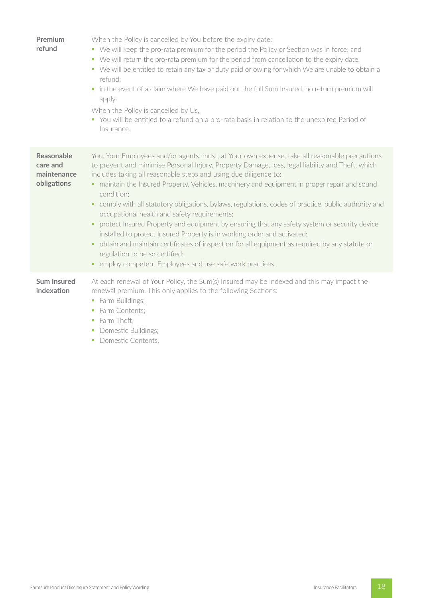| Premium<br>refund                                           | When the Policy is cancelled by You before the expiry date:<br>We will keep the pro-rata premium for the period the Policy or Section was in force; and<br>ш<br>We will return the pro-rata premium for the period from cancellation to the expiry date.<br>ш<br>• We will be entitled to retain any tax or duty paid or owing for which We are unable to obtain a<br>refund;<br>in the event of a claim where We have paid out the full Sum Insured, no return premium will<br>u.<br>apply.<br>When the Policy is cancelled by Us,<br>• You will be entitled to a refund on a pro-rata basis in relation to the unexpired Period of<br>Insurance.                                                                                                                                                                                                                                                                                    |
|-------------------------------------------------------------|---------------------------------------------------------------------------------------------------------------------------------------------------------------------------------------------------------------------------------------------------------------------------------------------------------------------------------------------------------------------------------------------------------------------------------------------------------------------------------------------------------------------------------------------------------------------------------------------------------------------------------------------------------------------------------------------------------------------------------------------------------------------------------------------------------------------------------------------------------------------------------------------------------------------------------------|
| <b>Reasonable</b><br>care and<br>maintenance<br>obligations | You, Your Employees and/or agents, must, at Your own expense, take all reasonable precautions<br>to prevent and minimise Personal Injury, Property Damage, loss, legal liability and Theft, which<br>includes taking all reasonable steps and using due diligence to:<br>• maintain the Insured Property, Vehicles, machinery and equipment in proper repair and sound<br>condition:<br>comply with all statutory obligations, bylaws, regulations, codes of practice, public authority and<br>٠<br>occupational health and safety requirements;<br>protect Insured Property and equipment by ensuring that any safety system or security device<br>installed to protect Insured Property is in working order and activated;<br>obtain and maintain certificates of inspection for all equipment as required by any statute or<br>٠<br>regulation to be so certified;<br>employ competent Employees and use safe work practices.<br>٠ |
| <b>Sum Insured</b><br>indexation                            | At each renewal of Your Policy, the Sum(s) Insured may be indexed and this may impact the<br>renewal premium. This only applies to the following Sections:<br>Farm Buildings;<br>ш<br>Farm Contents;<br>I.<br>Farm Theft:<br>ш<br>Domestic Buildings;<br>E<br>Domestic Contents.<br>ш                                                                                                                                                                                                                                                                                                                                                                                                                                                                                                                                                                                                                                                 |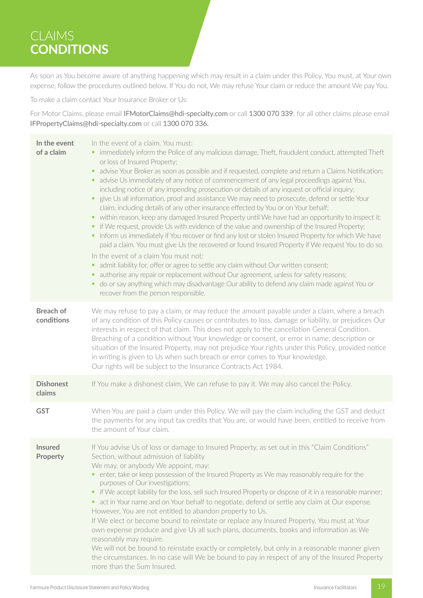# CLAIMS **CONDITIONS**

As soon as You become aware of anything happening which may result in a claim under this Policy, You must, at Your own expense, follow the procedures outlined below. If You do not, We may refuse Your claim or reduce the amount We pay You.

To make a claim contact Your Insurance Broker or Us:

For Motor Claims, please email IFMotorClaims@hdi-specialty.com or call 1300 070 339; for all other claims please email IFPropertyClaims@hdi-specialty.com or call 1300 070 336.

| In the event<br>of a claim     | In the event of a claim, You must:<br>• immediately inform the Police of any malicious damage, Theft, fraudulent conduct, attempted Theft<br>or loss of Insured Property;<br>advise Your Broker as soon as possible and if requested, complete and return a Claims Notification;<br>٠<br>• advise Us immediately of any notice of commencement of any legal proceedings against You,<br>including notice of any impending prosecution or details of any inquest or official inquiry;<br>give Us all information, proof and assistance We may need to prosecute, defend or settle Your<br>٠<br>claim, including details of any other insurance effected by You or on Your behalf;<br>• within reason, keep any damaged Insured Property until We have had an opportunity to inspect it;<br>• if We request, provide Us with evidence of the value and ownership of the Insured Property;<br>• inform us immediately if You recover or find any lost or stolen Insured Property for which We have<br>paid a claim. You must give Us the recovered or found Insured Property if We request You to do so.<br>In the event of a claim You must not:<br>admit liability for, offer or agree to settle any claim without Our written consent;<br>п<br>• authorise any repair or replacement without Our agreement, unless for safety reasons;<br>do or say anything which may disadvantage Our ability to defend any claim made against You or<br>٠<br>recover from the person responsible. |
|--------------------------------|--------------------------------------------------------------------------------------------------------------------------------------------------------------------------------------------------------------------------------------------------------------------------------------------------------------------------------------------------------------------------------------------------------------------------------------------------------------------------------------------------------------------------------------------------------------------------------------------------------------------------------------------------------------------------------------------------------------------------------------------------------------------------------------------------------------------------------------------------------------------------------------------------------------------------------------------------------------------------------------------------------------------------------------------------------------------------------------------------------------------------------------------------------------------------------------------------------------------------------------------------------------------------------------------------------------------------------------------------------------------------------------------------------------------------------------------------------------------------------------|
| <b>Breach of</b><br>conditions | We may refuse to pay a claim, or may reduce the amount payable under a claim, where a breach<br>of any condition of this Policy causes or contributes to loss, damage or liability, or prejudices Our<br>interests in respect of that claim. This does not apply to the cancellation General Condition.<br>Breaching of a condition without Your knowledge or consent, or error in name, description or<br>situation of the Insured Property, may not prejudice Your rights under this Policy, provided notice<br>in writing is given to Us when such breach or error comes to Your knowledge.<br>Our rights will be subject to the Insurance Contracts Act 1984.                                                                                                                                                                                                                                                                                                                                                                                                                                                                                                                                                                                                                                                                                                                                                                                                                    |
| <b>Dishonest</b><br>claims     | If You make a dishonest claim, We can refuse to pay it. We may also cancel the Policy.                                                                                                                                                                                                                                                                                                                                                                                                                                                                                                                                                                                                                                                                                                                                                                                                                                                                                                                                                                                                                                                                                                                                                                                                                                                                                                                                                                                               |
| <b>GST</b>                     | When You are paid a claim under this Policy, We will pay the claim including the GST and deduct<br>the payments for any input tax credits that You are, or would have been, entitled to receive from<br>the amount of Your claim.                                                                                                                                                                                                                                                                                                                                                                                                                                                                                                                                                                                                                                                                                                                                                                                                                                                                                                                                                                                                                                                                                                                                                                                                                                                    |
| <b>Insured</b><br>Property     | If You advise Us of loss or damage to Insured Property, as set out in this "Claim Conditions"<br>Section, without admission of liability<br>We may, or anybody We appoint, may:<br>• enter, take or keep possession of the Insured Property as We may reasonably require for the<br>purposes of Our investigations;<br>• if We accept liability for the loss, sell such Insured Property or dispose of it in a reasonable manner;<br>• act in Your name and on Your behalf to negotiate, defend or settle any claim at Our expense.<br>However, You are not entitled to abandon property to Us.<br>If We elect or become bound to reinstate or replace any Insured Property, You must at Your<br>own expense produce and give Us all such plans, documents, books and information as We<br>reasonably may require.<br>We will not be bound to reinstate exactly or completely, but only in a reasonable manner given<br>the circumstances. In no case will We be bound to pay in respect of any of the Insured Property<br>more than the Sum Insured.                                                                                                                                                                                                                                                                                                                                                                                                                                |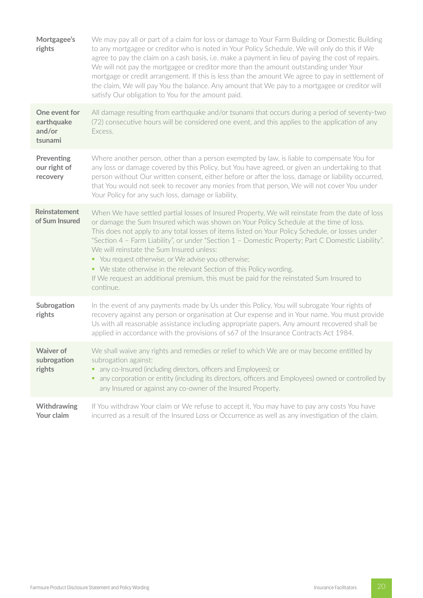| Mortgagee's<br>rights                            | We may pay all or part of a claim for loss or damage to Your Farm Building or Domestic Building<br>to any mortgagee or creditor who is noted in Your Policy Schedule. We will only do this if We<br>agree to pay the claim on a cash basis, i.e. make a payment in lieu of paying the cost of repairs.<br>We will not pay the mortgagee or creditor more than the amount outstanding under Your<br>mortgage or credit arrangement. If this is less than the amount We agree to pay in settlement of<br>the claim, We will pay You the balance. Any amount that We pay to a mortgagee or creditor will<br>satisfy Our obligation to You for the amount paid.                                |
|--------------------------------------------------|--------------------------------------------------------------------------------------------------------------------------------------------------------------------------------------------------------------------------------------------------------------------------------------------------------------------------------------------------------------------------------------------------------------------------------------------------------------------------------------------------------------------------------------------------------------------------------------------------------------------------------------------------------------------------------------------|
| One event for<br>earthquake<br>and/or<br>tsunami | All damage resulting from earthquake and/or tsunami that occurs during a period of seventy-two<br>(72) consecutive hours will be considered one event, and this applies to the application of any<br>Excess.                                                                                                                                                                                                                                                                                                                                                                                                                                                                               |
| Preventing<br>our right of<br>recovery           | Where another person, other than a person exempted by law, is liable to compensate You for<br>any loss or damage covered by this Policy, but You have agreed, or given an undertaking to that<br>person without Our written consent, either before or after the loss, damage or liability occurred,<br>that You would not seek to recover any monies from that person, We will not cover You under<br>Your Policy for any such loss, damage or liability.                                                                                                                                                                                                                                  |
| <b>Reinstatement</b><br>of Sum Insured           | When We have settled partial losses of Insured Property, We will reinstate from the date of loss<br>or damage the Sum Insured which was shown on Your Policy Schedule at the time of loss.<br>This does not apply to any total losses of items listed on Your Policy Schedule, or losses under<br>"Section 4 - Farm Liability", or under "Section 1 - Domestic Property; Part C Domestic Liability".<br>We will reinstate the Sum Insured unless:<br>• You request otherwise, or We advise you otherwise;<br>• We state otherwise in the relevant Section of this Policy wording.<br>If We request an additional premium, this must be paid for the reinstated Sum Insured to<br>continue. |
| Subrogation<br>rights                            | In the event of any payments made by Us under this Policy, You will subrogate Your rights of<br>recovery against any person or organisation at Our expense and in Your name. You must provide<br>Us with all reasonable assistance including appropriate papers. Any amount recovered shall be<br>applied in accordance with the provisions of s67 of the Insurance Contracts Act 1984.                                                                                                                                                                                                                                                                                                    |
| <b>Waiver of</b><br>subrogation<br>rights        | We shall waive any rights and remedies or relief to which We are or may become entitled by<br>subrogation against:<br>any co-Insured (including directors, officers and Employees); or<br>any corporation or entity (including its directors, officers and Employees) owned or controlled by<br>any Insured or against any co-owner of the Insured Property.                                                                                                                                                                                                                                                                                                                               |
| Withdrawing<br>Your claim                        | If You withdraw Your claim or We refuse to accept it, You may have to pay any costs You have<br>incurred as a result of the Insured Loss or Occurrence as well as any investigation of the claim.                                                                                                                                                                                                                                                                                                                                                                                                                                                                                          |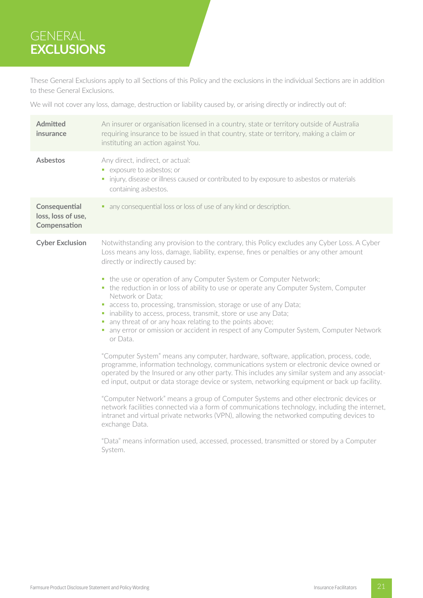# GENERAL **EXCLUSIONS**

These General Exclusions apply to all Sections of this Policy and the exclusions in the individual Sections are in addition to these General Exclusions.

We will not cover any loss, damage, destruction or liability caused by, or arising directly or indirectly out of:

| <b>Admitted</b><br>insurance                        | An insurer or organisation licensed in a country, state or territory outside of Australia<br>requiring insurance to be issued in that country, state or territory, making a claim or<br>instituting an action against You.                                                                                                                                                                                                                                                                                                                                                                                                                                                                                                                                                                                                                                                                                                                                                                                                                                                                                                                                                                                                                                                                                                                                                                                                                                                                                                               |  |  |
|-----------------------------------------------------|------------------------------------------------------------------------------------------------------------------------------------------------------------------------------------------------------------------------------------------------------------------------------------------------------------------------------------------------------------------------------------------------------------------------------------------------------------------------------------------------------------------------------------------------------------------------------------------------------------------------------------------------------------------------------------------------------------------------------------------------------------------------------------------------------------------------------------------------------------------------------------------------------------------------------------------------------------------------------------------------------------------------------------------------------------------------------------------------------------------------------------------------------------------------------------------------------------------------------------------------------------------------------------------------------------------------------------------------------------------------------------------------------------------------------------------------------------------------------------------------------------------------------------------|--|--|
| <b>Asbestos</b>                                     | Any direct, indirect, or actual:<br>• exposure to asbestos; or<br>• injury, disease or illness caused or contributed to by exposure to asbestos or materials<br>containing asbestos.                                                                                                                                                                                                                                                                                                                                                                                                                                                                                                                                                                                                                                                                                                                                                                                                                                                                                                                                                                                                                                                                                                                                                                                                                                                                                                                                                     |  |  |
| Consequential<br>loss, loss of use,<br>Compensation | • any consequential loss or loss of use of any kind or description.                                                                                                                                                                                                                                                                                                                                                                                                                                                                                                                                                                                                                                                                                                                                                                                                                                                                                                                                                                                                                                                                                                                                                                                                                                                                                                                                                                                                                                                                      |  |  |
| <b>Cyber Exclusion</b>                              | Notwithstanding any provision to the contrary, this Policy excludes any Cyber Loss. A Cyber<br>Loss means any loss, damage, liability, expense, fines or penalties or any other amount<br>directly or indirectly caused by:<br>• the use or operation of any Computer System or Computer Network;<br>• the reduction in or loss of ability to use or operate any Computer System, Computer<br>Network or Data;<br>• access to, processing, transmission, storage or use of any Data;<br>inability to access, process, transmit, store or use any Data;<br>т<br>any threat of or any hoax relating to the points above;<br>×<br>any error or omission or accident in respect of any Computer System, Computer Network<br>u.<br>or Data.<br>"Computer System" means any computer, hardware, software, application, process, code,<br>programme, information technology, communications system or electronic device owned or<br>operated by the Insured or any other party. This includes any similar system and any associat-<br>ed input, output or data storage device or system, networking equipment or back up facility.<br>"Computer Network" means a group of Computer Systems and other electronic devices or<br>network facilities connected via a form of communications technology, including the internet,<br>intranet and virtual private networks (VPN), allowing the networked computing devices to<br>exchange Data.<br>"Data" means information used, accessed, processed, transmitted or stored by a Computer<br>System. |  |  |
|                                                     |                                                                                                                                                                                                                                                                                                                                                                                                                                                                                                                                                                                                                                                                                                                                                                                                                                                                                                                                                                                                                                                                                                                                                                                                                                                                                                                                                                                                                                                                                                                                          |  |  |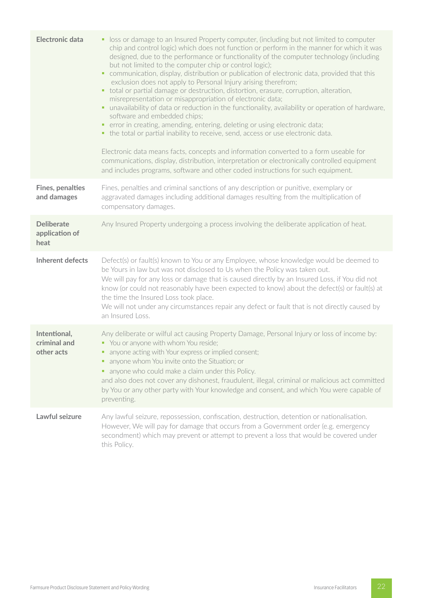| <b>Electronic data</b>                      | • loss or damage to an Insured Property computer, (including but not limited to computer<br>chip and control logic) which does not function or perform in the manner for which it was<br>designed, due to the performance or functionality of the computer technology (including<br>but not limited to the computer chip or control logic);<br>communication, display, distribution or publication of electronic data, provided that this<br>exclusion does not apply to Personal Injury arising therefrom;<br>• total or partial damage or destruction, distortion, erasure, corruption, alteration,<br>misrepresentation or misappropriation of electronic data;<br>unavailability of data or reduction in the functionality, availability or operation of hardware,<br>software and embedded chips;<br>• error in creating, amending, entering, deleting or using electronic data;<br>• the total or partial inability to receive, send, access or use electronic data.<br>Electronic data means facts, concepts and information converted to a form useable for<br>communications, display, distribution, interpretation or electronically controlled equipment<br>and includes programs, software and other coded instructions for such equipment. |
|---------------------------------------------|---------------------------------------------------------------------------------------------------------------------------------------------------------------------------------------------------------------------------------------------------------------------------------------------------------------------------------------------------------------------------------------------------------------------------------------------------------------------------------------------------------------------------------------------------------------------------------------------------------------------------------------------------------------------------------------------------------------------------------------------------------------------------------------------------------------------------------------------------------------------------------------------------------------------------------------------------------------------------------------------------------------------------------------------------------------------------------------------------------------------------------------------------------------------------------------------------------------------------------------------------------|
| Fines, penalties<br>and damages             | Fines, penalties and criminal sanctions of any description or punitive, exemplary or<br>aggravated damages including additional damages resulting from the multiplication of<br>compensatory damages.                                                                                                                                                                                                                                                                                                                                                                                                                                                                                                                                                                                                                                                                                                                                                                                                                                                                                                                                                                                                                                                   |
| <b>Deliberate</b><br>application of<br>heat | Any Insured Property undergoing a process involving the deliberate application of heat.                                                                                                                                                                                                                                                                                                                                                                                                                                                                                                                                                                                                                                                                                                                                                                                                                                                                                                                                                                                                                                                                                                                                                                 |
| <b>Inherent defects</b>                     | Defect(s) or fault(s) known to You or any Employee, whose knowledge would be deemed to<br>be Yours in law but was not disclosed to Us when the Policy was taken out.<br>We will pay for any loss or damage that is caused directly by an Insured Loss, if You did not<br>know (or could not reasonably have been expected to know) about the defect(s) or fault(s) at<br>the time the Insured Loss took place.<br>We will not under any circumstances repair any defect or fault that is not directly caused by<br>an Insured Loss.                                                                                                                                                                                                                                                                                                                                                                                                                                                                                                                                                                                                                                                                                                                     |
| Intentional,<br>criminal and<br>other acts  | Any deliberate or wilful act causing Property Damage, Personal Injury or loss of income by:<br>• You or anyone with whom You reside;<br>• anyone acting with Your express or implied consent;<br>anyone whom You invite onto the Situation; or<br>п<br>• anyone who could make a claim under this Policy.<br>and also does not cover any dishonest, fraudulent, illegal, criminal or malicious act committed<br>by You or any other party with Your knowledge and consent, and which You were capable of<br>preventing.                                                                                                                                                                                                                                                                                                                                                                                                                                                                                                                                                                                                                                                                                                                                 |
| Lawful seizure                              | Any lawful seizure, repossession, confiscation, destruction, detention or nationalisation.<br>However, We will pay for damage that occurs from a Government order (e.g. emergency<br>secondment) which may prevent or attempt to prevent a loss that would be covered under<br>this Policy.                                                                                                                                                                                                                                                                                                                                                                                                                                                                                                                                                                                                                                                                                                                                                                                                                                                                                                                                                             |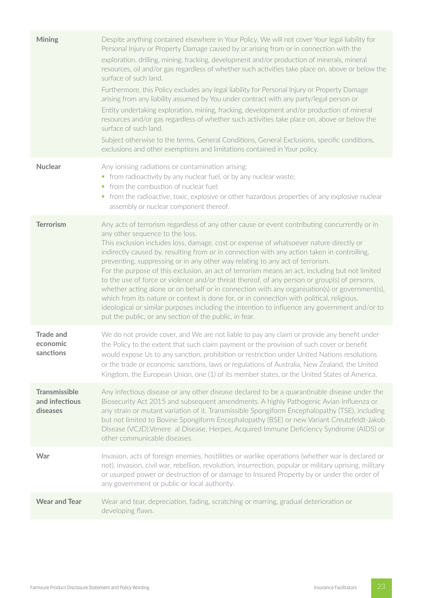| <b>Mining</b>                                      | Despite anything contained elsewhere in Your Policy, We will not cover Your legal liability for<br>Personal Injury or Property Damage caused by or arising from or in connection with the<br>exploration, drilling, mining, fracking, development and/or production of minerals, mineral<br>resources, oil and/or gas regardless of whether such activities take place on, above or below the<br>surface of such land.<br>Furthermore, this Policy excludes any legal liability for Personal Injury or Property Damage<br>arising from any liability assumed by You under contract with any party/legal person or<br>Entity undertaking exploration, mining, fracking, development and/or production of mineral<br>resources and/or gas regardless of whether such activities take place on, above or below the<br>surface of such land.<br>Subject otherwise to the terms, General Conditions, General Exclusions, specific conditions,<br>exclusions and other exemptions and limitations contained in Your policy. |
|----------------------------------------------------|-----------------------------------------------------------------------------------------------------------------------------------------------------------------------------------------------------------------------------------------------------------------------------------------------------------------------------------------------------------------------------------------------------------------------------------------------------------------------------------------------------------------------------------------------------------------------------------------------------------------------------------------------------------------------------------------------------------------------------------------------------------------------------------------------------------------------------------------------------------------------------------------------------------------------------------------------------------------------------------------------------------------------|
| <b>Nuclear</b>                                     | Any ionising radiations or contamination arising:<br>• from radioactivity by any nuclear fuel, or by any nuclear waste;<br>• from the combustion of nuclear fuel;<br>• from the radioactive, toxic, explosive or other hazardous properties of any explosive nuclear<br>assembly or nuclear component thereof.                                                                                                                                                                                                                                                                                                                                                                                                                                                                                                                                                                                                                                                                                                        |
| <b>Terrorism</b>                                   | Any acts of terrorism regardless of any other cause or event contributing concurrently or in<br>any other sequence to the loss.<br>This exclusion includes loss, damage, cost or expense of whatsoever nature directly or<br>indirectly caused by, resulting from or in connection with any action taken in controlling,<br>preventing, suppressing or in any other way relating to any act of terrorism.<br>For the purpose of this exclusion, an act of terrorism means an act, including but not limited<br>to the use of force or violence and/or threat thereof, of any person or group(s) of persons,<br>whether acting alone or on behalf or in connection with any organisation(s) or government(s),<br>which from its nature or context is done for, or in connection with political, religious,<br>ideological or similar purposes including the intention to influence any government and/or to<br>put the public, or any section of the public, in fear.                                                  |
| <b>Trade and</b><br>economic<br>sanctions          | We do not provide cover, and We are not liable to pay any claim or provide any benefit under<br>the Policy to the extent that such claim payment or the provision of such cover or benefit<br>would expose Us to any sanction, prohibition or restriction under United Nations resolutions<br>or the trade or economic sanctions, laws or regulations of Australia, New Zealand, the United<br>Kingdom, the European Union, one (1) of its member states, or the United States of America.                                                                                                                                                                                                                                                                                                                                                                                                                                                                                                                            |
| <b>Transmissible</b><br>and infectious<br>diseases | Any infectious disease or any other disease declared to be a quarantinable disease under the<br>Biosecurity Act 2015 and subsequent amendments. A highly Pathogenic Avian Influenza or<br>any strain or mutant variation of it. Transmissible Spongiform Encephalopathy (TSE), including<br>but not limited to Bovine Spongiform Encephalopathy (BSE) or new Variant Creutzfeldt-Jakob<br>Disease (VCJD). Venere al Disease, Herpes, Acquired Immune Deficiency Syndrome (AIDS) or<br>other communicable diseases.                                                                                                                                                                                                                                                                                                                                                                                                                                                                                                    |
| War                                                | Invasion, acts of foreign enemies, hostilities or warlike operations (whether war is declared or<br>not), invasion, civil war, rebellion, revolution, insurrection, popular or military uprising, military<br>or usurped power or destruction of or damage to Insured Property by or under the order of<br>any government or public or local authority.                                                                                                                                                                                                                                                                                                                                                                                                                                                                                                                                                                                                                                                               |
| <b>Wear and Tear</b>                               | Wear and tear, depreciation, fading, scratching or marring, gradual deterioration or<br>developing flaws.                                                                                                                                                                                                                                                                                                                                                                                                                                                                                                                                                                                                                                                                                                                                                                                                                                                                                                             |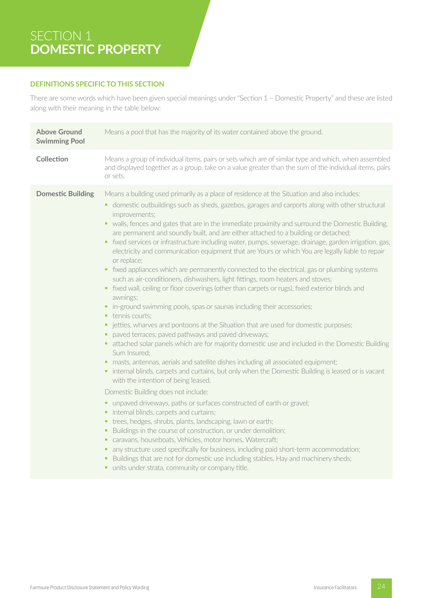# SECTION 1 **DOMESTIC PROPERTY**

# **DEFINITIONS SPECIFIC TO THIS SECTION**

There are some words which have been given special meanings under "Section 1 – Domestic Property" and these are listed along with their meaning in the table below:

| <b>Above Ground</b><br><b>Swimming Pool</b> | Means a pool that has the majority of its water contained above the ground.                                                                                                                                                                                                                                                                                                                                                                                                                                                                                                                                                                                                                                                                                                                                                                                                                                                                                                                                                                                                                                                                                                                                                                                                                                                                                                                                                                                                                                                                                                                                                                                                                                                                                                                                                                                                                                                                                                                                                                                                                                                                                             |
|---------------------------------------------|-------------------------------------------------------------------------------------------------------------------------------------------------------------------------------------------------------------------------------------------------------------------------------------------------------------------------------------------------------------------------------------------------------------------------------------------------------------------------------------------------------------------------------------------------------------------------------------------------------------------------------------------------------------------------------------------------------------------------------------------------------------------------------------------------------------------------------------------------------------------------------------------------------------------------------------------------------------------------------------------------------------------------------------------------------------------------------------------------------------------------------------------------------------------------------------------------------------------------------------------------------------------------------------------------------------------------------------------------------------------------------------------------------------------------------------------------------------------------------------------------------------------------------------------------------------------------------------------------------------------------------------------------------------------------------------------------------------------------------------------------------------------------------------------------------------------------------------------------------------------------------------------------------------------------------------------------------------------------------------------------------------------------------------------------------------------------------------------------------------------------------------------------------------------------|
| Collection                                  | Means a group of individual items, pairs or sets which are of similar type and which, when assembled<br>and displayed together as a group, take on a value greater than the sum of the individual items, pairs<br>or sets.                                                                                                                                                                                                                                                                                                                                                                                                                                                                                                                                                                                                                                                                                                                                                                                                                                                                                                                                                                                                                                                                                                                                                                                                                                                                                                                                                                                                                                                                                                                                                                                                                                                                                                                                                                                                                                                                                                                                              |
| <b>Domestic Building</b>                    | Means a building used primarily as a place of residence at the Situation and also includes:<br>• domestic outbuildings such as sheds, gazebos, garages and carports along with other structural<br>improvements;<br>• walls, fences and gates that are in the immediate proximity and surround the Domestic Building,<br>are permanent and soundly built, and are either attached to a building or detached;<br>fixed services or infrastructure including water, pumps, sewerage, drainage, garden irrigation, gas,<br>٠<br>electricity and communication equipment that are Yours or which You are legally liable to repair<br>or replace;<br>• fixed appliances which are permanently connected to the electrical, gas or plumbing systems<br>such as air-conditioners, dishwashers, light fittings, room heaters and stoves;<br>• fixed wall, ceiling or floor coverings (other than carpets or rugs), fixed exterior blinds and<br>awnings;<br>• in-ground swimming pools, spas or saunas including their accessories;<br>• tennis courts:<br>• jetties, wharves and pontoons at the Situation that are used for domestic purposes;<br>paved terraces, paved pathways and paved driveways;<br>• attached solar panels which are for majority domestic use and included in the Domestic Building<br>Sum Insured;<br>· masts, antennas, aerials and satellite dishes including all associated equipment;<br>• internal blinds, carpets and curtains, but only when the Domestic Building is leased or is vacant<br>with the intention of being leased.<br>Domestic Building does not include:<br>• unpaved driveways, paths or surfaces constructed of earth or gravel;<br>• internal blinds, carpets and curtains;<br>• trees, hedges, shrubs, plants, landscaping, lawn or earth;<br>• Buildings in the course of construction, or under demolition;<br>• caravans, houseboats, Vehicles, motor homes, Watercraft;<br>any structure used specifically for business, including paid short-term accommodation;<br>ш<br>Buildings that are not for domestic use including stables, Hay and machinery sheds;<br>ш<br>· units under strata, community or company title. |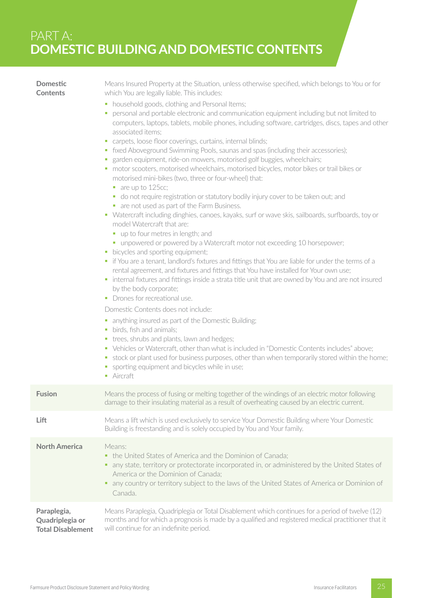**Domestic Contents**

Means Insured Property at the Situation, unless otherwise specified, which belongs to You or for which You are legally liable. This includes:

- **•** household goods, clothing and Personal Items;
- § personal and portable electronic and communication equipment including but not limited to computers, laptops, tablets, mobile phones, including software, cartridges, discs, tapes and other associated items;
- carpets, loose floor coverings, curtains, internal blinds;
- **•** fixed Aboveground Swimming Pools, saunas and spas (including their accessories);
- garden equipment, ride-on mowers, motorised golf buggies, wheelchairs;
- motor scooters, motorised wheelchairs, motorised bicycles, motor bikes or trail bikes or motorised mini-bikes (two, three or four-wheel) that:
	- are up to 125cc;
	- do not require registration or statutory bodily injury cover to be taken out; and
	- are not used as part of the Farm Business.
- § Watercraft including dinghies, canoes, kayaks, surf or wave skis, sailboards, surfboards, toy or model Watercraft that are:
	- up to four metres in length; and
	- unpowered or powered by a Watercraft motor not exceeding 10 horsepower;
- bicycles and sporting equipment;
- if You are a tenant, landlord's fixtures and fittings that You are liable for under the terms of a rental agreement, and fixtures and fittings that You have installed for Your own use;
- internal fixtures and fittings inside a strata title unit that are owned by You and are not insured by the body corporate;
- Drones for recreational use.

Domestic Contents does not include:

- anything insured as part of the Domestic Building;
- § birds, fish and animals;
- **•** trees, shrubs and plants, lawn and hedges;
- Vehicles or Watercraft, other than what is included in "Domestic Contents includes" above;
- **•** stock or plant used for business purposes, other than when temporarily stored within the home;
- **•** sporting equipment and bicycles while in use;
- Aircraft

| <b>Fusion</b>                                       | Means the process of fusing or melting together of the windings of an electric motor following<br>damage to their insulating material as a result of overheating caused by an electric current.                                                                                                                            |
|-----------------------------------------------------|----------------------------------------------------------------------------------------------------------------------------------------------------------------------------------------------------------------------------------------------------------------------------------------------------------------------------|
| Lift                                                | Means a lift which is used exclusively to service Your Domestic Building where Your Domestic<br>Building is freestanding and is solely occupied by You and Your family.                                                                                                                                                    |
| <b>North America</b>                                | Means:<br>• the United States of America and the Dominion of Canada;<br>any state, territory or protectorate incorporated in, or administered by the United States of<br>America or the Dominion of Canada:<br>any country or territory subject to the laws of the United States of America or Dominion of<br>٠<br>Canada. |
| Paraplegia,<br>Quadriplegia or<br>Total Disablement | Means Paraplegia, Quadriplegia or Total Disablement which continues for a period of twelve (12)<br>months and for which a prognosis is made by a qualified and registered medical practitioner that it<br>will continue for an indefinite period.                                                                          |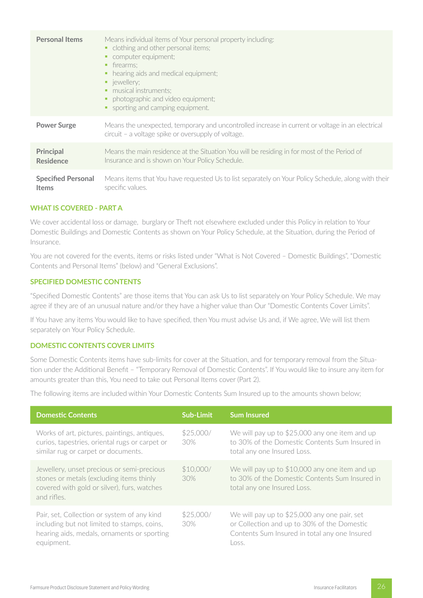| <b>Personal Items</b>     | Means individual items of Your personal property including:<br>• clothing and other personal items;<br>computer equipment;<br>firearms:<br>hearing aids and medical equipment;<br>٠<br>• jewellery;<br>musical instruments;<br>• photographic and video equipment;<br>sporting and camping equipment. |  |
|---------------------------|-------------------------------------------------------------------------------------------------------------------------------------------------------------------------------------------------------------------------------------------------------------------------------------------------------|--|
| <b>Power Surge</b>        | Means the unexpected, temporary and uncontrolled increase in current or voltage in an electrical<br>circuit – a voltage spike or oversupply of voltage.                                                                                                                                               |  |
| <b>Principal</b>          | Means the main residence at the Situation You will be residing in for most of the Period of                                                                                                                                                                                                           |  |
| <b>Residence</b>          | Insurance and is shown on Your Policy Schedule.                                                                                                                                                                                                                                                       |  |
| <b>Specified Personal</b> | Means items that You have requested Us to list separately on Your Policy Schedule, along with their                                                                                                                                                                                                   |  |
| <b>Items</b>              | specific values.                                                                                                                                                                                                                                                                                      |  |

# **WHAT IS COVERED - PART A**

We cover accidental loss or damage, burglary or Theft not elsewhere excluded under this Policy in relation to Your Domestic Buildings and Domestic Contents as shown on Your Policy Schedule, at the Situation, during the Period of Insurance.

You are not covered for the events, items or risks listed under "What is Not Covered - Domestic Buildings", "Domestic Contents and Personal Items" (below) and "General Exclusions".

# **SPECIFIED DOMESTIC CONTENTS**

"Specified Domestic Contents" are those items that You can ask Us to list separately on Your Policy Schedule. We may agree if they are of an unusual nature and/or they have a higher value than Our "Domestic Contents Cover Limits".

If You have any items You would like to have specified, then You must advise Us and, if We agree, We will list them separately on Your Policy Schedule.

# **DOMESTIC CONTENTS COVER LIMITS**

Some Domestic Contents items have sub-limits for cover at the Situation, and for temporary removal from the Situation under the Additional Benefit – "Temporary Removal of Domestic Contents". If You would like to insure any item for amounts greater than this, You need to take out Personal Items cover (Part 2).

The following items are included within Your Domestic Contents Sum Insured up to the amounts shown below;

| <b>Domestic Contents</b>                                                                                                                                | Sub-Limit        | <b>Sum Insured</b>                                                                                                                                    |
|---------------------------------------------------------------------------------------------------------------------------------------------------------|------------------|-------------------------------------------------------------------------------------------------------------------------------------------------------|
| Works of art, pictures, paintings, antiques,<br>curios, tapestries, oriental rugs or carpet or<br>similar rug or carpet or documents.                   | \$25,000/<br>30% | We will pay up to \$25,000 any one item and up<br>to 30% of the Domestic Contents Sum Insured in<br>total any one Insured Loss.                       |
| Jewellery, unset precious or semi-precious<br>stones or metals (excluding items thinly<br>covered with gold or silver), furs, watches<br>and rifles.    | \$10,000/<br>30% | We will pay up to \$10,000 any one item and up<br>to 30% of the Domestic Contents Sum Insured in<br>total any one Insured Loss.                       |
| Pair, set, Collection or system of any kind<br>including but not limited to stamps, coins,<br>hearing aids, medals, ornaments or sporting<br>equipment. | \$25,000/<br>30% | We will pay up to \$25,000 any one pair, set<br>or Collection and up to 30% of the Domestic<br>Contents Sum Insured in total any one Insured<br>Loss. |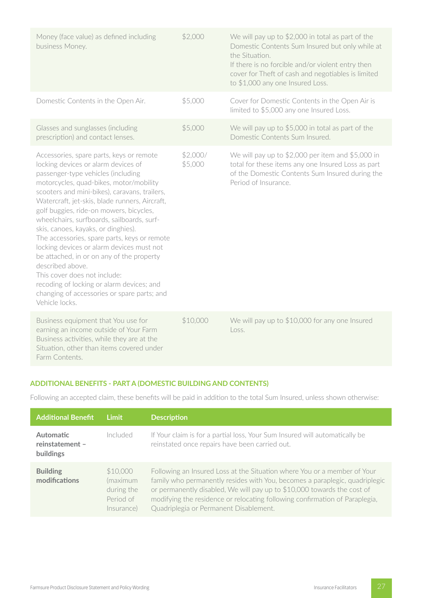| Money (face value) as defined including<br>business Money.                                                                                                                                                                                                                                                                                                                                                                                                                                                                                                                                                                                                                                                      | \$2,000             | We will pay up to \$2,000 in total as part of the<br>Domestic Contents Sum Insured but only while at<br>the Situation.<br>If there is no forcible and/or violent entry then<br>cover for Theft of cash and negotiables is limited<br>to \$1,000 any one Insured Loss. |
|-----------------------------------------------------------------------------------------------------------------------------------------------------------------------------------------------------------------------------------------------------------------------------------------------------------------------------------------------------------------------------------------------------------------------------------------------------------------------------------------------------------------------------------------------------------------------------------------------------------------------------------------------------------------------------------------------------------------|---------------------|-----------------------------------------------------------------------------------------------------------------------------------------------------------------------------------------------------------------------------------------------------------------------|
| Domestic Contents in the Open Air.                                                                                                                                                                                                                                                                                                                                                                                                                                                                                                                                                                                                                                                                              | \$5,000             | Cover for Domestic Contents in the Open Air is<br>limited to \$5,000 any one Insured Loss.                                                                                                                                                                            |
| Glasses and sunglasses (including<br>prescription) and contact lenses.                                                                                                                                                                                                                                                                                                                                                                                                                                                                                                                                                                                                                                          | \$5,000             | We will pay up to \$5,000 in total as part of the<br>Domestic Contents Sum Insured.                                                                                                                                                                                   |
| Accessories, spare parts, keys or remote<br>locking devices or alarm devices of<br>passenger-type vehicles (including<br>motorcycles, quad-bikes, motor/mobility<br>scooters and mini-bikes), caravans, trailers,<br>Watercraft, jet-skis, blade runners, Aircraft,<br>golf buggies, ride-on mowers, bicycles,<br>wheelchairs, surfboards, sailboards, surf-<br>skis, canoes, kayaks, or dinghies).<br>The accessories, spare parts, keys or remote<br>locking devices or alarm devices must not<br>be attached, in or on any of the property<br>described above.<br>This cover does not include:<br>recoding of locking or alarm devices; and<br>changing of accessories or spare parts; and<br>Vehicle locks. | \$2,000/<br>\$5,000 | We will pay up to \$2,000 per item and \$5,000 in<br>total for these items any one Insured Loss as part<br>of the Domestic Contents Sum Insured during the<br>Period of Insurance.                                                                                    |
| Business equipment that You use for<br>earning an income outside of Your Farm<br>Business activities, while they are at the<br>Situation, other than items covered under<br>Farm Contents.                                                                                                                                                                                                                                                                                                                                                                                                                                                                                                                      | \$10,000            | We will pay up to \$10,000 for any one Insured<br>Loss.                                                                                                                                                                                                               |

# **ADDITIONAL BENEFITS - PART A (DOMESTIC BUILDING AND CONTENTS)**

Following an accepted claim, these benefits will be paid in addition to the total Sum Insured, unless shown otherwise:

| <b>Additional Benefit</b>                        | Limit                                                         | <b>Description</b>                                                                                                                                                                                                                                                                                                                                          |
|--------------------------------------------------|---------------------------------------------------------------|-------------------------------------------------------------------------------------------------------------------------------------------------------------------------------------------------------------------------------------------------------------------------------------------------------------------------------------------------------------|
| <b>Automatic</b><br>reinstatement -<br>buildings | Included                                                      | If Your claim is for a partial loss, Your Sum Insured will automatically be<br>reinstated once repairs have been carried out.                                                                                                                                                                                                                               |
| <b>Building</b><br>modifications                 | \$10,000<br>(maximum<br>during the<br>Period of<br>Insurance) | Following an Insured Loss at the Situation where You or a member of Your<br>family who permanently resides with You, becomes a paraplegic, quadriplegic<br>or permanently disabled, We will pay up to \$10,000 towards the cost of<br>modifying the residence or relocating following confirmation of Paraplegia,<br>Quadriplegia or Permanent Disablement. |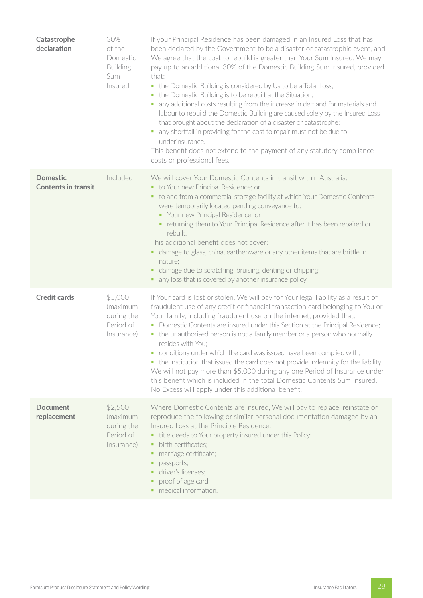| Catastrophe<br>declaration                    | 30%<br>of the<br>Domestic<br><b>Building</b><br>Sum<br>Insured | If your Principal Residence has been damaged in an Insured Loss that has<br>been declared by the Government to be a disaster or catastrophic event, and<br>We agree that the cost to rebuild is greater than Your Sum Insured, We may<br>pay up to an additional 30% of the Domestic Building Sum Insured, provided<br>that:<br>• the Domestic Building is considered by Us to be a Total Loss;<br>the Domestic Building is to be rebuilt at the Situation;<br>$\blacksquare$<br>any additional costs resulting from the increase in demand for materials and<br>labour to rebuild the Domestic Building are caused solely by the Insured Loss<br>that brought about the declaration of a disaster or catastrophe;<br>any shortfall in providing for the cost to repair must not be due to<br>$\blacksquare$<br>underinsurance.<br>This benefit does not extend to the payment of any statutory compliance<br>costs or professional fees. |
|-----------------------------------------------|----------------------------------------------------------------|-------------------------------------------------------------------------------------------------------------------------------------------------------------------------------------------------------------------------------------------------------------------------------------------------------------------------------------------------------------------------------------------------------------------------------------------------------------------------------------------------------------------------------------------------------------------------------------------------------------------------------------------------------------------------------------------------------------------------------------------------------------------------------------------------------------------------------------------------------------------------------------------------------------------------------------------|
| <b>Domestic</b><br><b>Contents in transit</b> | Included                                                       | We will cover Your Domestic Contents in transit within Australia:<br>• to Your new Principal Residence; or<br>• to and from a commercial storage facility at which Your Domestic Contents<br>were temporarily located pending conveyance to:<br>• Your new Principal Residence; or<br>• returning them to Your Principal Residence after it has been repaired or<br>rebuilt.<br>This additional benefit does not cover:<br>• damage to glass, china, earthenware or any other items that are brittle in<br>nature;<br>damage due to scratching, bruising, denting or chipping;<br>٠,<br>• any loss that is covered by another insurance policy.                                                                                                                                                                                                                                                                                           |
| <b>Credit cards</b>                           | \$5,000<br>(maximum<br>during the<br>Period of<br>Insurance)   | If Your card is lost or stolen, We will pay for Your legal liability as a result of<br>fraudulent use of any credit or financial transaction card belonging to You or<br>Your family, including fraudulent use on the internet, provided that:<br>• Domestic Contents are insured under this Section at the Principal Residence;<br>• the unauthorised person is not a family member or a person who normally<br>resides with You;<br>conditions under which the card was issued have been complied with;<br>• the institution that issued the card does not provide indemnity for the liability.<br>We will not pay more than \$5,000 during any one Period of Insurance under<br>this benefit which is included in the total Domestic Contents Sum Insured.<br>No Excess will apply under this additional benefit.                                                                                                                      |
| <b>Document</b><br>replacement                | \$2,500<br>(maximum<br>during the<br>Period of<br>Insurance)   | Where Domestic Contents are insured, We will pay to replace, reinstate or<br>reproduce the following or similar personal documentation damaged by an<br>Insured Loss at the Principle Residence:<br>• title deeds to Your property insured under this Policy;<br>birth certificates;<br>٠<br>marriage certificate;<br>٠<br>passports;<br>٠<br>driver's licenses:<br>proof of age card;<br>• medical information.                                                                                                                                                                                                                                                                                                                                                                                                                                                                                                                          |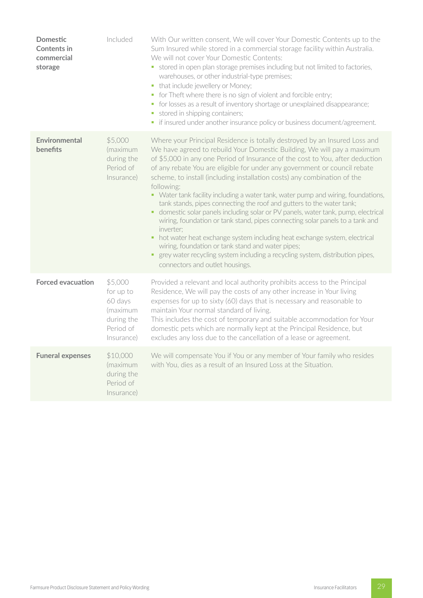| <b>Domestic</b><br><b>Contents in</b><br>commercial<br>storage | Included                                                                             | With Our written consent, We will cover Your Domestic Contents up to the<br>Sum Insured while stored in a commercial storage facility within Australia.<br>We will not cover Your Domestic Contents:<br>• stored in open plan storage premises including but not limited to factories,<br>warehouses, or other industrial-type premises;<br>• that include jewellery or Money;<br>for Theft where there is no sign of violent and forcible entry;<br>$\blacksquare$<br>• for losses as a result of inventory shortage or unexplained disappearance;<br>stored in shipping containers;<br>$\blacksquare$<br>if insured under another insurance policy or business document/agreement.<br>$\blacksquare$                                                                                                                                                                                                                                                                                                                           |
|----------------------------------------------------------------|--------------------------------------------------------------------------------------|----------------------------------------------------------------------------------------------------------------------------------------------------------------------------------------------------------------------------------------------------------------------------------------------------------------------------------------------------------------------------------------------------------------------------------------------------------------------------------------------------------------------------------------------------------------------------------------------------------------------------------------------------------------------------------------------------------------------------------------------------------------------------------------------------------------------------------------------------------------------------------------------------------------------------------------------------------------------------------------------------------------------------------|
| Environmental<br>benefits                                      | \$5,000<br>(maximum<br>during the<br>Period of<br>Insurance)                         | Where your Principal Residence is totally destroyed by an Insured Loss and<br>We have agreed to rebuild Your Domestic Building, We will pay a maximum<br>of \$5,000 in any one Period of Insurance of the cost to You, after deduction<br>of any rebate You are eligible for under any government or council rebate<br>scheme, to install (including installation costs) any combination of the<br>following:<br>• Water tank facility including a water tank, water pump and wiring, foundations,<br>tank stands, pipes connecting the roof and gutters to the water tank;<br>• domestic solar panels including solar or PV panels, water tank, pump, electrical<br>wiring, foundation or tank stand, pipes connecting solar panels to a tank and<br>inverter:<br>hot water heat exchange system including heat exchange system, electrical<br>٠.<br>wiring, foundation or tank stand and water pipes;<br>grey water recycling system including a recycling system, distribution pipes,<br>٠<br>connectors and outlet housings. |
| <b>Forced evacuation</b>                                       | \$5,000<br>for up to<br>60 days<br>(maximum<br>during the<br>Period of<br>Insurance) | Provided a relevant and local authority prohibits access to the Principal<br>Residence, We will pay the costs of any other increase in Your living<br>expenses for up to sixty (60) days that is necessary and reasonable to<br>maintain Your normal standard of living.<br>This includes the cost of temporary and suitable accommodation for Your<br>domestic pets which are normally kept at the Principal Residence, but<br>excludes any loss due to the cancellation of a lease or agreement.                                                                                                                                                                                                                                                                                                                                                                                                                                                                                                                               |
| <b>Funeral expenses</b>                                        | \$10,000<br>(maximum<br>during the<br>Period of<br>Insurance)                        | We will compensate You if You or any member of Your family who resides<br>with You, dies as a result of an Insured Loss at the Situation.                                                                                                                                                                                                                                                                                                                                                                                                                                                                                                                                                                                                                                                                                                                                                                                                                                                                                        |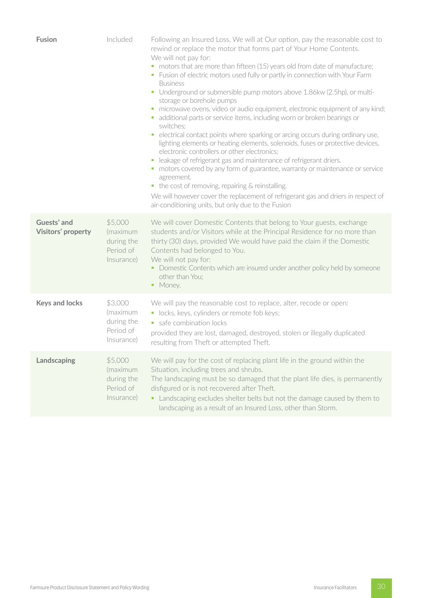| <b>Fusion</b>                     | Included                                                     | Following an Insured Loss, We will at Our option, pay the reasonable cost to<br>rewind or replace the motor that forms part of Your Home Contents.<br>We will not pay for:<br>• motors that are more than fifteen (15) years old from date of manufacture;<br>• Fusion of electric motors used fully or partly in connection with Your Farm<br><b>Business</b><br>• Underground or submersible pump motors above 1.86kw (2.5hp), or multi-<br>storage or borehole pumps<br>• microwave ovens, video or audio equipment, electronic equipment of any kind;<br>• additional parts or service items, including worn or broken bearings or<br>switches;<br>• electrical contact points where sparking or arcing occurs during ordinary use,<br>lighting elements or heating elements, solenoids, fuses or protective devices,<br>electronic controllers or other electronics;<br>· leakage of refrigerant gas and maintenance of refrigerant driers.<br>• motors covered by any form of guarantee, warranty or maintenance or service<br>agreement.<br>• the cost of removing, repairing & reinstalling.<br>We will however cover the replacement of refrigerant gas and driers in respect of<br>air-conditioning units, but only due to the Fusion |
|-----------------------------------|--------------------------------------------------------------|-------------------------------------------------------------------------------------------------------------------------------------------------------------------------------------------------------------------------------------------------------------------------------------------------------------------------------------------------------------------------------------------------------------------------------------------------------------------------------------------------------------------------------------------------------------------------------------------------------------------------------------------------------------------------------------------------------------------------------------------------------------------------------------------------------------------------------------------------------------------------------------------------------------------------------------------------------------------------------------------------------------------------------------------------------------------------------------------------------------------------------------------------------------------------------------------------------------------------------------------------|
| Guests' and<br>Visitors' property | \$5,000<br>(maximum<br>during the<br>Period of<br>Insurance) | We will cover Domestic Contents that belong to Your guests, exchange<br>students and/or Visitors while at the Principal Residence for no more than<br>thirty (30) days, provided We would have paid the claim if the Domestic<br>Contents had belonged to You.<br>We will not pay for:<br>• Domestic Contents which are insured under another policy held by someone<br>other than You;<br>• Money.                                                                                                                                                                                                                                                                                                                                                                                                                                                                                                                                                                                                                                                                                                                                                                                                                                             |
| <b>Keys and locks</b>             | \$3,000<br>(maximum<br>during the<br>Period of<br>Insurance) | We will pay the reasonable cost to replace, alter, recode or open:<br>• locks, keys, cylinders or remote fob keys;<br>safe combination locks<br>provided they are lost, damaged, destroyed, stolen or illegally duplicated<br>resulting from Theft or attempted Theft.                                                                                                                                                                                                                                                                                                                                                                                                                                                                                                                                                                                                                                                                                                                                                                                                                                                                                                                                                                          |
| Landscaping                       | \$5,000<br>(maximum<br>during the<br>Period of<br>Insurance) | We will pay for the cost of replacing plant life in the ground within the<br>Situation, including trees and shrubs.<br>The landscaping must be so damaged that the plant life dies, is permanently<br>disfigured or is not recovered after Theft.<br>• Landscaping excludes shelter belts but not the damage caused by them to<br>landscaping as a result of an Insured Loss, other than Storm.                                                                                                                                                                                                                                                                                                                                                                                                                                                                                                                                                                                                                                                                                                                                                                                                                                                 |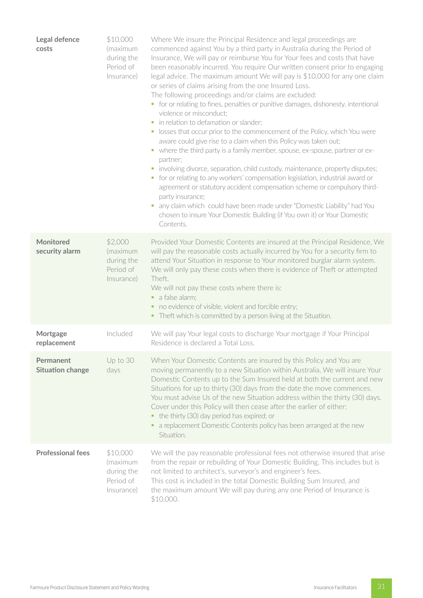| Legal defence<br>costs               | \$10,000<br>(maximum<br>during the<br>Period of<br>Insurance) | Where We insure the Principal Residence and legal proceedings are<br>commenced against You by a third party in Australia during the Period of<br>Insurance, We will pay or reimburse You for Your fees and costs that have<br>been reasonably incurred. You require Our written consent prior to engaging<br>legal advice. The maximum amount We will pay is \$10,000 for any one claim<br>or series of claims arising from the one Insured Loss.<br>The following proceedings and/or claims are excluded:<br>• for or relating to fines, penalties or punitive damages, dishonesty, intentional<br>violence or misconduct;<br>in relation to defamation or slander;<br>• losses that occur prior to the commencement of the Policy, which You were<br>aware could give rise to a claim when this Policy was taken out;<br>• where the third party is a family member, spouse, ex-spouse, partner or ex-<br>partner;<br>involving divorce, separation, child custody, maintenance, property disputes;<br>for or relating to any workers' compensation legislation, industrial award or<br>$\mathcal{L}_{\mathcal{A}}$<br>agreement or statutory accident compensation scheme or compulsory third-<br>party insurance;<br>any claim which could have been made under "Domestic Liability" had You<br>ш<br>chosen to insure Your Domestic Building (if You own it) or Your Domestic<br>Contents. |
|--------------------------------------|---------------------------------------------------------------|------------------------------------------------------------------------------------------------------------------------------------------------------------------------------------------------------------------------------------------------------------------------------------------------------------------------------------------------------------------------------------------------------------------------------------------------------------------------------------------------------------------------------------------------------------------------------------------------------------------------------------------------------------------------------------------------------------------------------------------------------------------------------------------------------------------------------------------------------------------------------------------------------------------------------------------------------------------------------------------------------------------------------------------------------------------------------------------------------------------------------------------------------------------------------------------------------------------------------------------------------------------------------------------------------------------------------------------------------------------------------------------------|
| Monitored<br>security alarm          | \$2,000<br>(maximum<br>during the<br>Period of<br>Insurance)  | Provided Your Domestic Contents are insured at the Principal Residence, We<br>will pay the reasonable costs actually incurred by You for a security firm to<br>attend Your Situation in response to Your monitored burglar alarm system.<br>We will only pay these costs when there is evidence of Theft or attempted<br>Theft.<br>We will not pay these costs where there is:<br>a false alarm:<br>• no evidence of visible, violent and forcible entry;<br>• Theft which is committed by a person living at the Situation.                                                                                                                                                                                                                                                                                                                                                                                                                                                                                                                                                                                                                                                                                                                                                                                                                                                                   |
| Mortgage<br>replacement              | Included                                                      | We will pay Your legal costs to discharge Your mortgage if Your Principal<br>Residence is declared a Total Loss.                                                                                                                                                                                                                                                                                                                                                                                                                                                                                                                                                                                                                                                                                                                                                                                                                                                                                                                                                                                                                                                                                                                                                                                                                                                                               |
| Permanent<br><b>Situation change</b> | Up to 30<br>days                                              | When Your Domestic Contents are insured by this Policy and You are<br>moving permanently to a new Situation within Australia, We will insure Your<br>Domestic Contents up to the Sum Insured held at both the current and new<br>Situations for up to thirty (30) days from the date the move commences.<br>You must advise Us of the new Situation address within the thirty (30) days.<br>Cover under this Policy will then cease after the earlier of either:<br>the thirty (30) day period has expired; or<br>a replacement Domestic Contents policy has been arranged at the new<br>٠.<br>Situation.                                                                                                                                                                                                                                                                                                                                                                                                                                                                                                                                                                                                                                                                                                                                                                                      |
| <b>Professional fees</b>             | \$10,000<br>(maximum<br>during the<br>Period of<br>Insurance) | We will the pay reasonable professional fees not otherwise insured that arise<br>from the repair or rebuilding of Your Domestic Building. This includes but is<br>not limited to architect's, surveyor's and engineer's fees.<br>This cost is included in the total Domestic Building Sum Insured, and<br>the maximum amount We will pay during any one Period of Insurance is<br>\$10,000.                                                                                                                                                                                                                                                                                                                                                                                                                                                                                                                                                                                                                                                                                                                                                                                                                                                                                                                                                                                                    |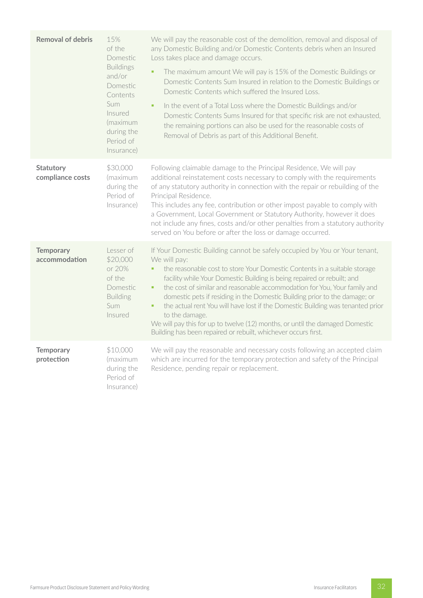| <b>Removal of debris</b>             | 15%<br>of the<br>Domestic<br><b>Buildings</b><br>and/or<br>Domestic<br>Contents<br>Sum<br>Insured<br>(maximum<br>during the<br>Period of<br>Insurance) | We will pay the reasonable cost of the demolition, removal and disposal of<br>any Domestic Building and/or Domestic Contents debris when an Insured<br>Loss takes place and damage occurs.<br>The maximum amount We will pay is 15% of the Domestic Buildings or<br>Domestic Contents Sum Insured in relation to the Domestic Buildings or<br>Domestic Contents which suffered the Insured Loss.<br>In the event of a Total Loss where the Domestic Buildings and/or<br>ú,<br>Domestic Contents Sums Insured for that specific risk are not exhausted,<br>the remaining portions can also be used for the reasonable costs of<br>Removal of Debris as part of this Additional Benefit. |
|--------------------------------------|--------------------------------------------------------------------------------------------------------------------------------------------------------|----------------------------------------------------------------------------------------------------------------------------------------------------------------------------------------------------------------------------------------------------------------------------------------------------------------------------------------------------------------------------------------------------------------------------------------------------------------------------------------------------------------------------------------------------------------------------------------------------------------------------------------------------------------------------------------|
| <b>Statutory</b><br>compliance costs | \$30,000<br>(maximum<br>during the<br>Period of<br>Insurance)                                                                                          | Following claimable damage to the Principal Residence, We will pay<br>additional reinstatement costs necessary to comply with the requirements<br>of any statutory authority in connection with the repair or rebuilding of the<br>Principal Residence.<br>This includes any fee, contribution or other impost payable to comply with<br>a Government, Local Government or Statutory Authority, however it does<br>not include any fines, costs and/or other penalties from a statutory authority<br>served on You before or after the loss or damage occurred.                                                                                                                        |
| <b>Temporary</b><br>accommodation    | Lesser of<br>\$20,000<br>or 20%<br>of the<br>Domestic<br><b>Building</b><br>Sum<br>Insured                                                             | If Your Domestic Building cannot be safely occupied by You or Your tenant,<br>We will pay:<br>the reasonable cost to store Your Domestic Contents in a suitable storage<br>facility while Your Domestic Building is being repaired or rebuilt; and<br>the cost of similar and reasonable accommodation for You, Your family and<br>٠<br>domestic pets if residing in the Domestic Building prior to the damage; or<br>the actual rent You will have lost if the Domestic Building was tenanted prior<br>٠<br>to the damage.<br>We will pay this for up to twelve (12) months, or until the damaged Domestic<br>Building has been repaired or rebuilt, whichever occurs first.          |
| <b>Temporary</b><br>protection       | \$10,000<br>(maximum<br>during the<br>Period of<br>Insurance)                                                                                          | We will pay the reasonable and necessary costs following an accepted claim<br>which are incurred for the temporary protection and safety of the Principal<br>Residence, pending repair or replacement.                                                                                                                                                                                                                                                                                                                                                                                                                                                                                 |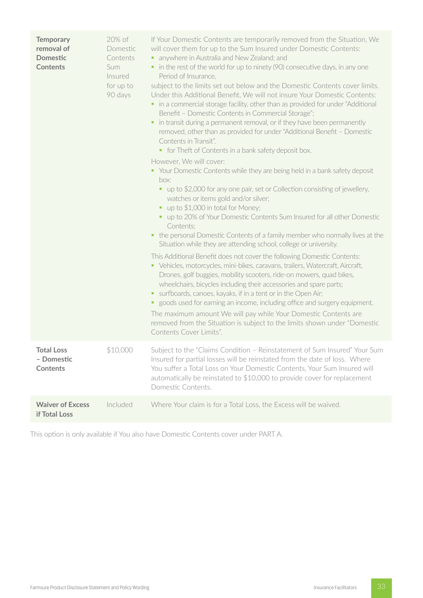| <b>Temporary</b><br>removal of<br><b>Domestic</b><br><b>Contents</b> | 20% of<br>Domestic<br>Contents<br>Sum<br>Insured<br>for up to<br>90 days | If Your Domestic Contents are temporarily removed from the Situation, We<br>will cover them for up to the Sum Insured under Domestic Contents:<br>• anywhere in Australia and New Zealand; and<br>• in the rest of the world for up to ninety (90) consecutive days, in any one<br>Period of Insurance,<br>subject to the limits set out below and the Domestic Contents cover limits.<br>Under this Additional Benefit, We will not insure Your Domestic Contents:<br>• in a commercial storage facility, other than as provided for under "Additional<br>Benefit - Domestic Contents in Commercial Storage";<br>in transit during a permanent removal, or if they have been permanently<br>٠<br>removed, other than as provided for under "Additional Benefit - Domestic<br>Contents in Transit".<br>• for Theft of Contents in a bank safety deposit box.<br>However, We will cover:<br>• Your Domestic Contents while they are being held in a bank safety deposit<br>box:<br>• up to \$2,000 for any one pair, set or Collection consisting of jewellery,<br>watches or items gold and/or silver;<br>• up to \$1,000 in total for Money;<br>• up to 20% of Your Domestic Contents Sum Insured for all other Domestic<br>Contents;<br>the personal Domestic Contents of a family member who normally lives at the<br>٠<br>Situation while they are attending school, college or university.<br>This Additional Benefit does not cover the following Domestic Contents:<br>• Vehicles, motorcycles, mini-bikes, caravans, trailers, Watercraft, Aircraft,<br>Drones, golf buggies, mobility scooters, ride-on mowers, quad bikes,<br>wheelchairs, bicycles including their accessories and spare parts;<br>• surfboards, canoes, kayaks, if in a tent or in the Open Air;<br>• goods used for earning an income, including office and surgery equipment.<br>The maximum amount We will pay while Your Domestic Contents are<br>removed from the Situation is subject to the limits shown under "Domestic<br>Contents Cover Limits". |
|----------------------------------------------------------------------|--------------------------------------------------------------------------|----------------------------------------------------------------------------------------------------------------------------------------------------------------------------------------------------------------------------------------------------------------------------------------------------------------------------------------------------------------------------------------------------------------------------------------------------------------------------------------------------------------------------------------------------------------------------------------------------------------------------------------------------------------------------------------------------------------------------------------------------------------------------------------------------------------------------------------------------------------------------------------------------------------------------------------------------------------------------------------------------------------------------------------------------------------------------------------------------------------------------------------------------------------------------------------------------------------------------------------------------------------------------------------------------------------------------------------------------------------------------------------------------------------------------------------------------------------------------------------------------------------------------------------------------------------------------------------------------------------------------------------------------------------------------------------------------------------------------------------------------------------------------------------------------------------------------------------------------------------------------------------------------------------------------------------------------------------------------------------------------------------------------------------|
| <b>Total Loss</b><br>- Domestic<br><b>Contents</b>                   | \$10,000                                                                 | Subject to the "Claims Condition - Reinstatement of Sum Insured" Your Sum<br>Insured for partial losses will be reinstated from the date of loss. Where<br>You suffer a Total Loss on Your Domestic Contents, Your Sum Insured will<br>automatically be reinstated to \$10,000 to provide cover for replacement<br>Domestic Contents.                                                                                                                                                                                                                                                                                                                                                                                                                                                                                                                                                                                                                                                                                                                                                                                                                                                                                                                                                                                                                                                                                                                                                                                                                                                                                                                                                                                                                                                                                                                                                                                                                                                                                                  |
| <b>Waiver of Excess</b><br>if Total Loss                             | Included                                                                 | Where Your claim is for a Total Loss, the Excess will be waived.                                                                                                                                                                                                                                                                                                                                                                                                                                                                                                                                                                                                                                                                                                                                                                                                                                                                                                                                                                                                                                                                                                                                                                                                                                                                                                                                                                                                                                                                                                                                                                                                                                                                                                                                                                                                                                                                                                                                                                       |

This option is only available if You also have Domestic Contents cover under PART A.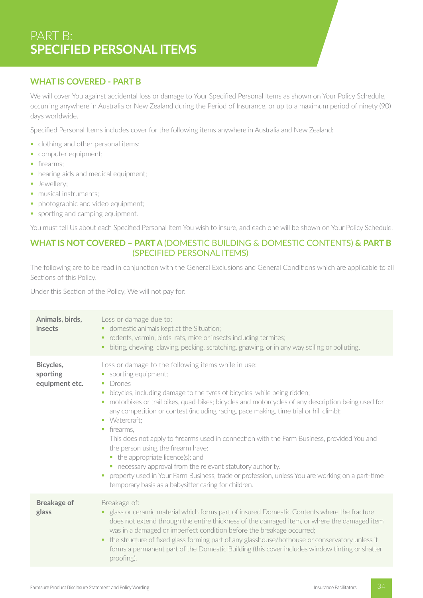# PART B: **SPECIFIED PERSONAL ITEMS**

# **WHAT IS COVERED - PART B**

We will cover You against accidental loss or damage to Your Specified Personal Items as shown on Your Policy Schedule, occurring anywhere in Australia or New Zealand during the Period of Insurance, or up to a maximum period of ninety (90) days worldwide.

Specified Personal Items includes cover for the following items anywhere in Australia and New Zealand:

- clothing and other personal items;
- **•** computer equipment;
- **•** firearms:
- hearing aids and medical equipment;
- **•** Jewellery;
- musical instruments:
- § photographic and video equipment;
- sporting and camping equipment.

You must tell Us about each Specified Personal Item You wish to insure, and each one will be shown on Your Policy Schedule.

# **WHAT IS NOT COVERED – PART A** (DOMESTIC BUILDING & DOMESTIC CONTENTS) **& PART B** (SPECIFIED PERSONAL ITEMS)

The following are to be read in conjunction with the General Exclusions and General Conditions which are applicable to all Sections of this Policy.

Under this Section of the Policy, We will not pay for:

| Animals, birds,<br>insects              | Loss or damage due to:<br>• domestic animals kept at the Situation;<br>rodents, vermin, birds, rats, mice or insects including termites;<br>٠<br>biting, chewing, clawing, pecking, scratching, gnawing, or in any way soiling or polluting.<br>٠                                                                                                                                                                                                                                                                                                                                                                                                                                                                                                                                                                                 |
|-----------------------------------------|-----------------------------------------------------------------------------------------------------------------------------------------------------------------------------------------------------------------------------------------------------------------------------------------------------------------------------------------------------------------------------------------------------------------------------------------------------------------------------------------------------------------------------------------------------------------------------------------------------------------------------------------------------------------------------------------------------------------------------------------------------------------------------------------------------------------------------------|
| Bicycles,<br>sporting<br>equipment etc. | Loss or damage to the following items while in use:<br>• sporting equipment;<br>Drones<br>and the<br>bicycles, including damage to the tyres of bicycles, while being ridden;<br>×<br>motorbikes or trail bikes, quad-bikes; bicycles and motorcycles of any description being used for<br>ш<br>any competition or contest (including racing, pace making, time trial or hill climb);<br>• Watercraft:<br>firearms.<br>ш<br>This does not apply to firearms used in connection with the Farm Business, provided You and<br>the person using the firearm have:<br>• the appropriate licence(s); and<br>• necessary approval from the relevant statutory authority.<br>property used in Your Farm Business, trade or profession, unless You are working on a part-time<br>ш<br>temporary basis as a babysitter caring for children. |
| <b>Breakage of</b><br>glass             | Breakage of:<br>• glass or ceramic material which forms part of insured Domestic Contents where the fracture<br>does not extend through the entire thickness of the damaged item, or where the damaged item<br>was in a damaged or imperfect condition before the breakage occurred;<br>the structure of fixed glass forming part of any glasshouse/hothouse or conservatory unless it<br>٠<br>forms a permanent part of the Domestic Building (this cover includes window tinting or shatter<br>proofing).                                                                                                                                                                                                                                                                                                                       |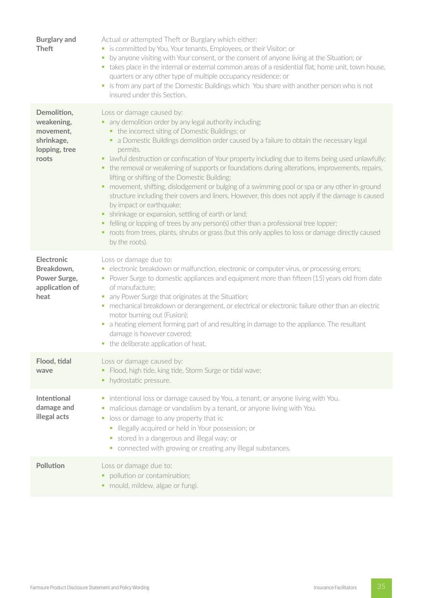| <b>Burglary and</b><br><b>Theft</b>                                            | Actual or attempted Theft or Burglary which either:<br>• is committed by You, Your tenants, Employees, or their Visitor; or<br>by anyone visiting with Your consent, or the consent of anyone living at the Situation; or<br>a.<br>• takes place in the internal or external common areas of a residential flat, home unit, town house,<br>quarters or any other type of multiple occupancy residence; or<br>• is from any part of the Domestic Buildings which You share with another person who is not<br>insured under this Section.                                                                                                                                                                                                                                                                                                                                                                                                                                                                                                  |
|--------------------------------------------------------------------------------|------------------------------------------------------------------------------------------------------------------------------------------------------------------------------------------------------------------------------------------------------------------------------------------------------------------------------------------------------------------------------------------------------------------------------------------------------------------------------------------------------------------------------------------------------------------------------------------------------------------------------------------------------------------------------------------------------------------------------------------------------------------------------------------------------------------------------------------------------------------------------------------------------------------------------------------------------------------------------------------------------------------------------------------|
| Demolition,<br>weakening,<br>movement,<br>shrinkage,<br>lopping, tree<br>roots | Loss or damage caused by:<br>• any demolition order by any legal authority including:<br>• the incorrect siting of Domestic Buildings; or<br>• a Domestic Buildings demolition order caused by a failure to obtain the necessary legal<br>permits.<br>• lawful destruction or confiscation of Your property including due to items being used unlawfully;<br>the removal or weakening of supports or foundations during alterations, improvements, repairs,<br>п<br>lifting or shifting of the Domestic Building;<br>movement, shifting, dislodgement or bulging of a swimming pool or spa or any other in-ground<br>п<br>structure including their covers and liners. However, this does not apply if the damage is caused<br>by impact or earthquake;<br>shrinkage or expansion, settling of earth or land;<br>٠<br>felling or lopping of trees by any person(s) other than a professional tree lopper;<br>٠<br>• roots from trees, plants, shrubs or grass (but this only applies to loss or damage directly caused<br>by the roots). |
| <b>Electronic</b><br>Breakdown,<br>Power Surge,<br>application of<br>heat      | Loss or damage due to:<br>• electronic breakdown or malfunction, electronic or computer virus, or processing errors;<br>• Power Surge to domestic appliances and equipment more than fifteen (15) years old from date<br>of manufacture;<br>any Power Surge that originates at the Situation;<br>ш<br>· mechanical breakdown or derangement, or electrical or electronic failure other than an electric<br>motor burning out (Fusion);<br>• a heating element forming part of and resulting in damage to the appliance. The resultant<br>damage is however covered;<br>• the deliberate application of heat.                                                                                                                                                                                                                                                                                                                                                                                                                             |
| Flood, tidal<br>wave                                                           | Loss or damage caused by:<br>• Flood, high tide, king tide, Storm Surge or tidal wave;<br>• hydrostatic pressure.                                                                                                                                                                                                                                                                                                                                                                                                                                                                                                                                                                                                                                                                                                                                                                                                                                                                                                                        |
| <b>Intentional</b><br>damage and<br>illegal acts                               | • intentional loss or damage caused by You, a tenant, or anyone living with You.<br>malicious damage or vandalism by a tenant, or anyone living with You.<br>ш<br>loss or damage to any property that is:<br>ш<br>· illegally acquired or held in Your possession; or<br>• stored in a dangerous and illegal way; or<br>• connected with growing or creating any illegal substances.                                                                                                                                                                                                                                                                                                                                                                                                                                                                                                                                                                                                                                                     |
| Pollution                                                                      | Loss or damage due to:<br>• pollution or contamination;<br>• mould, mildew, algae or fungi.                                                                                                                                                                                                                                                                                                                                                                                                                                                                                                                                                                                                                                                                                                                                                                                                                                                                                                                                              |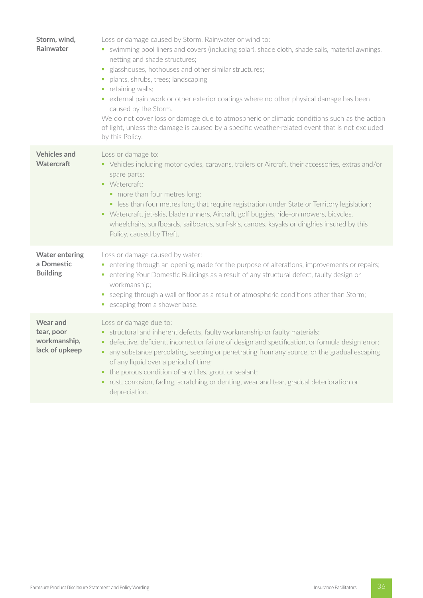| Storm, wind,<br>Rainwater                                       | Loss or damage caused by Storm, Rainwater or wind to:<br>• swimming pool liners and covers (including solar), shade cloth, shade sails, material awnings,<br>netting and shade structures;<br>glasshouses, hothouses and other similar structures;<br>ш<br>plants, shrubs, trees; landscaping<br>retaining walls;<br>• external paintwork or other exterior coatings where no other physical damage has been<br>caused by the Storm.<br>We do not cover loss or damage due to atmospheric or climatic conditions such as the action<br>of light, unless the damage is caused by a specific weather-related event that is not excluded<br>by this Policy. |
|-----------------------------------------------------------------|----------------------------------------------------------------------------------------------------------------------------------------------------------------------------------------------------------------------------------------------------------------------------------------------------------------------------------------------------------------------------------------------------------------------------------------------------------------------------------------------------------------------------------------------------------------------------------------------------------------------------------------------------------|
| <b>Vehicles and</b><br><b>Watercraft</b>                        | Loss or damage to:<br>• Vehicles including motor cycles, caravans, trailers or Aircraft, their accessories, extras and/or<br>spare parts;<br>• Watercraft:<br>• more than four metres long;<br>• less than four metres long that require registration under State or Territory legislation;<br>• Watercraft, jet-skis, blade runners, Aircraft, golf buggies, ride-on mowers, bicycles,<br>wheelchairs, surfboards, sailboards, surf-skis, canoes, kayaks or dinghies insured by this<br>Policy, caused by Theft.                                                                                                                                        |
| <b>Water entering</b><br>a Domestic<br><b>Building</b>          | Loss or damage caused by water:<br>entering through an opening made for the purpose of alterations, improvements or repairs;<br>ш<br>entering Your Domestic Buildings as a result of any structural defect, faulty design or<br>п<br>workmanship;<br>• seeping through a wall or floor as a result of atmospheric conditions other than Storm;<br>• escaping from a shower base.                                                                                                                                                                                                                                                                         |
| <b>Wear and</b><br>tear, poor<br>workmanship,<br>lack of upkeep | Loss or damage due to:<br>• structural and inherent defects, faulty workmanship or faulty materials;<br>defective, deficient, incorrect or failure of design and specification, or formula design error;<br>any substance percolating, seeping or penetrating from any source, or the gradual escaping<br>of any liquid over a period of time;<br>the porous condition of any tiles, grout or sealant;<br>٠<br>rust, corrosion, fading, scratching or denting, wear and tear, gradual deterioration or<br>depreciation.                                                                                                                                  |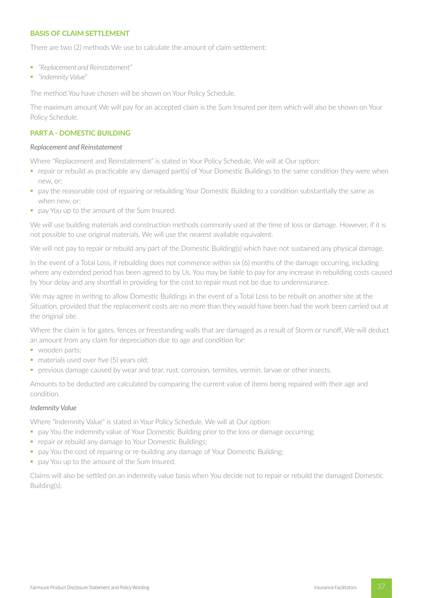# **BASIS OF CLAIM SETTLEMENT**

There are two (2) methods We use to calculate the amount of claim settlement:

- § *"Replacement and Reinstatement"*
- § *"Indemnity Value"*

The method You have chosen will be shown on Your Policy Schedule.

The maximum amount We will pay for an accepted claim is the Sum Insured per item which will also be shown on Your Policy Schedule.

## **PART A - DOMESTIC BUILDING**

#### *Replacement and Reinstatement*

Where "Replacement and Reinstatement" is stated in Your Policy Schedule, We will at Our option:

- § repair or rebuild as practicable any damaged part(s) of Your Domestic Buildings to the same condition they were when new, or;
- § pay the reasonable cost of repairing or rebuilding Your Domestic Building to a condition substantially the same as when new, or;
- pay You up to the amount of the Sum Insured.

We will use building materials and construction methods commonly used at the time of loss or damage. However, if it is not possible to use original materials, We will use the nearest available equivalent.

We will not pay to repair or rebuild any part of the Domestic Building(s) which have not sustained any physical damage.

In the event of a Total Loss, if rebuilding does not commence within six (6) months of the damage occurring, including where any extended period has been agreed to by Us, You may be liable to pay for any increase in rebuilding costs caused by Your delay and any shortfall in providing for the cost to repair must not be due to underinsurance.

We may agree in writing to allow Domestic Buildings in the event of a Total Loss to be rebuilt on another site at the Situation, provided that the replacement costs are no more than they would have been had the work been carried out at the original site.

Where the claim is for gates, fences or freestanding walls that are damaged as a result of Storm or runoff, We will deduct an amount from any claim for depreciation due to age and condition for:

- wooden parts;
- materials used over five (5) years old;
- § previous damage caused by wear and tear, rust, corrosion, termites, vermin, larvae or other insects.

Amounts to be deducted are calculated by comparing the current value of items being repaired with their age and condition.

#### *Indemnity Value*

Where "Indemnity Value" is stated in Your Policy Schedule, We will at Our option:

- **•** pay You the indemnity value of Your Domestic Building prior to the loss or damage occurring;
- repair or rebuild any damage to Your Domestic Buildings;
- pay You the cost of repairing or re-building any damage of Your Domestic Building;
- **•** pay You up to the amount of the Sum Insured.

Claims will also be settled on an indemnity value basis when You decide not to repair or rebuild the damaged Domestic Building(s).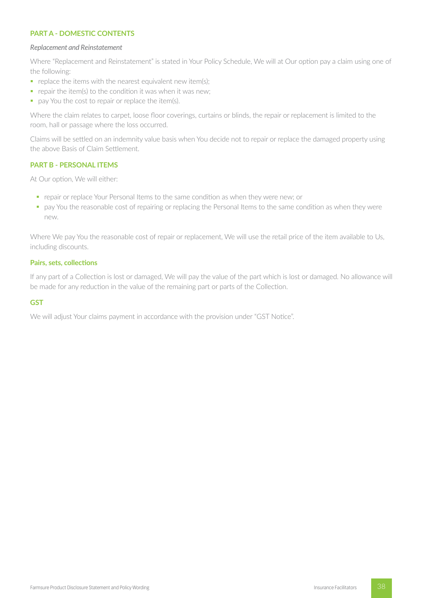# **PART A - DOMESTIC CONTENTS**

#### *Replacement and Reinstatement*

Where "Replacement and Reinstatement" is stated in Your Policy Schedule, We will at Our option pay a claim using one of the following:

- $\blacksquare$  replace the items with the nearest equivalent new item(s);
- $\blacksquare$  repair the item(s) to the condition it was when it was new;
- pay You the cost to repair or replace the item(s).

Where the claim relates to carpet, loose floor coverings, curtains or blinds, the repair or replacement is limited to the room, hall or passage where the loss occurred.

Claims will be settled on an indemnity value basis when You decide not to repair or replace the damaged property using the above Basis of Claim Settlement.

#### **PART B - PERSONAL ITEMS**

At Our option, We will either:

- § repair or replace Your Personal Items to the same condition as when they were new; or
- pay You the reasonable cost of repairing or replacing the Personal Items to the same condition as when they were new.

Where We pay You the reasonable cost of repair or replacement, We will use the retail price of the item available to Us, including discounts.

#### **Pairs, sets, collections**

If any part of a Collection is lost or damaged, We will pay the value of the part which is lost or damaged. No allowance will be made for any reduction in the value of the remaining part or parts of the Collection.

#### **GST**

We will adjust Your claims payment in accordance with the provision under "GST Notice".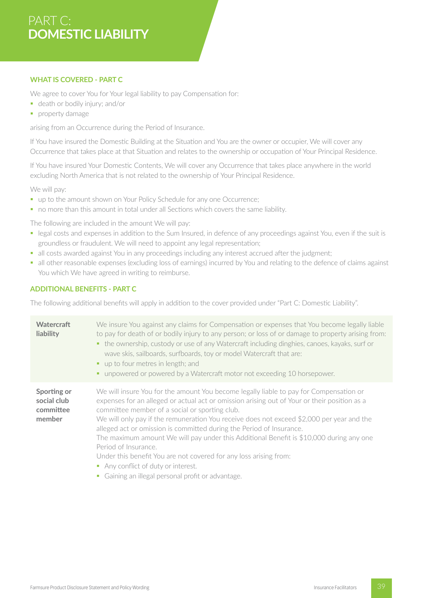# PART C: **DOMESTIC LIABILITY**

# **WHAT IS COVERED - PART C**

We agree to cover You for Your legal liability to pay Compensation for:

- **•** death or bodily injury; and/or
- **•** property damage

arising from an Occurrence during the Period of Insurance.

If You have insured the Domestic Building at the Situation and You are the owner or occupier, We will cover any Occurrence that takes place at that Situation and relates to the ownership or occupation of Your Principal Residence.

If You have insured Your Domestic Contents, We will cover any Occurrence that takes place anywhere in the world excluding North America that is not related to the ownership of Your Principal Residence.

We will pay:

- up to the amount shown on Your Policy Schedule for any one Occurrence;
- no more than this amount in total under all Sections which covers the same liability.

The following are included in the amount We will pay:

- § legal costs and expenses in addition to the Sum Insured, in defence of any proceedings against You, even if the suit is groundless or fraudulent. We will need to appoint any legal representation;
- all costs awarded against You in any proceedings including any interest accrued after the judgment;
- all other reasonable expenses (excluding loss of earnings) incurred by You and relating to the defence of claims against You which We have agreed in writing to reimburse.

# **ADDITIONAL BENEFITS - PART C**

The following additional benefits will apply in addition to the cover provided under "Part C: Domestic Liability".

| <b>Watercraft</b><br>liability                    | We insure You against any claims for Compensation or expenses that You become legally liable<br>to pay for death of or bodily injury to any person; or loss of or damage to property arising from:<br>• the ownership, custody or use of any Watercraft including dinghies, canoes, kayaks, surf or<br>wave skis, sailboards, surfboards, toy or model Watercraft that are:<br>• up to four metres in length; and<br>unpowered or powered by a Watercraft motor not exceeding 10 horsepower.                                                                                                                                                                                                       |
|---------------------------------------------------|----------------------------------------------------------------------------------------------------------------------------------------------------------------------------------------------------------------------------------------------------------------------------------------------------------------------------------------------------------------------------------------------------------------------------------------------------------------------------------------------------------------------------------------------------------------------------------------------------------------------------------------------------------------------------------------------------|
| Sporting or<br>social club<br>committee<br>member | We will insure You for the amount You become legally liable to pay for Compensation or<br>expenses for an alleged or actual act or omission arising out of Your or their position as a<br>committee member of a social or sporting club.<br>We will only pay if the remuneration You receive does not exceed \$2,000 per year and the<br>alleged act or omission is committed during the Period of Insurance.<br>The maximum amount We will pay under this Additional Benefit is \$10,000 during any one<br>Period of Insurance.<br>Under this benefit You are not covered for any loss arising from:<br>• Any conflict of duty or interest.<br>• Gaining an illegal personal profit or advantage. |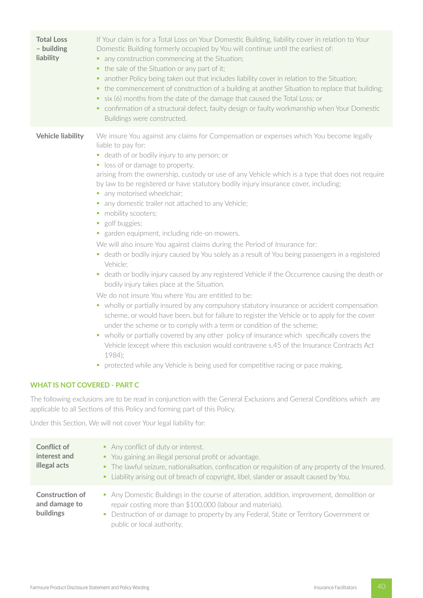| <b>Total Loss</b><br>- building<br>liability | If Your claim is for a Total Loss on Your Domestic Building, liability cover in relation to Your<br>Domestic Building formerly occupied by You will continue until the earliest of:<br>any construction commencing at the Situation;<br>• the sale of the Situation or any part of it;<br>another Policy being taken out that includes liability cover in relation to the Situation;<br>٠<br>the commencement of construction of a building at another Situation to replace that building;<br>six (6) months from the date of the damage that caused the Total Loss; or<br>٠<br>• confirmation of a structural defect, faulty design or faulty workmanship when Your Domestic<br>Buildings were constructed.                                                                                                                                                                                                                                                                                                                                                                                                                                                                                                                                                                                                                                                                                                                                                                                                                                                                             |
|----------------------------------------------|------------------------------------------------------------------------------------------------------------------------------------------------------------------------------------------------------------------------------------------------------------------------------------------------------------------------------------------------------------------------------------------------------------------------------------------------------------------------------------------------------------------------------------------------------------------------------------------------------------------------------------------------------------------------------------------------------------------------------------------------------------------------------------------------------------------------------------------------------------------------------------------------------------------------------------------------------------------------------------------------------------------------------------------------------------------------------------------------------------------------------------------------------------------------------------------------------------------------------------------------------------------------------------------------------------------------------------------------------------------------------------------------------------------------------------------------------------------------------------------------------------------------------------------------------------------------------------------|
| <b>Vehicle liability</b>                     | We insure You against any claims for Compensation or expenses which You become legally<br>liable to pay for:<br>• death of or bodily injury to any person; or<br>• loss of or damage to property,<br>arising from the ownership, custody or use of any Vehicle which is a type that does not require<br>by law to be registered or have statutory bodily injury insurance cover, including:<br>• any motorised wheelchair;<br>• any domestic trailer not attached to any Vehicle;<br>• mobility scooters;<br>golf buggies;<br>ш<br>• garden equipment, including ride-on mowers.<br>We will also insure You against claims during the Period of Insurance for:<br>• death or bodily injury caused by You solely as a result of You being passengers in a registered<br>Vehicle:<br>death or bodily injury caused by any registered Vehicle if the Occurrence causing the death or<br>$\mathcal{L}_{\mathcal{A}}$<br>bodily injury takes place at the Situation.<br>We do not insure You where You are entitled to be:<br>• wholly or partially insured by any compulsory statutory insurance or accident compensation<br>scheme, or would have been, but for failure to register the Vehicle or to apply for the cover<br>under the scheme or to comply with a term or condition of the scheme;<br>wholly or partially covered by any other policy of insurance which specifically covers the<br>Vehicle (except where this exclusion would contravene s.45 of the Insurance Contracts Act<br>1984);<br>protected while any Vehicle is being used for competitive racing or pace making. |
| <b>WHAT IS NOT COVERED - PART C</b>          |                                                                                                                                                                                                                                                                                                                                                                                                                                                                                                                                                                                                                                                                                                                                                                                                                                                                                                                                                                                                                                                                                                                                                                                                                                                                                                                                                                                                                                                                                                                                                                                          |
|                                              | The following exclusions are to be read in conjunction with the General Exclusions and General Conditions which are<br>applicable to all Sections of this Policy and forming part of this Policy.                                                                                                                                                                                                                                                                                                                                                                                                                                                                                                                                                                                                                                                                                                                                                                                                                                                                                                                                                                                                                                                                                                                                                                                                                                                                                                                                                                                        |

Under this Section, We will not cover Your legal liability for:

| <b>Conflict of</b><br>interest and<br>illegal acts          | Any conflict of duty or interest.<br>• You gaining an illegal personal profit or advantage.<br>• The lawful seizure, nationalisation, confiscation or requisition of any property of the Insured.<br>- Liability arising out of breach of copyright, libel, slander or assault caused by You. |
|-------------------------------------------------------------|-----------------------------------------------------------------------------------------------------------------------------------------------------------------------------------------------------------------------------------------------------------------------------------------------|
| <b>Construction of</b><br>and damage to<br><b>buildings</b> | • Any Domestic Buildings in the course of alteration, addition, improvement, demolition or<br>repair costing more than \$100,000 (labour and materials).<br>• Destruction of or damage to property by any Federal, State or Territory Government or<br>public or local authority.             |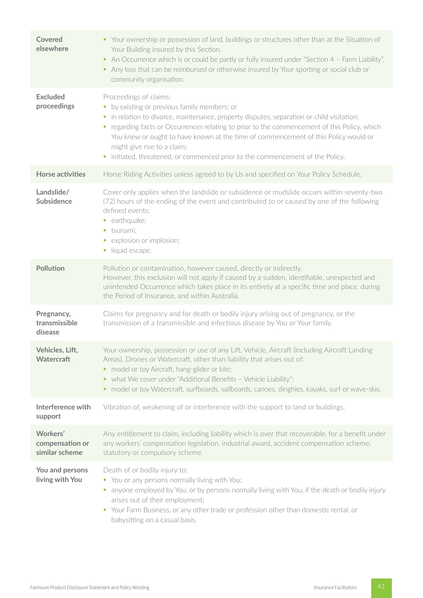| Covered<br>elsewhere                          | • Your ownership or possession of land, buildings or structures other than at the Situation of<br>Your Building insured by this Section.<br>An Occurrence which is or could be partly or fully insured under "Section 4 - Farm Liability".<br>• Any loss that can be reimbursed or otherwise insured by Your sporting or social club or<br>community organisation.                                                                                                          |
|-----------------------------------------------|-----------------------------------------------------------------------------------------------------------------------------------------------------------------------------------------------------------------------------------------------------------------------------------------------------------------------------------------------------------------------------------------------------------------------------------------------------------------------------|
| <b>Excluded</b><br>proceedings                | Proceedings of claims:<br>• by existing or previous family members; or<br>· in relation to divorce, maintenance, property disputes, separation or child visitation;<br>• regarding facts or Occurrences relating to prior to the commencement of this Policy, which<br>You knew or ought to have known at the time of commencement of this Policy would or<br>might give rise to a claim;<br>• initiated, threatened, or commenced prior to the commencement of the Policy. |
| <b>Horse activities</b>                       | Horse Riding Activities unless agreed to by Us and specified on Your Policy Schedule.                                                                                                                                                                                                                                                                                                                                                                                       |
| Landslide/<br>Subsidence                      | Cover only applies when the landslide or subsidence or mudslide occurs within seventy-two<br>(72) hours of the ending of the event and contributed to or caused by one of the following<br>defined events:<br>• earthquake;<br>· tsunami;<br>• explosion or implosion;<br>liquid escape.                                                                                                                                                                                    |
| <b>Pollution</b>                              | Pollution or contamination, however caused, directly or indirectly.<br>However, this exclusion will not apply if caused by a sudden, identifiable, unexpected and<br>unintended Occurrence which takes place in its entirety at a specific time and place, during<br>the Period of Insurance, and within Australia.                                                                                                                                                         |
| Pregnancy,<br>transmissible<br>disease        | Claims for pregnancy and for death or bodily injury arising out of pregnancy, or the<br>transmission of a transmissible and infectious disease by You or Your family.                                                                                                                                                                                                                                                                                                       |
| Vehicles, Lift,<br><b>Watercraft</b>          | Your ownership, possession or use of any Lift, Vehicle, Aircraft (including Aircraft Landing<br>Areas), Drones or Watercraft, other than liability that arises out of:<br>• model or toy Aircraft, hang-glider or kite;<br>• what We cover under "Additional Benefits - Vehicle Liability";<br>• model or toy Watercraft, surfboards, sailboards, canoes, dinghies, kayaks, surf or wave-skis.                                                                              |
| Interference with<br>support                  | Vibration of, weakening of or interference with the support to land or buildings.                                                                                                                                                                                                                                                                                                                                                                                           |
| Workers'<br>compensation or<br>similar scheme | Any entitlement to claim, including liability which is over that recoverable, for a benefit under<br>any workers' compensation legislation, industrial award, accident compensation scheme,<br>statutory or compulsory scheme.                                                                                                                                                                                                                                              |
| You and persons<br>living with You            | Death of or bodily injury to:<br>• You or any persons normally living with You;<br>anyone employed by You, or by persons normally living with You, if the death or bodily injury<br>ш<br>arises out of their employment;<br>Your Farm Business, or any other trade or profession other than domestic rental, or<br>ш<br>babysitting on a casual basis.                                                                                                                      |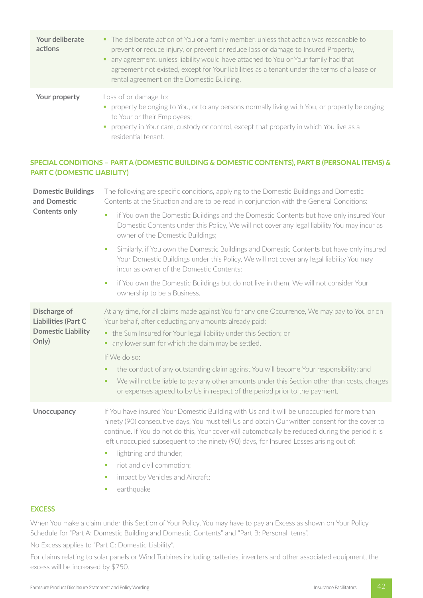| Your deliberate<br>actions | • The deliberate action of You or a family member, unless that action was reasonable to<br>prevent or reduce injury, or prevent or reduce loss or damage to Insured Property,<br>any agreement, unless liability would have attached to You or Your family had that<br>agreement not existed, except for Your liabilities as a tenant under the terms of a lease or<br>rental agreement on the Domestic Building. |
|----------------------------|-------------------------------------------------------------------------------------------------------------------------------------------------------------------------------------------------------------------------------------------------------------------------------------------------------------------------------------------------------------------------------------------------------------------|
| Your property              | Loss of or damage to:<br>• property belonging to You, or to any persons normally living with You, or property belonging<br>to Your or their Employees;<br>• property in Your care, custody or control, except that property in which You live as a                                                                                                                                                                |

# **SPECIAL CONDITIONS – PART A (DOMESTIC BUILDING & DOMESTIC CONTENTS), PART B (PERSONAL ITEMS) & PART C (DOMESTIC LIABILITY)**

residential tenant.

| The following are specific conditions, applying to the Domestic Buildings and Domestic<br>Contents at the Situation and are to be read in conjunction with the General Conditions:                                                                                                                                                                                                                                                                                                                                                                                                    |  |
|---------------------------------------------------------------------------------------------------------------------------------------------------------------------------------------------------------------------------------------------------------------------------------------------------------------------------------------------------------------------------------------------------------------------------------------------------------------------------------------------------------------------------------------------------------------------------------------|--|
| if You own the Domestic Buildings and the Domestic Contents but have only insured Your<br>$\mathcal{L}_{\mathcal{A}}$<br>Domestic Contents under this Policy, We will not cover any legal liability You may incur as<br>owner of the Domestic Buildings;                                                                                                                                                                                                                                                                                                                              |  |
| Similarly, if You own the Domestic Buildings and Domestic Contents but have only insured<br>ш<br>Your Domestic Buildings under this Policy, We will not cover any legal liability You may<br>incur as owner of the Domestic Contents;                                                                                                                                                                                                                                                                                                                                                 |  |
| if You own the Domestic Buildings but do not live in them, We will not consider Your<br>$\mathcal{L}_{\mathcal{A}}$<br>ownership to be a Business.                                                                                                                                                                                                                                                                                                                                                                                                                                    |  |
| At any time, for all claims made against You for any one Occurrence, We may pay to You or on<br>Your behalf, after deducting any amounts already paid:<br>• the Sum Insured for Your legal liability under this Section; or<br>any lower sum for which the claim may be settled.<br>٠<br>If We do so:<br>the conduct of any outstanding claim against You will become Your responsibility; and<br>٠<br>We will not be liable to pay any other amounts under this Section other than costs, charges<br>٠<br>or expenses agreed to by Us in respect of the period prior to the payment. |  |
| If You have insured Your Domestic Building with Us and it will be unoccupied for more than<br>ninety (90) consecutive days, You must tell Us and obtain Our written consent for the cover to<br>continue. If You do not do this, Your cover will automatically be reduced during the period it is<br>left unoccupied subsequent to the ninety (90) days, for Insured Losses arising out of:<br>lightning and thunder;<br>$\blacksquare$<br>riot and civil commotion;<br>×<br>impact by Vehicles and Aircraft;<br>ш<br>earthquake<br>ш                                                 |  |
|                                                                                                                                                                                                                                                                                                                                                                                                                                                                                                                                                                                       |  |

## **EXCESS**

When You make a claim under this Section of Your Policy, You may have to pay an Excess as shown on Your Policy Schedule for "Part A: Domestic Building and Domestic Contents" and "Part B: Personal Items".

No Excess applies to "Part C: Domestic Liability".

For claims relating to solar panels or Wind Turbines including batteries, inverters and other associated equipment, the excess will be increased by \$750.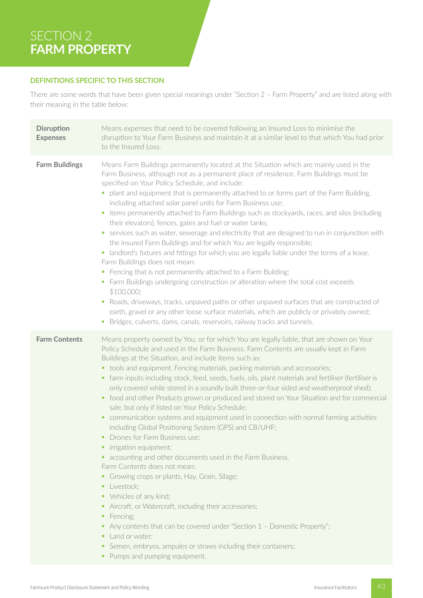# SECTION 2 **FARM PROPERTY**

## **DEFINITIONS SPECIFIC TO THIS SECTION**

There are some words that have been given special meanings under "Section 2 – Farm Property" and are listed along with their meaning in the table below:

| <b>Disruption</b><br><b>Expenses</b> | Means expenses that need to be covered following an Insured Loss to minimise the<br>disruption to Your Farm Business and maintain it at a similar level to that which You had prior<br>to the Insured Loss.                                                                                                                                                                                                                                                                                                                                                                                                                                                                                                                                                                                                                                                                                                                                                                                                                                                                                                                                                                                                                                                                                                                                                                                       |
|--------------------------------------|---------------------------------------------------------------------------------------------------------------------------------------------------------------------------------------------------------------------------------------------------------------------------------------------------------------------------------------------------------------------------------------------------------------------------------------------------------------------------------------------------------------------------------------------------------------------------------------------------------------------------------------------------------------------------------------------------------------------------------------------------------------------------------------------------------------------------------------------------------------------------------------------------------------------------------------------------------------------------------------------------------------------------------------------------------------------------------------------------------------------------------------------------------------------------------------------------------------------------------------------------------------------------------------------------------------------------------------------------------------------------------------------------|
| <b>Farm Buildings</b>                | Means Farm Buildings permanently located at the Situation which are mainly used in the<br>Farm Business, although not as a permanent place of residence. Farm Buildings must be<br>specified on Your Policy Schedule, and include:<br>plant and equipment that is permanently attached to or forms part of the Farm Building,<br>ш<br>including attached solar panel units for Farm Business use;<br>items permanently attached to Farm Buildings such as stockyards, races, and silos (including<br>ш<br>their elevators), fences, gates and fuel or water tanks;<br>• services such as water, sewerage and electricity that are designed to run in conjunction with<br>the insured Farm Buildings and for which You are legally responsible;<br>landlord's fixtures and fittings for which you are legally liable under the terms of a lease.<br>$\blacksquare$<br>Farm Buildings does not mean:<br>Fencing that is not permanently attached to a Farm Building;<br>ш<br>• Farm Buildings undergoing construction or alteration where the total cost exceeds<br>\$100,000;<br>Roads, driveways, tracks, unpaved paths or other unpaved surfaces that are constructed of<br>earth, gravel or any other loose surface materials, which are publicly or privately owned;<br>Bridges, culverts, dams, canals, reservoirs, railway tracks and tunnels.<br>a,                                         |
| <b>Farm Contents</b>                 | Means property owned by You, or for which You are legally liable, that are shown on Your<br>Policy Schedule and used in the Farm Business. Farm Contents are usually kept in Farm<br>Buildings at the Situation, and include items such as:<br>• tools and equipment, Fencing materials, packing materials and accessories;<br>farm inputs including stock, feed, seeds, fuels, oils, plant materials and fertiliser (fertiliser is<br>٠<br>only covered while stored in a soundly built three-or-four sided and weatherproof shed);<br>• food and other Products grown or produced and stored on Your Situation and for commercial<br>sale, but only if listed on Your Policy Schedule;<br>communication systems and equipment used in connection with normal farming activities<br>٠<br>including Global Positioning System (GPS) and CB/UHF;<br>• Drones for Farm Business use;<br>irrigation equipment;<br>۳<br>• accounting and other documents used in the Farm Business.<br>Farm Contents does not mean:<br>Growing crops or plants, Hay, Grain, Silage;<br>Livestock;<br>٠<br>Vehicles of any kind;<br>٠<br>Aircraft, or Watercraft, including their accessories;<br>Fencing;<br>٠<br>Any contents that can be covered under "Section $1$ - Domestic Property";<br>Land or water;<br>Semen, embryos, ampules or straws including their containers;<br>٠<br>• Pumps and pumping equipment. |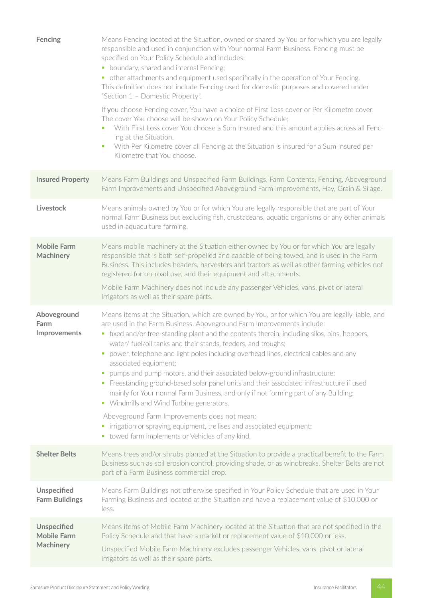| Fencing                                                      | Means Fencing located at the Situation, owned or shared by You or for which you are legally<br>responsible and used in conjunction with Your normal Farm Business. Fencing must be<br>specified on Your Policy Schedule and includes:<br>• boundary, shared and internal Fencing;<br>• other attachments and equipment used specifically in the operation of Your Fencing.<br>This definition does not include Fencing used for domestic purposes and covered under<br>"Section 1 - Domestic Property".<br>If you choose Fencing cover, You have a choice of First Loss cover or Per Kilometre cover.<br>The cover You choose will be shown on Your Policy Schedule;<br>With First Loss cover You choose a Sum Insured and this amount applies across all Fenc-<br>×<br>ing at the Situation.<br>With Per Kilometre cover all Fencing at the Situation is insured for a Sum Insured per<br>×<br>Kilometre that You choose.                                                                |
|--------------------------------------------------------------|-------------------------------------------------------------------------------------------------------------------------------------------------------------------------------------------------------------------------------------------------------------------------------------------------------------------------------------------------------------------------------------------------------------------------------------------------------------------------------------------------------------------------------------------------------------------------------------------------------------------------------------------------------------------------------------------------------------------------------------------------------------------------------------------------------------------------------------------------------------------------------------------------------------------------------------------------------------------------------------------|
| <b>Insured Property</b>                                      | Means Farm Buildings and Unspecified Farm Buildings, Farm Contents, Fencing, Aboveground<br>Farm Improvements and Unspecified Aboveground Farm Improvements, Hay, Grain & Silage.                                                                                                                                                                                                                                                                                                                                                                                                                                                                                                                                                                                                                                                                                                                                                                                                         |
| <b>Livestock</b>                                             | Means animals owned by You or for which You are legally responsible that are part of Your<br>normal Farm Business but excluding fish, crustaceans, aquatic organisms or any other animals<br>used in aquaculture farming.                                                                                                                                                                                                                                                                                                                                                                                                                                                                                                                                                                                                                                                                                                                                                                 |
| <b>Mobile Farm</b><br><b>Machinery</b>                       | Means mobile machinery at the Situation either owned by You or for which You are legally<br>responsible that is both self-propelled and capable of being towed, and is used in the Farm<br>Business. This includes headers, harvesters and tractors as well as other farming vehicles not<br>registered for on-road use, and their equipment and attachments.<br>Mobile Farm Machinery does not include any passenger Vehicles, vans, pivot or lateral<br>irrigators as well as their spare parts.                                                                                                                                                                                                                                                                                                                                                                                                                                                                                        |
| Aboveground<br>Farm<br>Improvements                          | Means items at the Situation, which are owned by You, or for which You are legally liable, and<br>are used in the Farm Business. Aboveground Farm Improvements include:<br>• fixed and/or free-standing plant and the contents therein, including silos, bins, hoppers,<br>water/ fuel/oil tanks and their stands, feeders, and troughs;<br>power, telephone and light poles including overhead lines, electrical cables and any<br>associated equipment;<br>pumps and pump motors, and their associated below-ground infrastructure;<br>ш<br>Freestanding ground-based solar panel units and their associated infrastructure if used<br>$\blacksquare$<br>mainly for Your normal Farm Business, and only if not forming part of any Building;<br>• Windmills and Wind Turbine generators.<br>Aboveground Farm Improvements does not mean:<br>irrigation or spraying equipment, trellises and associated equipment;<br>$\blacksquare$<br>• towed farm implements or Vehicles of any kind. |
| <b>Shelter Belts</b>                                         | Means trees and/or shrubs planted at the Situation to provide a practical benefit to the Farm<br>Business such as soil erosion control, providing shade, or as windbreaks. Shelter Belts are not<br>part of a Farm Business commercial crop.                                                                                                                                                                                                                                                                                                                                                                                                                                                                                                                                                                                                                                                                                                                                              |
| <b>Unspecified</b><br><b>Farm Buildings</b>                  | Means Farm Buildings not otherwise specified in Your Policy Schedule that are used in Your<br>Farming Business and located at the Situation and have a replacement value of \$10,000 or<br>less.                                                                                                                                                                                                                                                                                                                                                                                                                                                                                                                                                                                                                                                                                                                                                                                          |
| <b>Unspecified</b><br><b>Mobile Farm</b><br><b>Machinery</b> | Means items of Mobile Farm Machinery located at the Situation that are not specified in the<br>Policy Schedule and that have a market or replacement value of \$10,000 or less.<br>Unspecified Mobile Farm Machinery excludes passenger Vehicles, vans, pivot or lateral<br>irrigators as well as their spare parts.                                                                                                                                                                                                                                                                                                                                                                                                                                                                                                                                                                                                                                                                      |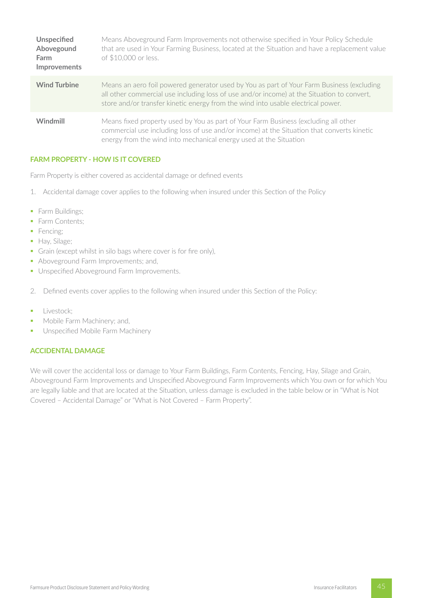| <b>Unspecified</b><br>Abovegound<br>Farm<br><b>Improvements</b> | Means Aboveground Farm Improvements not otherwise specified in Your Policy Schedule<br>that are used in Your Farming Business, located at the Situation and have a replacement value<br>of \$10,000 or less.                                                                |
|-----------------------------------------------------------------|-----------------------------------------------------------------------------------------------------------------------------------------------------------------------------------------------------------------------------------------------------------------------------|
| <b>Wind Turbine</b>                                             | Means an aero foil powered generator used by You as part of Your Farm Business (excluding<br>all other commercial use including loss of use and/or income) at the Situation to convert,<br>store and/or transfer kinetic energy from the wind into usable electrical power. |
| Windmill                                                        | Means fixed property used by You as part of Your Farm Business (excluding all other<br>commercial use including loss of use and/or income) at the Situation that converts kinetic<br>energy from the wind into mechanical energy used at the Situation                      |

## **FARM PROPERTY - HOW IS IT COVERED**

Farm Property is either covered as accidental damage or defined events

- 1. Accidental damage cover applies to the following when insured under this Section of the Policy
- Farm Buildings;
- Farm Contents;
- Fencing:
- § Hay, Silage;
- Grain (except whilst in silo bags where cover is for fire only),
- Aboveground Farm Improvements: and,
- **Unspecified Aboveground Farm Improvements.**
- 2. Defined events cover applies to the following when insured under this Section of the Policy:
- **■** Livestock:
- Mobile Farm Machinery; and,
- **Unspecified Mobile Farm Machinery**

# **ACCIDENTAL DAMAGE**

We will cover the accidental loss or damage to Your Farm Buildings, Farm Contents, Fencing, Hay, Silage and Grain, Aboveground Farm Improvements and Unspecified Aboveground Farm Improvements which You own or for which You are legally liable and that are located at the Situation, unless damage is excluded in the table below or in "What is Not Covered – Accidental Damage" or "What is Not Covered – Farm Property".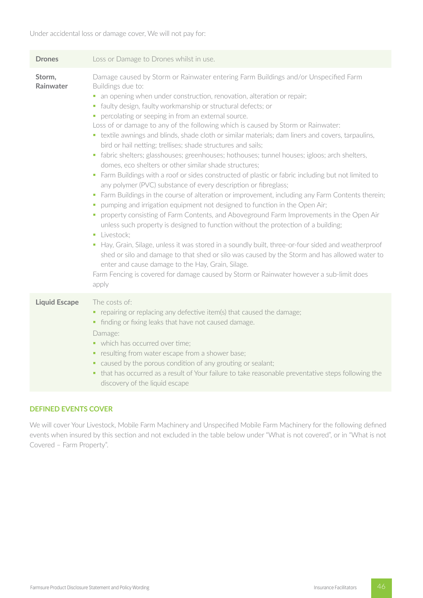| <b>Drones</b>        | Loss or Damage to Drones whilst in use.                                                                                                                                                                                                                                                                                                                                                                                                                                                                                                                                                                                                                                                                                                                                                                                                                                                                                                                                                                                                                                                                                                                                                                                                                                                                                                                                                                                                                                                                                                                                                                                                                               |  |  |
|----------------------|-----------------------------------------------------------------------------------------------------------------------------------------------------------------------------------------------------------------------------------------------------------------------------------------------------------------------------------------------------------------------------------------------------------------------------------------------------------------------------------------------------------------------------------------------------------------------------------------------------------------------------------------------------------------------------------------------------------------------------------------------------------------------------------------------------------------------------------------------------------------------------------------------------------------------------------------------------------------------------------------------------------------------------------------------------------------------------------------------------------------------------------------------------------------------------------------------------------------------------------------------------------------------------------------------------------------------------------------------------------------------------------------------------------------------------------------------------------------------------------------------------------------------------------------------------------------------------------------------------------------------------------------------------------------------|--|--|
| Storm,<br>Rainwater  | Damage caused by Storm or Rainwater entering Farm Buildings and/or Unspecified Farm<br>Buildings due to:<br>• an opening when under construction, renovation, alteration or repair;<br>· faulty design, faulty workmanship or structural defects; or<br>percolating or seeping in from an external source.<br>Loss of or damage to any of the following which is caused by Storm or Rainwater:<br>• textile awnings and blinds, shade cloth or similar materials; dam liners and covers, tarpaulins,<br>bird or hail netting; trellises; shade structures and sails;<br>• fabric shelters; glasshouses; greenhouses; hothouses; tunnel houses; igloos; arch shelters,<br>domes, eco shelters or other similar shade structures;<br>• Farm Buildings with a roof or sides constructed of plastic or fabric including but not limited to<br>any polymer (PVC) substance of every description or fibreglass;<br>• Farm Buildings in the course of alteration or improvement, including any Farm Contents therein;<br>pumping and irrigation equipment not designed to function in the Open Air;<br>a.<br>property consisting of Farm Contents, and Aboveground Farm Improvements in the Open Air<br>unless such property is designed to function without the protection of a building;<br>· Livestock:<br>• Hay, Grain, Silage, unless it was stored in a soundly built, three-or-four sided and weatherproof<br>shed or silo and damage to that shed or silo was caused by the Storm and has allowed water to<br>enter and cause damage to the Hay, Grain, Silage.<br>Farm Fencing is covered for damage caused by Storm or Rainwater however a sub-limit does<br>apply |  |  |
| <b>Liquid Escape</b> | The costs of:<br>• repairing or replacing any defective item(s) that caused the damage;<br>• finding or fixing leaks that have not caused damage.<br>Damage:<br>• which has occurred over time;<br>• resulting from water escape from a shower base;<br>• caused by the porous condition of any grouting or sealant;<br>that has occurred as a result of Your failure to take reasonable preventative steps following the<br>٠.<br>discovery of the liquid escape                                                                                                                                                                                                                                                                                                                                                                                                                                                                                                                                                                                                                                                                                                                                                                                                                                                                                                                                                                                                                                                                                                                                                                                                     |  |  |

# **DEFINED EVENTS COVER**

We will cover Your Livestock, Mobile Farm Machinery and Unspecified Mobile Farm Machinery for the following defined events when insured by this section and not excluded in the table below under "What is not covered", or in "What is not Covered – Farm Property".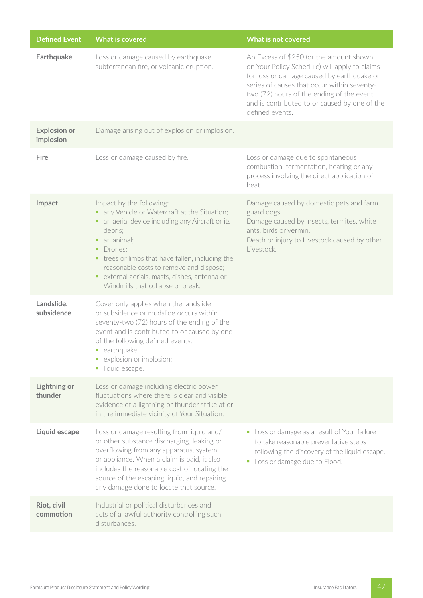| <b>Defined Event</b>             | <b>What is covered</b>                                                                                                                                                                                                                                                                                                                                                 | What is not covered                                                                                                                                                                                                                                                                                    |
|----------------------------------|------------------------------------------------------------------------------------------------------------------------------------------------------------------------------------------------------------------------------------------------------------------------------------------------------------------------------------------------------------------------|--------------------------------------------------------------------------------------------------------------------------------------------------------------------------------------------------------------------------------------------------------------------------------------------------------|
| <b>Earthquake</b>                | Loss or damage caused by earthquake,<br>subterranean fire, or volcanic eruption.                                                                                                                                                                                                                                                                                       | An Excess of \$250 (or the amount shown<br>on Your Policy Schedule) will apply to claims<br>for loss or damage caused by earthquake or<br>series of causes that occur within seventy-<br>two (72) hours of the ending of the event<br>and is contributed to or caused by one of the<br>defined events. |
| <b>Explosion or</b><br>implosion | Damage arising out of explosion or implosion.                                                                                                                                                                                                                                                                                                                          |                                                                                                                                                                                                                                                                                                        |
| Fire                             | Loss or damage caused by fire.                                                                                                                                                                                                                                                                                                                                         | Loss or damage due to spontaneous<br>combustion, fermentation, heating or any<br>process involving the direct application of<br>heat.                                                                                                                                                                  |
| Impact                           | Impact by the following:<br>any Vehicle or Watercraft at the Situation;<br>٠<br>• an aerial device including any Aircraft or its<br>debris;<br>an animal;<br>٠<br>Drones;<br>٠<br>• trees or limbs that have fallen, including the<br>reasonable costs to remove and dispose;<br>external aerials, masts, dishes, antenna or<br>٠<br>Windmills that collapse or break. | Damage caused by domestic pets and farm<br>guard dogs.<br>Damage caused by insects, termites, white<br>ants, birds or vermin.<br>Death or injury to Livestock caused by other<br>Livestock.                                                                                                            |
| Landslide,<br>subsidence         | Cover only applies when the landslide<br>or subsidence or mudslide occurs within<br>seventy-two (72) hours of the ending of the<br>event and is contributed to or caused by one<br>of the following defined events:<br>• earthquake;<br>explosion or implosion;<br>$\blacksquare$<br>liquid escape.<br>$\blacksquare$                                                  |                                                                                                                                                                                                                                                                                                        |
| <b>Lightning or</b><br>thunder   | Loss or damage including electric power<br>fluctuations where there is clear and visible<br>evidence of a lightning or thunder strike at or<br>in the immediate vicinity of Your Situation.                                                                                                                                                                            |                                                                                                                                                                                                                                                                                                        |
| Liquid escape                    | Loss or damage resulting from liquid and/<br>or other substance discharging, leaking or<br>overflowing from any apparatus, system<br>or appliance. When a claim is paid, it also<br>includes the reasonable cost of locating the<br>source of the escaping liquid, and repairing<br>any damage done to locate that source.                                             | • Loss or damage as a result of Your failure<br>to take reasonable preventative steps<br>following the discovery of the liquid escape.<br>Loss or damage due to Flood.<br>ш                                                                                                                            |
| Riot, civil<br>commotion         | Industrial or political disturbances and<br>acts of a lawful authority controlling such<br>disturbances.                                                                                                                                                                                                                                                               |                                                                                                                                                                                                                                                                                                        |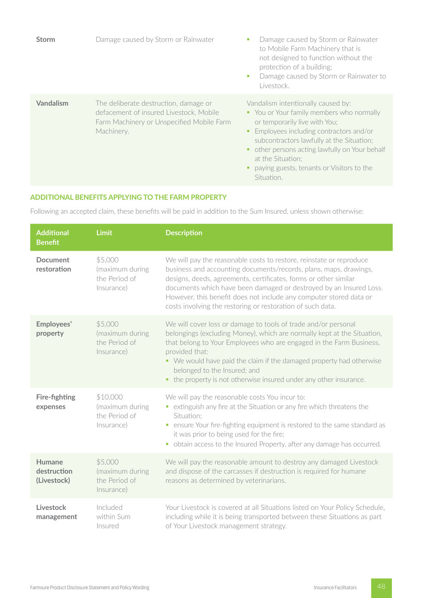| <b>Storm</b> | Damage caused by Storm or Rainwater                                                                                                         | Damage caused by Storm or Rainwater<br>ш<br>to Mobile Farm Machinery that is<br>not designed to function without the<br>protection of a building;<br>Damage caused by Storm or Rainwater to<br>٠<br>Livestock.                                                                                                                            |
|--------------|---------------------------------------------------------------------------------------------------------------------------------------------|-------------------------------------------------------------------------------------------------------------------------------------------------------------------------------------------------------------------------------------------------------------------------------------------------------------------------------------------|
| Vandalism    | The deliberate destruction, damage or<br>defacement of insured Livestock, Mobile<br>Farm Machinery or Unspecified Mobile Farm<br>Machinery. | Vandalism intentionally caused by:<br>• You or Your family members who normally<br>or temporarily live with You;<br>Employees including contractors and/or<br>subcontractors lawfully at the Situation;<br>• other persons acting lawfully on Your behalf<br>at the Situation:<br>paying guests, tenants or Visitors to the<br>Situation. |

# **ADDITIONAL BENEFITS APPLYING TO THE FARM PROPERTY**

Following an accepted claim, these benefits will be paid in addition to the Sum Insured, unless shown otherwise:

| <b>Additional</b><br><b>Benefit</b>  | <b>Limit</b>                                               | <b>Description</b>                                                                                                                                                                                                                                                                                                                                                                                                     |
|--------------------------------------|------------------------------------------------------------|------------------------------------------------------------------------------------------------------------------------------------------------------------------------------------------------------------------------------------------------------------------------------------------------------------------------------------------------------------------------------------------------------------------------|
| <b>Document</b><br>restoration       | \$5,000<br>(maximum during<br>the Period of<br>Insurance)  | We will pay the reasonable costs to restore, reinstate or reproduce<br>business and accounting documents/records, plans, maps, drawings,<br>designs, deeds, agreements, certificates, forms or other similar<br>documents which have been damaged or destroyed by an Insured Loss.<br>However, this benefit does not include any computer stored data or<br>costs involving the restoring or restoration of such data. |
| Employees'<br>property               | \$5,000<br>(maximum during<br>the Period of<br>Insurance)  | We will cover loss or damage to tools of trade and/or personal<br>belongings (excluding Money), which are normally kept at the Situation,<br>that belong to Your Employees who are engaged in the Farm Business,<br>provided that:<br>• We would have paid the claim if the damaged property had otherwise<br>belonged to the Insured; and<br>• the property is not otherwise insured under any other insurance.       |
| Fire-fighting<br>expenses            | \$10,000<br>(maximum during<br>the Period of<br>Insurance) | We will pay the reasonable costs You incur to:<br>• extinguish any fire at the Situation or any fire which threatens the<br>Situation:<br>• ensure Your fire-fighting equipment is restored to the same standard as<br>it was prior to being used for the fire;<br>obtain access to the Insured Property, after any damage has occurred.<br>$\blacksquare$                                                             |
| Humane<br>destruction<br>(Livestock) | \$5,000<br>(maximum during<br>the Period of<br>Insurance)  | We will pay the reasonable amount to destroy any damaged Livestock<br>and dispose of the carcasses if destruction is required for humane<br>reasons as determined by veterinarians.                                                                                                                                                                                                                                    |
| Livestock<br>management              | Included<br>within Sum<br>Insured                          | Your Livestock is covered at all Situations listed on Your Policy Schedule,<br>including while it is being transported between these Situations as part<br>of Your Livestock management strategy.                                                                                                                                                                                                                      |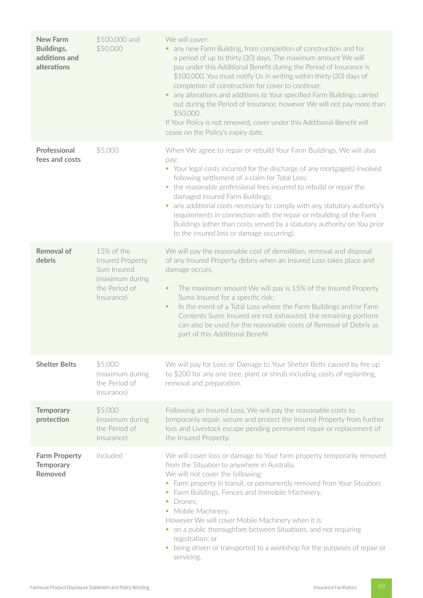| <b>New Farm</b><br>Buildings,<br>additions and<br>alterations | \$100,000 and<br>\$50,000                                                                       | We will cover:<br>any new Farm Building, from completion of construction and for<br>a period of up to thirty (30) days. The maximum amount We will<br>pay under this Additional Benefit during the Period of Insurance is<br>\$100,000. You must notify Us in writing within thirty (30) days of<br>completion of construction for cover to continue;<br>any alterations and additions to Your specified Farm Buildings carried<br>٠<br>out during the Period of Insurance, however We will not pay more than<br>\$50,000.<br>If Your Policy is not renewed, cover under this Additional Benefit will<br>cease on the Policy's expiry date. |
|---------------------------------------------------------------|-------------------------------------------------------------------------------------------------|---------------------------------------------------------------------------------------------------------------------------------------------------------------------------------------------------------------------------------------------------------------------------------------------------------------------------------------------------------------------------------------------------------------------------------------------------------------------------------------------------------------------------------------------------------------------------------------------------------------------------------------------|
| Professional<br>fees and costs                                | \$5,000                                                                                         | When We agree to repair or rebuild Your Farm Buildings, We will also<br>pay:<br>• Your legal costs incurred for the discharge of any mortgage(s) involved<br>following settlement of a claim for Total Loss;<br>the reasonable professional fees incurred to rebuild or repair the<br>$\blacksquare$<br>damaged insured Farm Buildings;<br>any additional costs necessary to comply with any statutory authority's<br>ш<br>requirements in connection with the repair or rebuilding of the Farm<br>Buildings (other than costs served by a statutory authority on You prior<br>to the insured loss or damage occurring).                    |
| <b>Removal of</b><br>debris                                   | 15% of the<br>Insured Property<br>Sum Insured<br>(maximum during<br>the Period of<br>Insurance) | We will pay the reasonable cost of demolition, removal and disposal<br>of any Insured Property debris when an Insured Loss takes place and<br>damage occurs.<br>The maximum amount We will pay is 15% of the Insured Property<br>٠<br>Sums Insured for a specific risk;<br>In the event of a Total Loss where the Farm Buildings and/or Farm<br>٠<br>Contents Sums Insured are not exhausted, the remaining portions<br>can also be used for the reasonable costs of Removal of Debris as<br>part of this Additional Benefit                                                                                                                |
| <b>Shelter Belts</b>                                          | \$5,000<br>(maximum during<br>the Period of<br>Insurance)                                       | We will pay for Loss or Damage to Your Shelter Belts caused by fire up<br>to \$200 for any one tree, plant or shrub including costs of replanting,<br>removal and preparation.                                                                                                                                                                                                                                                                                                                                                                                                                                                              |
| <b>Temporary</b><br>protection                                | \$5,000<br>(maximum during<br>the Period of<br>Insurance)                                       | Following an Insured Loss, We will pay the reasonable costs to<br>temporarily repair, secure and protect the Insured Property from further<br>loss and Livestock escape pending permanent repair or replacement of<br>the Insured Property.                                                                                                                                                                                                                                                                                                                                                                                                 |
| <b>Farm Property</b><br><b>Temporary</b><br>Removed           | Included                                                                                        | We will cover loss or damage to Your farm property temporarily removed<br>from the Situation to anywhere in Australia.<br>We will not cover the following:<br>• Farm property in transit, or permanently removed from Your Situation;<br>Farm Buildings, Fences and Immobile Machinery;<br>$\blacksquare$<br>Drones;<br>$\mathcal{L}_{\mathcal{A}}$<br>• Mobile Machinery.<br>However We will cover Mobile Machinery when it is:<br>• on a public thoroughfare between Situations, and not requiring<br>registration; or<br>being driven or transported to a workshop for the purposes of repair or<br>$\blacksquare$<br>servicing.         |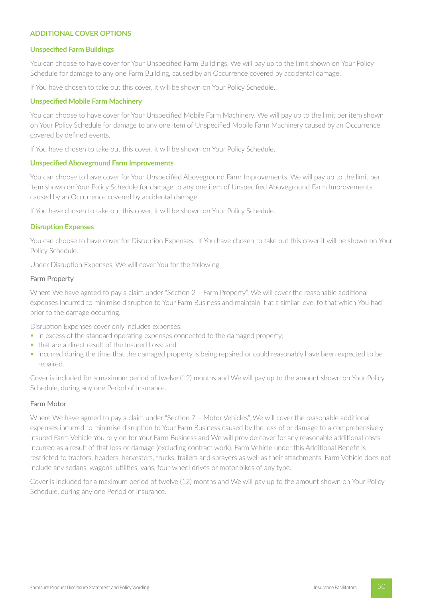## **ADDITIONAL COVER OPTIONS**

#### **Unspecified Farm Buildings**

You can choose to have cover for Your Unspecified Farm Buildings. We will pay up to the limit shown on Your Policy Schedule for damage to any one Farm Building, caused by an Occurrence covered by accidental damage.

If You have chosen to take out this cover, it will be shown on Your Policy Schedule.

#### **Unspecified Mobile Farm Machinery**

You can choose to have cover for Your Unspecified Mobile Farm Machinery. We will pay up to the limit per item shown on Your Policy Schedule for damage to any one item of Unspecified Mobile Farm Machinery caused by an Occurrence covered by defined events.

If You have chosen to take out this cover, it will be shown on Your Policy Schedule.

#### **Unspecified Aboveground Farm Improvements**

You can choose to have cover for Your Unspecified Aboveground Farm Improvements. We will pay up to the limit per item shown on Your Policy Schedule for damage to any one item of Unspecified Aboveground Farm Improvements caused by an Occurrence covered by accidental damage.

If You have chosen to take out this cover, it will be shown on Your Policy Schedule.

#### **Disruption Expenses**

You can choose to have cover for Disruption Expenses. If You have chosen to take out this cover it will be shown on Your Policy Schedule.

Under Disruption Expenses, We will cover You for the following:

#### Farm Property

Where We have agreed to pay a claim under "Section 2 – Farm Property", We will cover the reasonable additional expenses incurred to minimise disruption to Your Farm Business and maintain it at a similar level to that which You had prior to the damage occurring.

Disruption Expenses cover only includes expenses:

- in excess of the standard operating expenses connected to the damaged property;
- that are a direct result of the Insured Loss; and
- incurred during the time that the damaged property is being repaired or could reasonably have been expected to be repaired.

Cover is included for a maximum period of twelve (12) months and We will pay up to the amount shown on Your Policy Schedule, during any one Period of Insurance.

#### Farm Motor

Where We have agreed to pay a claim under "Section 7 - Motor Vehicles", We will cover the reasonable additional expenses incurred to minimise disruption to Your Farm Business caused by the loss of or damage to a comprehensivelyinsured Farm Vehicle You rely on for Your Farm Business and We will provide cover for any reasonable additional costs incurred as a result of that loss or damage (excluding contract work). Farm Vehicle under this Additional Benefit is restricted to tractors, headers, harvesters, trucks, trailers and sprayers as well as their attachments. Farm Vehicle does not include any sedans, wagons, utilities, vans, four-wheel drives or motor bikes of any type.

Cover is included for a maximum period of twelve (12) months and We will pay up to the amount shown on Your Policy Schedule, during any one Period of Insurance.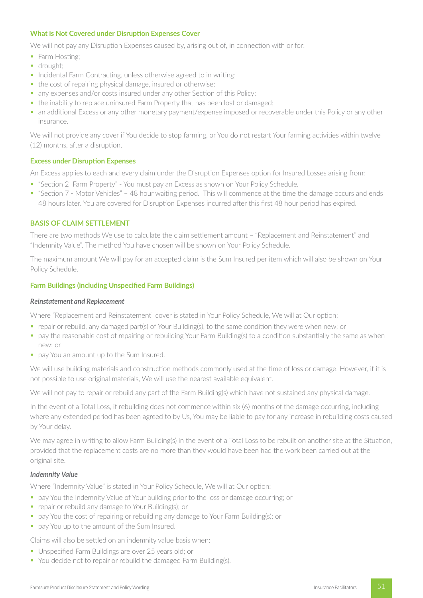### **What is Not Covered under Disruption Expenses Cover**

We will not pay any Disruption Expenses caused by, arising out of, in connection with or for:

- Farm Hosting;
- **•** drought:
- Incidental Farm Contracting, unless otherwise agreed to in writing;
- the cost of repairing physical damage, insured or otherwise;
- any expenses and/or costs insured under any other Section of this Policy;
- the inability to replace uninsured Farm Property that has been lost or damaged;
- an additional Excess or any other monetary payment/expense imposed or recoverable under this Policy or any other insurance.

We will not provide any cover if You decide to stop farming, or You do not restart Your farming activities within twelve (12) months, after a disruption.

### **Excess under Disruption Expenses**

An Excess applies to each and every claim under the Disruption Expenses option for Insured Losses arising from:

- "Section 2 Farm Property" You must pay an Excess as shown on Your Policy Schedule.
- § "Section 7 Motor Vehicles" 48 hour waiting period. This will commence at the time the damage occurs and ends 48 hours later. You are covered for Disruption Expenses incurred after this first 48 hour period has expired.

## **BASIS OF CLAIM SETTLEMENT**

There are two methods We use to calculate the claim settlement amount – "Replacement and Reinstatement" and "Indemnity Value". The method You have chosen will be shown on Your Policy Schedule.

The maximum amount We will pay for an accepted claim is the Sum Insured per item which will also be shown on Your Policy Schedule.

## **Farm Buildings (including Unspecified Farm Buildings)**

#### *Reinstatement and Replacement*

Where "Replacement and Reinstatement" cover is stated in Your Policy Schedule, We will at Our option:

- § repair or rebuild, any damaged part(s) of Your Building(s), to the same condition they were when new; or
- § pay the reasonable cost of repairing or rebuilding Your Farm Building(s) to a condition substantially the same as when new; or
- **pay You an amount up to the Sum Insured.**

We will use building materials and construction methods commonly used at the time of loss or damage. However, if it is not possible to use original materials, We will use the nearest available equivalent.

We will not pay to repair or rebuild any part of the Farm Building(s) which have not sustained any physical damage.

In the event of a Total Loss, if rebuilding does not commence within six (6) months of the damage occurring, including where any extended period has been agreed to by Us, You may be liable to pay for any increase in rebuilding costs caused by Your delay.

We may agree in writing to allow Farm Building(s) in the event of a Total Loss to be rebuilt on another site at the Situation, provided that the replacement costs are no more than they would have been had the work been carried out at the original site.

### *Indemnity Value*

Where "Indemnity Value" is stated in Your Policy Schedule, We will at Our option:

- **•** pay You the Indemnity Value of Your building prior to the loss or damage occurring; or
- repair or rebuild any damage to Your Building(s); or
- pay You the cost of repairing or rebuilding any damage to Your Farm Building(s); or
- **•** pay You up to the amount of the Sum Insured.

Claims will also be settled on an indemnity value basis when:

- Unspecified Farm Buildings are over 25 years old; or
- You decide not to repair or rebuild the damaged Farm Building(s).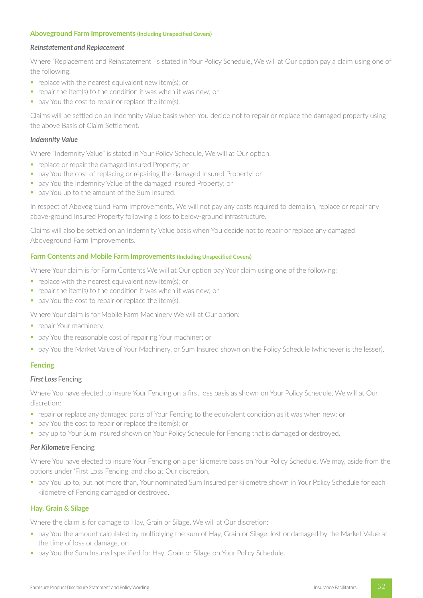#### **Aboveground Farm Improvements (Including Unspecified Covers)**

#### *Reinstatement and Replacement*

Where "Replacement and Reinstatement" is stated in Your Policy Schedule, We will at Our option pay a claim using one of the following:

- **•** replace with the nearest equivalent new item(s); or
- repair the item(s) to the condition it was when it was new; or
- pay You the cost to repair or replace the item(s).

Claims will be settled on an Indemnity Value basis when You decide not to repair or replace the damaged property using the above Basis of Claim Settlement.

#### *Indemnity Value*

Where "Indemnity Value" is stated in Your Policy Schedule, We will at Our option:

- **•** replace or repair the damaged Insured Property; or
- § pay You the cost of replacing or repairing the damaged Insured Property; or
- pay You the Indemnity Value of the damaged Insured Property; or
- **•** pay You up to the amount of the Sum Insured.

In respect of Aboveground Farm Improvements, We will not pay any costs required to demolish, replace or repair any above-ground Insured Property following a loss to below-ground infrastructure.

Claims will also be settled on an Indemnity Value basis when You decide not to repair or replace any damaged Aboveground Farm Improvements.

#### **Farm Contents and Mobile Farm Improvements (Including Unspecified Covers)**

Where Your claim is for Farm Contents We will at Our option pay Your claim using one of the following:

- replace with the nearest equivalent new item(s); or
- repair the item(s) to the condition it was when it was new; or
- **•** pay You the cost to repair or replace the item(s).

Where Your claim is for Mobile Farm Machinery We will at Our option:

- **•** repair Your machinery;
- pay You the reasonable cost of repairing Your machiner; or
- § pay You the Market Value of Your Machinery, or Sum Insured shown on the Policy Schedule (whichever is the lesser).

### **Fencing**

### **First Loss Fencing**

Where You have elected to insure Your Fencing on a first loss basis as shown on Your Policy Schedule, We will at Our discretion:

- § repair or replace any damaged parts of Your Fencing to the equivalent condition as it was when new; or
- pay You the cost to repair or replace the item(s); or
- pay up to Your Sum Insured shown on Your Policy Schedule for Fencing that is damaged or destroyed.

#### *Per Kilometre* Fencing

Where You have elected to insure Your Fencing on a per kilometre basis on Your Policy Schedule, We may, aside from the options under 'First Loss Fencing' and also at Our discretion,

§ pay You up to, but not more than, Your nominated Sum Insured per kilometre shown in Your Policy Schedule for each kilometre of Fencing damaged or destroyed.

#### **Hay, Grain & Silage**

Where the claim is for damage to Hay, Grain or Silage, We will at Our discretion:

- § pay You the amount calculated by multiplying the sum of Hay, Grain or Silage, lost or damaged by the Market Value at the time of loss or damage, or;
- **pay You the Sum Insured specified for Hay, Grain or Silage on Your Policy Schedule.**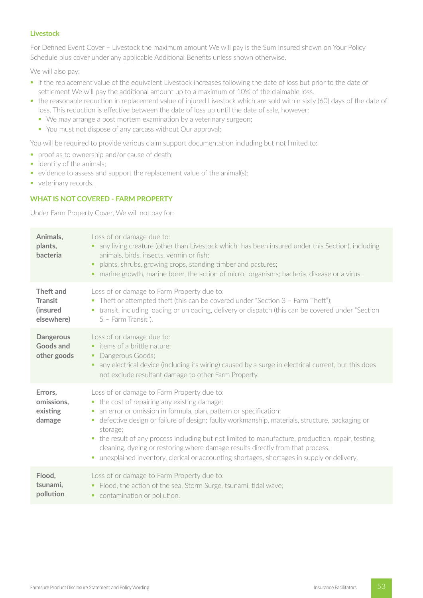## **Livestock**

For Defined Event Cover – Livestock the maximum amount We will pay is the Sum Insured shown on Your Policy Schedule plus cover under any applicable Additional Benefits unless shown otherwise.

We will also pay:

- if the replacement value of the equivalent Livestock increases following the date of loss but prior to the date of settlement We will pay the additional amount up to a maximum of 10% of the claimable loss.
- the reasonable reduction in replacement value of injured Livestock which are sold within sixty (60) days of the date of loss. This reduction is effective between the date of loss up until the date of sale, however:
	- We may arrange a post mortem examination by a veterinary surgeon;
	- You must not dispose of any carcass without Our approval;

You will be required to provide various claim support documentation including but not limited to:

- proof as to ownership and/or cause of death;
- identity of the animals;
- evidence to assess and support the replacement value of the animal(s);
- **•** veterinary records.

# **WHAT IS NOT COVERED - FARM PROPERTY**

Under Farm Property Cover, We will not pay for:

| Animals,<br>plants,<br>bacteria                       | Loss of or damage due to:<br>any living creature (other than Livestock which has been insured under this Section), including<br>٠<br>animals, birds, insects, vermin or fish;<br>plants, shrubs, growing crops, standing timber and pastures;<br>٠<br>• marine growth, marine borer, the action of micro- organisms; bacteria, disease or a virus.                                                                                                                                                                                                                           |
|-------------------------------------------------------|------------------------------------------------------------------------------------------------------------------------------------------------------------------------------------------------------------------------------------------------------------------------------------------------------------------------------------------------------------------------------------------------------------------------------------------------------------------------------------------------------------------------------------------------------------------------------|
| Theft and<br><b>Transit</b><br>(insured<br>elsewhere) | Loss of or damage to Farm Property due to:<br>• Theft or attempted theft (this can be covered under "Section 3 - Farm Theft");<br>• transit, including loading or unloading, delivery or dispatch (this can be covered under "Section"<br>5 - Farm Transit").                                                                                                                                                                                                                                                                                                                |
| <b>Dangerous</b><br><b>Goods and</b><br>other goods   | Loss of or damage due to:<br>• items of a brittle nature;<br>• Dangerous Goods;<br>any electrical device (including its wiring) caused by a surge in electrical current, but this does<br>٠<br>not exclude resultant damage to other Farm Property.                                                                                                                                                                                                                                                                                                                          |
| Errors,<br>omissions,<br>existing<br>damage           | Loss of or damage to Farm Property due to:<br>• the cost of repairing any existing damage;<br>an error or omission in formula, plan, pattern or specification;<br>ш<br>defective design or failure of design; faulty workmanship, materials, structure, packaging or<br>٠<br>storage;<br>• the result of any process including but not limited to manufacture, production, repair, testing,<br>cleaning, dyeing or restoring where damage results directly from that process;<br>• unexplained inventory, clerical or accounting shortages, shortages in supply or delivery. |
| Flood,<br>tsunami,<br>pollution                       | Loss of or damage to Farm Property due to:<br>Flood, the action of the sea, Storm Surge, tsunami, tidal wave;<br>٠<br>contamination or pollution.<br>٠.                                                                                                                                                                                                                                                                                                                                                                                                                      |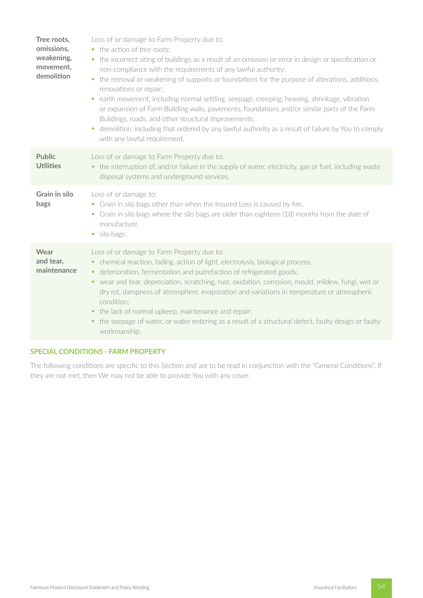| Tree roots,<br>omissions,<br>weakening,<br>movement,<br>demolition | Loss of or damage to Farm Property due to:<br>the action of tree roots:<br>• the incorrect siting of buildings as a result of an omission or error in design or specification or<br>non-compliance with the requirements of any lawful authority;<br>the removal or weakening of supports or foundations for the purpose of alterations, additions,<br>$\mathcal{L}_{\mathcal{A}}$<br>renovations or repair;<br>earth movement, including normal settling, seepage, creeping, heaving, shrinkage, vibration<br>a.<br>or expansion of Farm Building walls, pavements, foundations and/or similar parts of the Farm<br>Buildings, roads, and other structural improvements;<br>demolition, including that ordered by any lawful authority as a result of failure by You to comply<br>u.<br>with any lawful requirement. |
|--------------------------------------------------------------------|-----------------------------------------------------------------------------------------------------------------------------------------------------------------------------------------------------------------------------------------------------------------------------------------------------------------------------------------------------------------------------------------------------------------------------------------------------------------------------------------------------------------------------------------------------------------------------------------------------------------------------------------------------------------------------------------------------------------------------------------------------------------------------------------------------------------------|
| <b>Public</b><br><b>Utilities</b>                                  | Loss of or damage to Farm Property due to:<br>• the interruption of, and/or failure in the supply of water, electricity, gas or fuel, including waste<br>disposal systems and underground services.                                                                                                                                                                                                                                                                                                                                                                                                                                                                                                                                                                                                                   |
| <b>Grain in silo</b><br>bags                                       | Loss of or damage to:<br>• Grain in silo bags other than when the Insured Loss is caused by fire,<br>• Grain in silo bags where the silo bags are older than eighteen (18) months from the date of<br>manufacture,<br>• silo bags.                                                                                                                                                                                                                                                                                                                                                                                                                                                                                                                                                                                    |
| Wear<br>and tear,<br>maintenance                                   | Loss of or damage to Farm Property due to:<br>• chemical reaction, fading, action of light, electrolysis, biological process;<br>• deterioration, fermentation and putrefaction of refrigerated goods;<br>• wear and tear, depreciation, scratching, rust, oxidation, corrosion, mould, mildew, fungi, wet or<br>dry rot, dampness of atmosphere, evaporation and variations in temperature or atmospheric<br>condition;<br>• the lack of normal upkeep, maintenance and repair;<br>the seepage of water, or water entering as a result of a structural defect, faulty design or faulty<br>٠<br>workmanship.                                                                                                                                                                                                          |

## **SPECIAL CONDITIONS - FARM PROPERTY**

The following conditions are specific to this Section and are to be read in conjunction with the "General Conditions". If they are not met, then We may not be able to provide You with any cover.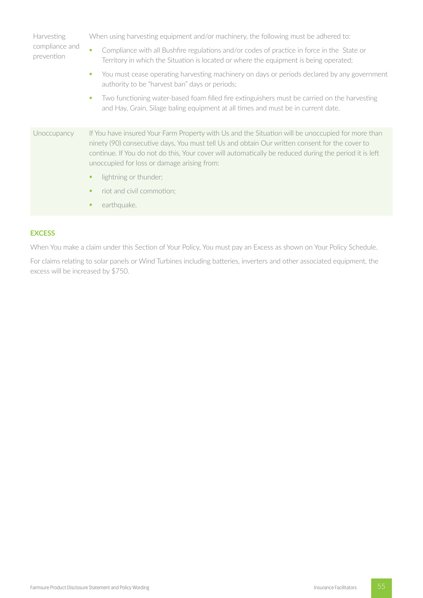| Harvesting<br>compliance and<br>prevention | When using harvesting equipment and/or machinery, the following must be adhered to:                                                                                                                                                                                                                                                                          |  |  |  |
|--------------------------------------------|--------------------------------------------------------------------------------------------------------------------------------------------------------------------------------------------------------------------------------------------------------------------------------------------------------------------------------------------------------------|--|--|--|
|                                            | Compliance with all Bushfire regulations and/or codes of practice in force in the State or<br>٠<br>Territory in which the Situation is located or where the equipment is being operated;                                                                                                                                                                     |  |  |  |
|                                            | You must cease operating harvesting machinery on days or periods declared by any government<br>u.<br>authority to be "harvest ban" days or periods;                                                                                                                                                                                                          |  |  |  |
|                                            | Two functioning water-based foam filled fire extinguishers must be carried on the harvesting<br>u.<br>and Hay, Grain, Silage baling equipment at all times and must be in current date.                                                                                                                                                                      |  |  |  |
| Unoccupancy                                | If You have insured Your Farm Property with Us and the Situation will be unoccupied for more than<br>ninety (90) consecutive days, You must tell Us and obtain Our written consent for the cover to<br>continue. If You do not do this, Your cover will automatically be reduced during the period it is left<br>unoccupied for loss or damage arising from: |  |  |  |
|                                            | lightning or thunder;<br>٠                                                                                                                                                                                                                                                                                                                                   |  |  |  |
|                                            | riot and civil commotion;<br>٠                                                                                                                                                                                                                                                                                                                               |  |  |  |
|                                            | earthquake.                                                                                                                                                                                                                                                                                                                                                  |  |  |  |

## **EXCESS**

When You make a claim under this Section of Your Policy, You must pay an Excess as shown on Your Policy Schedule.

For claims relating to solar panels or Wind Turbines including batteries, inverters and other associated equipment, the excess will be increased by \$750.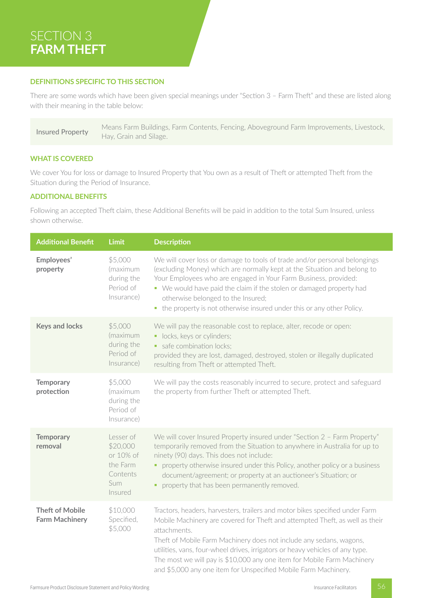# SECTION 3 **FARM THEFT**

## **DEFINITIONS SPECIFIC TO THIS SECTION**

There are some words which have been given special meanings under "Section 3 – Farm Theft" and these are listed along with their meaning in the table below:

Insured Property Means Farm Buildings, Farm Contents, Fencing, Aboveground Farm Improvements, Livestock, Hay, Grain and Silage.

### **WHAT IS COVERED**

We cover You for loss or damage to Insured Property that You own as a result of Theft or attempted Theft from the Situation during the Period of Insurance.

### **ADDITIONAL BENEFITS**

Following an accepted Theft claim, these Additional Benefits will be paid in addition to the total Sum Insured, unless shown otherwise.

| <b>Additional Benefit</b>                       | <b>Limit</b>                                                                 | <b>Description</b>                                                                                                                                                                                                                                                                                                                                                                                                                                                                 |
|-------------------------------------------------|------------------------------------------------------------------------------|------------------------------------------------------------------------------------------------------------------------------------------------------------------------------------------------------------------------------------------------------------------------------------------------------------------------------------------------------------------------------------------------------------------------------------------------------------------------------------|
| Employees'<br>property                          | \$5,000<br>(maximum<br>during the<br>Period of<br>Insurance)                 | We will cover loss or damage to tools of trade and/or personal belongings<br>(excluding Money) which are normally kept at the Situation and belong to<br>Your Employees who are engaged in Your Farm Business, provided:<br>• We would have paid the claim if the stolen or damaged property had<br>otherwise belonged to the Insured;<br>• the property is not otherwise insured under this or any other Policy.                                                                  |
| <b>Keys and locks</b>                           | \$5,000<br>(maximum<br>during the<br>Period of<br>Insurance)                 | We will pay the reasonable cost to replace, alter, recode or open:<br>• locks, keys or cylinders;<br>safe combination locks:<br>provided they are lost, damaged, destroyed, stolen or illegally duplicated<br>resulting from Theft or attempted Theft.                                                                                                                                                                                                                             |
| <b>Temporary</b><br>protection                  | \$5,000<br>(maximum<br>during the<br>Period of<br>Insurance)                 | We will pay the costs reasonably incurred to secure, protect and safeguard<br>the property from further Theft or attempted Theft.                                                                                                                                                                                                                                                                                                                                                  |
| <b>Temporary</b><br>removal                     | Lesser of<br>\$20,000<br>or 10% of<br>the Farm<br>Contents<br>Sum<br>Insured | We will cover Insured Property insured under "Section 2 - Farm Property"<br>temporarily removed from the Situation to anywhere in Australia for up to<br>ninety (90) days. This does not include:<br>• property otherwise insured under this Policy, another policy or a business<br>document/agreement; or property at an auctioneer's Situation; or<br>property that has been permanently removed.                                                                               |
| <b>Theft of Mobile</b><br><b>Farm Machinery</b> | \$10,000<br>Specified,<br>\$5,000                                            | Tractors, headers, harvesters, trailers and motor bikes specified under Farm<br>Mobile Machinery are covered for Theft and attempted Theft, as well as their<br>attachments.<br>Theft of Mobile Farm Machinery does not include any sedans, wagons,<br>utilities, vans, four-wheel drives, irrigators or heavy vehicles of any type.<br>The most we will pay is \$10,000 any one item for Mobile Farm Machinery<br>and \$5,000 any one item for Unspecified Mobile Farm Machinery. |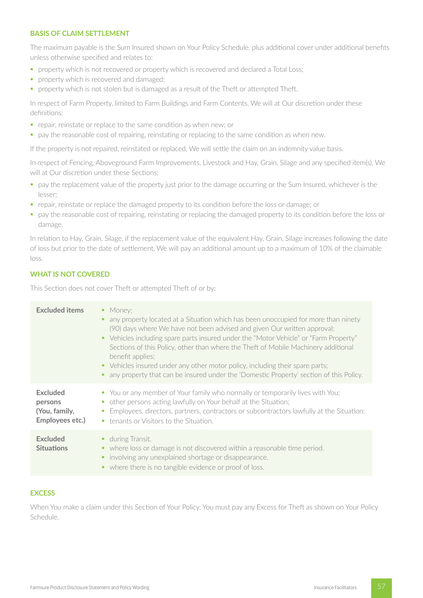## **BASIS OF CLAIM SETTLEMENT**

The maximum payable is the Sum Insured shown on Your Policy Schedule, plus additional cover under additional benefits unless otherwise specified and relates to:

- **•** property which is not recovered or property which is recovered and declared a Total Loss;
- **•** property which is recovered and damaged;
- **•** property which is not stolen but is damaged as a result of the Theft or attempted Theft.

In respect of Farm Property, limited to Farm Buildings and Farm Contents, We will at Our discretion under these definitions:

- **•** repair, reinstate or replace to the same condition as when new; or
- pay the reasonable cost of repairing, reinstating or replacing to the same condition as when new.

If the property is not repaired, reinstated or replaced, We will settle the claim on an indemnity value basis.

In respect of Fencing, Aboveground Farm Improvements, Livestock and Hay, Grain, Silage and any specified item(s), We will at Our discretion under these Sections:

- § pay the replacement value of the property just prior to the damage occurring or the Sum Insured, whichever is the lesser;
- § repair, reinstate or replace the damaged property to its condition before the loss or damage; or
- § pay the reasonable cost of repairing, reinstating or replacing the damaged property to its condition before the loss or damage.

In relation to Hay, Grain, Silage, if the replacement value of the equivalent Hay, Grain, Silage increases following the date of loss but prior to the date of settlement, We will pay an additional amount up to a maximum of 10% of the claimable loss.

## **WHAT IS NOT COVERED**

This Section does not cover Theft or attempted Theft of or by:

| <b>Excluded items</b>                                          | • Money:<br>any property located at a Situation which has been unoccupied for more than ninety<br>٠<br>(90) days where We have not been advised and given Our written approval;<br>• Vehicles including spare parts insured under the "Motor Vehicle" or "Farm Property"<br>Sections of this Policy, other than where the Theft of Mobile Machinery additional<br>benefit applies;<br>• Vehicles insured under any other motor policy, including their spare parts;<br>any property that can be insured under the 'Domestic Property' section of this Policy.<br>٠ |
|----------------------------------------------------------------|--------------------------------------------------------------------------------------------------------------------------------------------------------------------------------------------------------------------------------------------------------------------------------------------------------------------------------------------------------------------------------------------------------------------------------------------------------------------------------------------------------------------------------------------------------------------|
| <b>Excluded</b><br>persons<br>(You, family,<br>Employees etc.) | • You or any member of Your family who normally or temporarily lives with You;<br>other persons acting lawfully on Your behalf at the Situation;<br>$\mathcal{L}_{\mathcal{A}}$<br>Employees, directors, partners, contractors or subcontractors lawfully at the Situation;<br>$\mathcal{L}_{\mathcal{A}}$<br>• tenants or Visitors to the Situation.                                                                                                                                                                                                              |
| <b>Excluded</b><br><b>Situations</b>                           | ■ during Transit.<br>• where loss or damage is not discovered within a reasonable time period.<br>involving any unexplained shortage or disappearance.<br>٠<br>• where there is no tangible evidence or proof of loss.                                                                                                                                                                                                                                                                                                                                             |

## **EXCESS**

When You make a claim under this Section of Your Policy, You must pay any Excess for Theft as shown on Your Policy Schedule.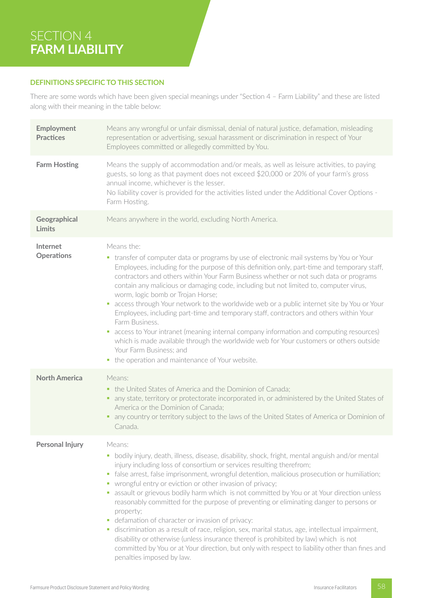# SECTION 4 **FARM LIABILITY**

## **DEFINITIONS SPECIFIC TO THIS SECTION**

There are some words which have been given special meanings under "Section 4 – Farm Liability" and these are listed along with their meaning in the table below:

| Employment<br><b>Practices</b> | Means any wrongful or unfair dismissal, denial of natural justice, defamation, misleading<br>representation or advertising, sexual harassment or discrimination in respect of Your<br>Employees committed or allegedly committed by You.                                                                                                                                                                                                                                                                                                                                                                                                                                                                                                                                                                                                                                                                                                                           |
|--------------------------------|--------------------------------------------------------------------------------------------------------------------------------------------------------------------------------------------------------------------------------------------------------------------------------------------------------------------------------------------------------------------------------------------------------------------------------------------------------------------------------------------------------------------------------------------------------------------------------------------------------------------------------------------------------------------------------------------------------------------------------------------------------------------------------------------------------------------------------------------------------------------------------------------------------------------------------------------------------------------|
| <b>Farm Hosting</b>            | Means the supply of accommodation and/or meals, as well as leisure activities, to paying<br>guests, so long as that payment does not exceed \$20,000 or 20% of your farm's gross<br>annual income, whichever is the lesser.<br>No liability cover is provided for the activities listed under the Additional Cover Options -<br>Farm Hosting.                                                                                                                                                                                                                                                                                                                                                                                                                                                                                                                                                                                                                      |
| Geographical<br><b>Limits</b>  | Means anywhere in the world, excluding North America.                                                                                                                                                                                                                                                                                                                                                                                                                                                                                                                                                                                                                                                                                                                                                                                                                                                                                                              |
| Internet<br><b>Operations</b>  | Means the:<br>• transfer of computer data or programs by use of electronic mail systems by You or Your<br>Employees, including for the purpose of this definition only, part-time and temporary staff,<br>contractors and others within Your Farm Business whether or not such data or programs<br>contain any malicious or damaging code, including but not limited to, computer virus,<br>worm, logic bomb or Trojan Horse;<br>access through Your network to the worldwide web or a public internet site by You or Your<br>$\blacksquare$<br>Employees, including part-time and temporary staff, contractors and others within Your<br>Farm Business.<br>access to Your intranet (meaning internal company information and computing resources)<br>$\blacksquare$<br>which is made available through the worldwide web for Your customers or others outside<br>Your Farm Business; and<br>• the operation and maintenance of Your website.                      |
| <b>North America</b>           | Means:<br>the United States of America and the Dominion of Canada;<br>٠.<br>any state, territory or protectorate incorporated in, or administered by the United States of<br>America or the Dominion of Canada;<br>any country or territory subject to the laws of the United States of America or Dominion of<br>Canada.                                                                                                                                                                                                                                                                                                                                                                                                                                                                                                                                                                                                                                          |
| <b>Personal Injury</b>         | Means:<br>bodily injury, death, illness, disease, disability, shock, fright, mental anguish and/or mental<br>$\blacksquare$<br>injury including loss of consortium or services resulting therefrom;<br>false arrest, false imprisonment, wrongful detention, malicious prosecution or humiliation;<br>u,<br>• wrongful entry or eviction or other invasion of privacy;<br>assault or grievous bodily harm which is not committed by You or at Your direction unless<br>ш<br>reasonably committed for the purpose of preventing or eliminating danger to persons or<br>property;<br>defamation of character or invasion of privacy:<br>discrimination as a result of race, religion, sex, marital status, age, intellectual impairment,<br>٠<br>disability or otherwise (unless insurance thereof is prohibited by law) which is not<br>committed by You or at Your direction, but only with respect to liability other than fines and<br>penalties imposed by law. |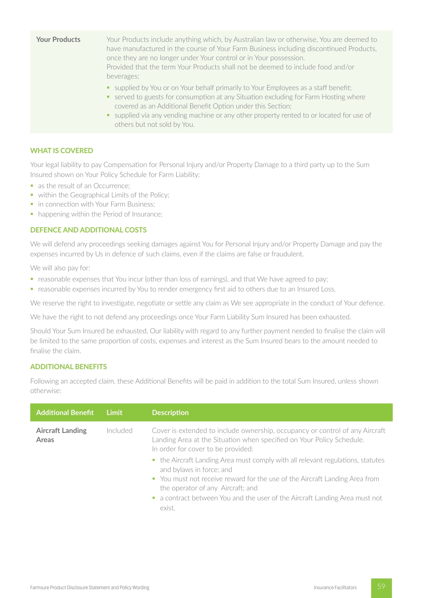| <b>Your Products</b> | Your Products include anything which, by Australian law or otherwise, You are deemed to<br>have manufactured in the course of Your Farm Business including discontinued Products,<br>once they are no longer under Your control or in Your possession.<br>Provided that the term Your Products shall not be deemed to include food and/or<br>beverages;             |
|----------------------|---------------------------------------------------------------------------------------------------------------------------------------------------------------------------------------------------------------------------------------------------------------------------------------------------------------------------------------------------------------------|
|                      | • supplied by You or on Your behalf primarily to Your Employees as a staff benefit;<br>• served to guests for consumption at any Situation excluding for Farm Hosting where<br>covered as an Additional Benefit Option under this Section;<br>supplied via any vending machine or any other property rented to or located for use of<br>others but not sold by You. |

### **WHAT IS COVERED**

Your legal liability to pay Compensation for Personal Injury and/or Property Damage to a third party up to the Sum Insured shown on Your Policy Schedule for Farm Liability:

- as the result of an Occurrence;
- within the Geographical Limits of the Policy;
- in connection with Your Farm Business;
- happening within the Period of Insurance;

### **DEFENCE AND ADDITIONAL COSTS**

We will defend any proceedings seeking damages against You for Personal Injury and/or Property Damage and pay the expenses incurred by Us in defence of such claims, even if the claims are false or fraudulent.

We will also pay for:

- reasonable expenses that You incur (other than loss of earnings), and that We have agreed to pay;
- reasonable expenses incurred by You to render emergency first aid to others due to an Insured Loss.

We reserve the right to investigate, negotiate or settle any claim as We see appropriate in the conduct of Your defence.

We have the right to not defend any proceedings once Your Farm Liability Sum Insured has been exhausted.

Should Your Sum Insured be exhausted, Our liability with regard to any further payment needed to finalise the claim will be limited to the same proportion of costs, expenses and interest as the Sum Insured bears to the amount needed to finalise the claim.

### **ADDITIONAL BENEFITS**

Following an accepted claim, these Additional Benefits will be paid in addition to the total Sum Insured, unless shown otherwise:

| <b>Additional Benefit</b>        | Limit    | <b>Description</b>                                                                                                                                                                                                                                                                                                       |
|----------------------------------|----------|--------------------------------------------------------------------------------------------------------------------------------------------------------------------------------------------------------------------------------------------------------------------------------------------------------------------------|
| <b>Aircraft Landing</b><br>Areas | Included | Cover is extended to include ownership, occupancy or control of any Aircraft<br>Landing Area at the Situation when specified on Your Policy Schedule.<br>In order for cover to be provided:                                                                                                                              |
|                                  |          | • the Aircraft Landing Area must comply with all relevant regulations, statutes<br>and bylaws in force; and<br>• You must not receive reward for the use of the Aircraft Landing Area from<br>the operator of any Aircraft; and<br>• a contract between You and the user of the Aircraft Landing Area must not<br>exist. |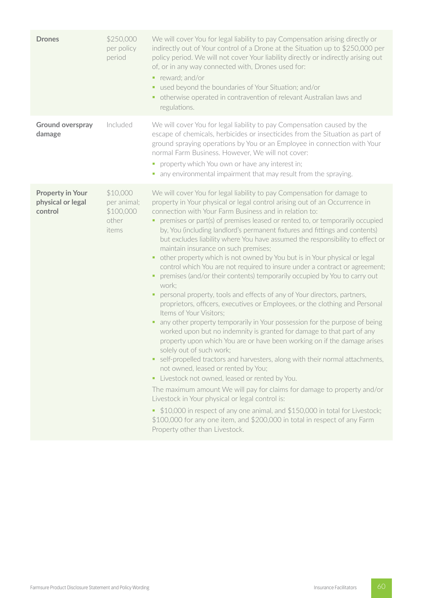| <b>Drones</b>                                           | \$250,000<br>per policy<br>period                      | We will cover You for legal liability to pay Compensation arising directly or<br>indirectly out of Your control of a Drone at the Situation up to \$250,000 per<br>policy period. We will not cover Your liability directly or indirectly arising out<br>of, or in any way connected with, Drones used for:<br>reward; and/or<br>used beyond the boundaries of Your Situation; and/or<br>otherwise operated in contravention of relevant Australian laws and<br>regulations.                                                                                                                                                                                                                                                                                                                                                                                                                                                                                                                                                                                                                                                                                                                                                                                                                                                                                                                                                                                                                                                                                                                                                                                                                                                         |
|---------------------------------------------------------|--------------------------------------------------------|--------------------------------------------------------------------------------------------------------------------------------------------------------------------------------------------------------------------------------------------------------------------------------------------------------------------------------------------------------------------------------------------------------------------------------------------------------------------------------------------------------------------------------------------------------------------------------------------------------------------------------------------------------------------------------------------------------------------------------------------------------------------------------------------------------------------------------------------------------------------------------------------------------------------------------------------------------------------------------------------------------------------------------------------------------------------------------------------------------------------------------------------------------------------------------------------------------------------------------------------------------------------------------------------------------------------------------------------------------------------------------------------------------------------------------------------------------------------------------------------------------------------------------------------------------------------------------------------------------------------------------------------------------------------------------------------------------------------------------------|
| Ground overspray<br>damage                              | Included                                               | We will cover You for legal liability to pay Compensation caused by the<br>escape of chemicals, herbicides or insecticides from the Situation as part of<br>ground spraying operations by You or an Employee in connection with Your<br>normal Farm Business. However, We will not cover:<br>property which You own or have any interest in;<br>ш<br>• any environmental impairment that may result from the spraying.                                                                                                                                                                                                                                                                                                                                                                                                                                                                                                                                                                                                                                                                                                                                                                                                                                                                                                                                                                                                                                                                                                                                                                                                                                                                                                               |
| <b>Property in Your</b><br>physical or legal<br>control | \$10,000<br>per animal;<br>\$100,000<br>other<br>items | We will cover You for legal liability to pay Compensation for damage to<br>property in Your physical or legal control arising out of an Occurrence in<br>connection with Your Farm Business and in relation to:<br>premises or part(s) of premises leased or rented to, or temporarily occupied<br>by, You (including landlord's permanent fixtures and fittings and contents)<br>but excludes liability where You have assumed the responsibility to effect or<br>maintain insurance on such premises;<br>other property which is not owned by You but is in Your physical or legal<br>control which You are not required to insure under a contract or agreement;<br>premises (and/or their contents) temporarily occupied by You to carry out<br>work:<br>personal property, tools and effects of any of Your directors, partners,<br>٠<br>proprietors, officers, executives or Employees, or the clothing and Personal<br>Items of Your Visitors;<br>any other property temporarily in Your possession for the purpose of being<br>worked upon but no indemnity is granted for damage to that part of any<br>property upon which You are or have been working on if the damage arises<br>solely out of such work;<br>• self-propelled tractors and harvesters, along with their normal attachments,<br>not owned, leased or rented by You;<br>Livestock not owned, leased or rented by You.<br>π,<br>The maximum amount We will pay for claims for damage to property and/or<br>Livestock in Your physical or legal control is:<br>• \$10,000 in respect of any one animal, and \$150,000 in total for Livestock;<br>\$100,000 for any one item, and \$200,000 in total in respect of any Farm<br>Property other than Livestock. |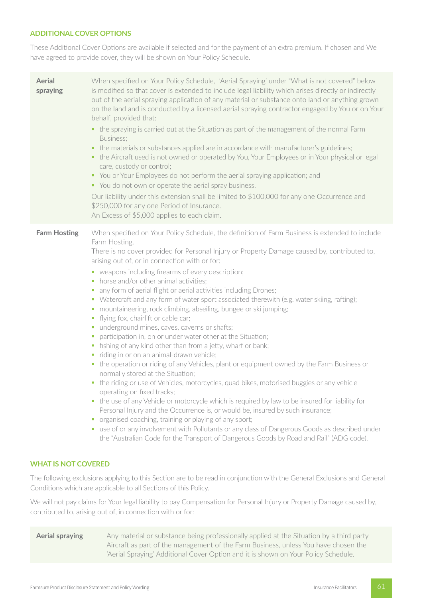# **ADDITIONAL COVER OPTIONS**

These Additional Cover Options are available if selected and for the payment of an extra premium. If chosen and We have agreed to provide cover, they will be shown on Your Policy Schedule.

| <b>Aerial</b><br>spraying | When specified on Your Policy Schedule, 'Aerial Spraying' under "What is not covered" below<br>is modified so that cover is extended to include legal liability which arises directly or indirectly<br>out of the aerial spraying application of any material or substance onto land or anything grown<br>on the land and is conducted by a licensed aerial spraying contractor engaged by You or on Your<br>behalf, provided that:<br>• the spraying is carried out at the Situation as part of the management of the normal Farm<br>Business:<br>the materials or substances applied are in accordance with manufacturer's guidelines;<br>٠<br>the Aircraft used is not owned or operated by You, Your Employees or in Your physical or legal<br>ш.<br>care, custody or control;<br>• You or Your Employees do not perform the aerial spraying application; and<br>• You do not own or operate the aerial spray business.<br>Our liability under this extension shall be limited to \$100,000 for any one Occurrence and<br>\$250,000 for any one Period of Insurance.<br>An Excess of \$5,000 applies to each claim.                                                                                                                                                                                                                                                                                                                                                                                                                                                                                                                                      |
|---------------------------|--------------------------------------------------------------------------------------------------------------------------------------------------------------------------------------------------------------------------------------------------------------------------------------------------------------------------------------------------------------------------------------------------------------------------------------------------------------------------------------------------------------------------------------------------------------------------------------------------------------------------------------------------------------------------------------------------------------------------------------------------------------------------------------------------------------------------------------------------------------------------------------------------------------------------------------------------------------------------------------------------------------------------------------------------------------------------------------------------------------------------------------------------------------------------------------------------------------------------------------------------------------------------------------------------------------------------------------------------------------------------------------------------------------------------------------------------------------------------------------------------------------------------------------------------------------------------------------------------------------------------------------------------------------|
| <b>Farm Hosting</b>       | When specified on Your Policy Schedule, the definition of Farm Business is extended to include<br>Farm Hosting.<br>There is no cover provided for Personal Injury or Property Damage caused by, contributed to,<br>arising out of, or in connection with or for:<br>• weapons including firearms of every description;<br>horse and/or other animal activities;<br>п<br>any form of aerial flight or aerial activities including Drones;<br>ш<br>Watercraft and any form of water sport associated therewith (e.g. water skiing, rafting);<br>ш<br>mountaineering, rock climbing, abseiling, bungee or ski jumping;<br>ш<br>flying fox, chairlift or cable car;<br>П<br>underground mines, caves, caverns or shafts;<br>ш<br>participation in, on or under water other at the Situation;<br>п<br>fishing of any kind other than from a jetty, wharf or bank;<br>$\mathcal{L}_{\mathcal{A}}$<br>riding in or on an animal-drawn vehicle;<br>ш<br>• the operation or riding of any Vehicles, plant or equipment owned by the Farm Business or<br>normally stored at the Situation;<br>• the riding or use of Vehicles, motorcycles, quad bikes, motorised buggies or any vehicle<br>operating on fixed tracks;<br>• the use of any Vehicle or motorcycle which is required by law to be insured for liability for<br>Personal Injury and the Occurrence is, or would be, insured by such insurance;<br>organised coaching, training or playing of any sport;<br>ш<br>• use of or any involvement with Pollutants or any class of Dangerous Goods as described under<br>the "Australian Code for the Transport of Dangerous Goods by Road and Rail" (ADG code). |

# **WHAT IS NOT COVERED**

The following exclusions applying to this Section are to be read in conjunction with the General Exclusions and General Conditions which are applicable to all Sections of this Policy.

We will not pay claims for Your legal liability to pay Compensation for Personal Injury or Property Damage caused by, contributed to, arising out of, in connection with or for:

**Aerial spraying** Any material or substance being professionally applied at the Situation by a third party Aircraft as part of the management of the Farm Business, unless You have chosen the 'Aerial Spraying' Additional Cover Option and it is shown on Your Policy Schedule.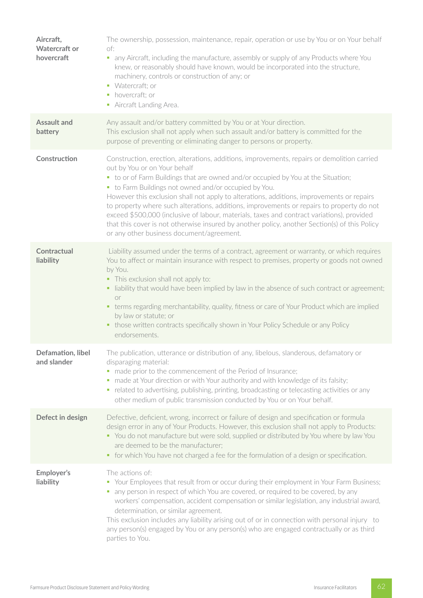| Aircraft,<br><b>Watercraft or</b><br>hovercraft | The ownership, possession, maintenance, repair, operation or use by You or on Your behalf<br>of:<br>• any Aircraft, including the manufacture, assembly or supply of any Products where You<br>knew, or reasonably should have known, would be incorporated into the structure,<br>machinery, controls or construction of any; or<br>• Watercraft: or<br>• hovercraft; or<br>• Aircraft Landing Area.                                                                                                                                                                                                                                                                                                           |
|-------------------------------------------------|-----------------------------------------------------------------------------------------------------------------------------------------------------------------------------------------------------------------------------------------------------------------------------------------------------------------------------------------------------------------------------------------------------------------------------------------------------------------------------------------------------------------------------------------------------------------------------------------------------------------------------------------------------------------------------------------------------------------|
| <b>Assault and</b><br>battery                   | Any assault and/or battery committed by You or at Your direction.<br>This exclusion shall not apply when such assault and/or battery is committed for the<br>purpose of preventing or eliminating danger to persons or property.                                                                                                                                                                                                                                                                                                                                                                                                                                                                                |
| Construction                                    | Construction, erection, alterations, additions, improvements, repairs or demolition carried<br>out by You or on Your behalf<br>• to or of Farm Buildings that are owned and/or occupied by You at the Situation;<br>• to Farm Buildings not owned and/or occupied by You.<br>However this exclusion shall not apply to alterations, additions, improvements or repairs<br>to property where such alterations, additions, improvements or repairs to property do not<br>exceed \$500,000 (inclusive of labour, materials, taxes and contract variations), provided<br>that this cover is not otherwise insured by another policy, another Section(s) of this Policy<br>or any other business document/agreement. |
| <b>Contractual</b><br>liability                 | Liability assumed under the terms of a contract, agreement or warranty, or which requires<br>You to affect or maintain insurance with respect to premises, property or goods not owned<br>by You.<br>• This exclusion shall not apply to:<br>• liability that would have been implied by law in the absence of such contract or agreement;<br><b>or</b><br>terms regarding merchantability, quality, fitness or care of Your Product which are implied<br>٠<br>by law or statute; or<br>• those written contracts specifically shown in Your Policy Schedule or any Policy<br>endorsements.                                                                                                                     |
| Defamation, libel<br>and slander                | The publication, utterance or distribution of any, libelous, slanderous, defamatory or<br>disparaging material:<br>made prior to the commencement of the Period of Insurance;<br>$\blacksquare$<br>made at Your direction or with Your authority and with knowledge of its falsity;<br>ш<br>related to advertising, publishing, printing, broadcasting or telecasting activities or any<br>other medium of public transmission conducted by You or on Your behalf.                                                                                                                                                                                                                                              |
| Defect in design                                | Defective, deficient, wrong, incorrect or failure of design and specification or formula<br>design error in any of Your Products. However, this exclusion shall not apply to Products:<br>• You do not manufacture but were sold, supplied or distributed by You where by law You<br>are deemed to be the manufacturer;<br>• for which You have not charged a fee for the formulation of a design or specification.                                                                                                                                                                                                                                                                                             |
| Employer's<br>liability                         | The actions of:<br>• Your Employees that result from or occur during their employment in Your Farm Business;<br>any person in respect of which You are covered, or required to be covered, by any<br>workers' compensation, accident compensation or similar legislation, any industrial award,<br>determination, or similar agreement.<br>This exclusion includes any liability arising out of or in connection with personal injury to<br>any person(s) engaged by You or any person(s) who are engaged contractually or as third<br>parties to You.                                                                                                                                                          |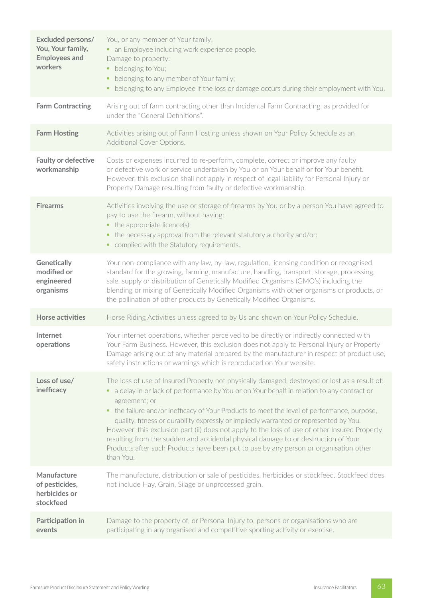| Excluded persons/<br>You, Your family,<br><b>Employees and</b><br>workers | You, or any member of Your family;<br>• an Employee including work experience people.<br>Damage to property:<br>belonging to You;<br>٠<br>belonging to any member of Your family;<br>٠<br>• belonging to any Employee if the loss or damage occurs during their employment with You.                                                                                                                                                                                                                                                                                                                                                                                                                   |
|---------------------------------------------------------------------------|--------------------------------------------------------------------------------------------------------------------------------------------------------------------------------------------------------------------------------------------------------------------------------------------------------------------------------------------------------------------------------------------------------------------------------------------------------------------------------------------------------------------------------------------------------------------------------------------------------------------------------------------------------------------------------------------------------|
| <b>Farm Contracting</b>                                                   | Arising out of farm contracting other than Incidental Farm Contracting, as provided for<br>under the "General Definitions".                                                                                                                                                                                                                                                                                                                                                                                                                                                                                                                                                                            |
| <b>Farm Hosting</b>                                                       | Activities arising out of Farm Hosting unless shown on Your Policy Schedule as an<br>Additional Cover Options.                                                                                                                                                                                                                                                                                                                                                                                                                                                                                                                                                                                         |
| <b>Faulty or defective</b><br>workmanship                                 | Costs or expenses incurred to re-perform, complete, correct or improve any faulty<br>or defective work or service undertaken by You or on Your behalf or for Your benefit.<br>However, this exclusion shall not apply in respect of legal liability for Personal Injury or<br>Property Damage resulting from faulty or defective workmanship.                                                                                                                                                                                                                                                                                                                                                          |
| <b>Firearms</b>                                                           | Activities involving the use or storage of firearms by You or by a person You have agreed to<br>pay to use the firearm, without having:<br>$\bullet$ the appropriate licence(s);<br>the necessary approval from the relevant statutory authority and/or:<br>• complied with the Statutory requirements.                                                                                                                                                                                                                                                                                                                                                                                                |
| Genetically<br>modified or<br>engineered<br>organisms                     | Your non-compliance with any law, by-law, regulation, licensing condition or recognised<br>standard for the growing, farming, manufacture, handling, transport, storage, processing,<br>sale, supply or distribution of Genetically Modified Organisms (GMO's) including the<br>blending or mixing of Genetically Modified Organisms with other organisms or products, or<br>the pollination of other products by Genetically Modified Organisms.                                                                                                                                                                                                                                                      |
| Horse activities                                                          | Horse Riding Activities unless agreed to by Us and shown on Your Policy Schedule.                                                                                                                                                                                                                                                                                                                                                                                                                                                                                                                                                                                                                      |
| Internet<br>operations                                                    | Your internet operations, whether perceived to be directly or indirectly connected with<br>Your Farm Business. However, this exclusion does not apply to Personal Injury or Property<br>Damage arising out of any material prepared by the manufacturer in respect of product use,<br>safety instructions or warnings which is reproduced on Your website.                                                                                                                                                                                                                                                                                                                                             |
| Loss of use/<br>inefficacy                                                | The loss of use of Insured Property not physically damaged, destroyed or lost as a result of:<br>a delay in or lack of performance by You or on Your behalf in relation to any contract or<br>٠<br>agreement; or<br>• the failure and/or inefficacy of Your Products to meet the level of performance, purpose,<br>quality, fitness or durability expressly or impliedly warranted or represented by You.<br>However, this exclusion part (ii) does not apply to the loss of use of other Insured Property<br>resulting from the sudden and accidental physical damage to or destruction of Your<br>Products after such Products have been put to use by any person or organisation other<br>than You. |
| Manufacture<br>of pesticides,<br>herbicides or<br>stockfeed               | The manufacture, distribution or sale of pesticides, herbicides or stockfeed. Stockfeed does<br>not include Hay, Grain, Silage or unprocessed grain.                                                                                                                                                                                                                                                                                                                                                                                                                                                                                                                                                   |
| Participation in<br>events                                                | Damage to the property of, or Personal Injury to, persons or organisations who are<br>participating in any organised and competitive sporting activity or exercise.                                                                                                                                                                                                                                                                                                                                                                                                                                                                                                                                    |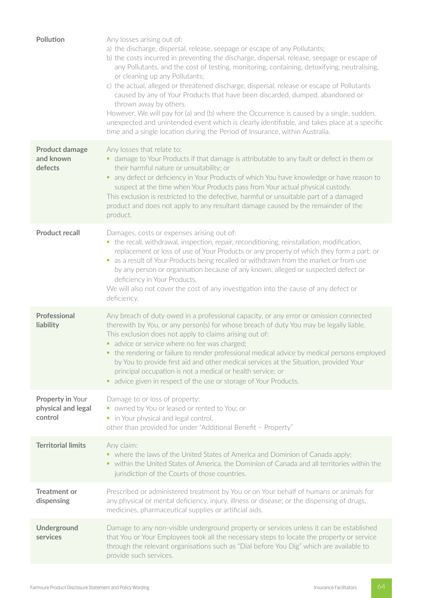| <b>Pollution</b>                                  | Any losses arising out of:<br>a) the discharge, dispersal, release, seepage or escape of any Pollutants;<br>b) the costs incurred in preventing the discharge, dispersal, release, seepage or escape of<br>any Pollutants, and the cost of testing, monitoring, containing, detoxifying, neutralising,<br>or cleaning up any Pollutants;<br>c) the actual, alleged or threatened discharge, dispersal, release or escape of Pollutants<br>caused by any of Your Products that have been discarded, dumped, abandoned or<br>thrown away by others.<br>However, We will pay for (a) and (b) where the Occurrence is caused by a single, sudden,<br>unexpected and unintended event which is clearly identifiable, and takes place at a specific<br>time and a single location during the Period of Insurance, within Australia. |
|---------------------------------------------------|-------------------------------------------------------------------------------------------------------------------------------------------------------------------------------------------------------------------------------------------------------------------------------------------------------------------------------------------------------------------------------------------------------------------------------------------------------------------------------------------------------------------------------------------------------------------------------------------------------------------------------------------------------------------------------------------------------------------------------------------------------------------------------------------------------------------------------|
| <b>Product damage</b><br>and known<br>defects     | Any losses that relate to:<br>• damage to Your Products if that damage is attributable to any fault or defect in them or<br>their harmful nature or unsuitability; or<br>• any defect or deficiency in Your Products of which You have knowledge or have reason to<br>suspect at the time when Your Products pass from Your actual physical custody.<br>This exclusion is restricted to the defective, harmful or unsuitable part of a damaged<br>product and does not apply to any resultant damage caused by the remainder of the<br>product.                                                                                                                                                                                                                                                                               |
| <b>Product recall</b>                             | Damages, costs or expenses arising out of:<br>• the recall, withdrawal, inspection, repair, reconditioning, reinstallation, modification,<br>replacement or loss of use of Your Products or any property of which they form a part; or<br>• as a result of Your Products being recalled or withdrawn from the market or from use<br>by any person or organisation because of any known, alleged or suspected defect or<br>deficiency in Your Products.<br>We will also not cover the cost of any investigation into the cause of any defect or<br>deficiency.                                                                                                                                                                                                                                                                 |
| Professional<br>liability                         | Any breach of duty owed in a professional capacity, or any error or omission connected<br>therewith by You, or any person(s) for whose breach of duty You may be legally liable.<br>This exclusion does not apply to claims arising out of:<br>• advice or service where no fee was charged;<br>the rendering or failure to render professional medical advice by medical persons employed<br>by You to provide first aid and other medical services at the Situation, provided Your<br>principal occupation is not a medical or health service; or<br>• advice given in respect of the use or storage of Your Products.                                                                                                                                                                                                      |
| Property in Your<br>physical and legal<br>control | Damage to or loss of property:<br>• owned by You or leased or rented to You; or<br>• in Your physical and legal control.<br>other than provided for under "Additional Benefit - Property"                                                                                                                                                                                                                                                                                                                                                                                                                                                                                                                                                                                                                                     |
| <b>Territorial limits</b>                         | Any claim:<br>• where the laws of the United States of America and Dominion of Canada apply;<br>• within the United States of America, the Dominion of Canada and all territories within the<br>jurisdiction of the Courts of those countries.                                                                                                                                                                                                                                                                                                                                                                                                                                                                                                                                                                                |
| <b>Treatment or</b><br>dispensing                 | Prescribed or administered treatment by You or on Your behalf of humans or animals for<br>any physical or mental deficiency, injury, illness or disease; or the dispensing of drugs,<br>medicines, pharmaceutical supplies or artificial aids.                                                                                                                                                                                                                                                                                                                                                                                                                                                                                                                                                                                |
| Underground<br>services                           | Damage to any non-visible underground property or services unless it can be established<br>that You or Your Employees took all the necessary steps to locate the property or service<br>through the relevant organisations such as "Dial before You Dig" which are available to<br>provide such services.                                                                                                                                                                                                                                                                                                                                                                                                                                                                                                                     |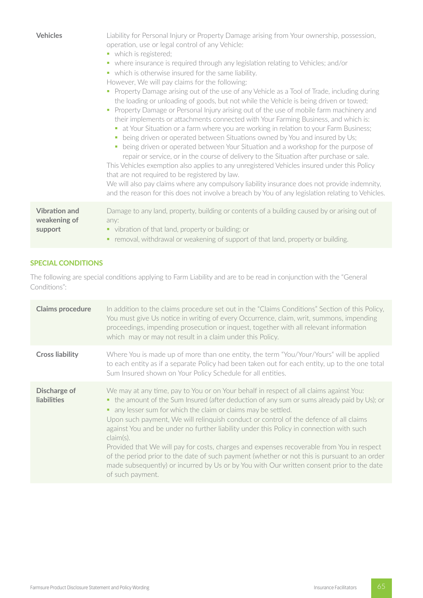| <b>Vehicles</b>                                 | Liability for Personal Injury or Property Damage arising from Your ownership, possession,<br>operation, use or legal control of any Vehicle:<br>• which is registered;<br>where insurance is required through any legislation relating to Vehicles; and/or<br>$\blacksquare$<br>• which is otherwise insured for the same liability.<br>However, We will pay claims for the following:<br>Property Damage arising out of the use of any Vehicle as a Tool of Trade, including during<br>$\blacksquare$<br>the loading or unloading of goods, but not while the Vehicle is being driven or towed;<br>Property Damage or Personal Injury arising out of the use of mobile farm machinery and<br>a.<br>their implements or attachments connected with Your Farming Business, and which is:<br>• at Your Situation or a farm where you are working in relation to your Farm Business;<br>being driven or operated between Situations owned by You and insured by Us;<br>being driven or operated between Your Situation and a workshop for the purpose of<br>repair or service, or in the course of delivery to the Situation after purchase or sale.<br>This Vehicles exemption also applies to any unregistered Vehicles insured under this Policy<br>that are not required to be registered by law.<br>We will also pay claims where any compulsory liability insurance does not provide indemnity,<br>and the reason for this does not involve a breach by You of any legislation relating to Vehicles. |
|-------------------------------------------------|---------------------------------------------------------------------------------------------------------------------------------------------------------------------------------------------------------------------------------------------------------------------------------------------------------------------------------------------------------------------------------------------------------------------------------------------------------------------------------------------------------------------------------------------------------------------------------------------------------------------------------------------------------------------------------------------------------------------------------------------------------------------------------------------------------------------------------------------------------------------------------------------------------------------------------------------------------------------------------------------------------------------------------------------------------------------------------------------------------------------------------------------------------------------------------------------------------------------------------------------------------------------------------------------------------------------------------------------------------------------------------------------------------------------------------------------------------------------------------------------------------|
| <b>Vibration and</b><br>weakening of<br>support | Damage to any land, property, building or contents of a building caused by or arising out of<br>any:<br>• vibration of that land, property or building; or<br>removal, withdrawal or weakening of support of that land, property or building.                                                                                                                                                                                                                                                                                                                                                                                                                                                                                                                                                                                                                                                                                                                                                                                                                                                                                                                                                                                                                                                                                                                                                                                                                                                           |

# **SPECIAL CONDITIONS**

The following are special conditions applying to Farm Liability and are to be read in conjunction with the "General Conditions":

| <b>Claims procedure</b>            | In addition to the claims procedure set out in the "Claims Conditions" Section of this Policy,<br>You must give Us notice in writing of every Occurrence, claim, writ, summons, impending<br>proceedings, impending prosecution or inquest, together with all relevant information<br>which may or may not result in a claim under this Policy.                                                                                                                                                                                                                                                                                                                                                                                                                        |
|------------------------------------|------------------------------------------------------------------------------------------------------------------------------------------------------------------------------------------------------------------------------------------------------------------------------------------------------------------------------------------------------------------------------------------------------------------------------------------------------------------------------------------------------------------------------------------------------------------------------------------------------------------------------------------------------------------------------------------------------------------------------------------------------------------------|
| <b>Cross liability</b>             | Where You is made up of more than one entity, the term "You/Your/Yours" will be applied<br>to each entity as if a separate Policy had been taken out for each entity, up to the one total<br>Sum Insured shown on Your Policy Schedule for all entities.                                                                                                                                                                                                                                                                                                                                                                                                                                                                                                               |
| Discharge of<br><b>liabilities</b> | We may at any time, pay to You or on Your behalf in respect of all claims against You:<br>• the amount of the Sum Insured (after deduction of any sum or sums already paid by Us); or<br>• any lesser sum for which the claim or claims may be settled.<br>Upon such payment, We will relinguish conduct or control of the defence of all claims<br>against You and be under no further liability under this Policy in connection with such<br>claim(s).<br>Provided that We will pay for costs, charges and expenses recoverable from You in respect<br>of the period prior to the date of such payment (whether or not this is pursuant to an order<br>made subsequently) or incurred by Us or by You with Our written consent prior to the date<br>of such payment. |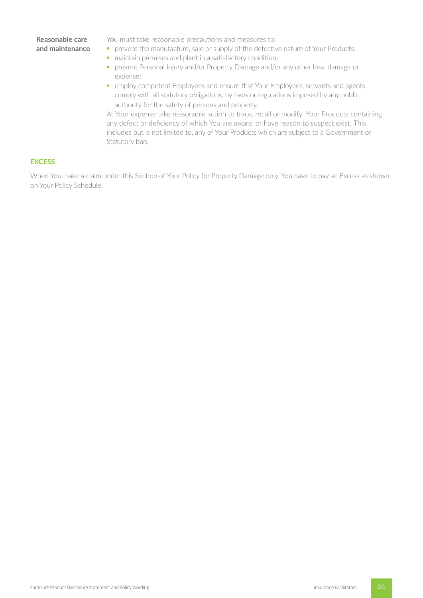## **Reasonable care and maintenance**

You must take reasonable precautions and measures to:

- **prevent the manufacture, sale or supply of the defective nature of Your Products;**
- maintain premises and plant in a satisfactory condition;
- § prevent Personal Injury and/or Property Damage and/or any other loss, damage or expense;
- § employ competent Employees and ensure that Your Employees, servants and agents comply with all statutory obligations, by-laws or regulations imposed by any public authority for the safety of persons and property.

At Your expense take reasonable action to trace, recall or modify Your Products containing any defect or deficiency of which You are aware, or have reason to suspect exist. This includes but is not limited to, any of Your Products which are subject to a Government or Statutory ban.

#### **EXCESS**

When You make a claim under this Section of Your Policy for Property Damage only, You have to pay an Excess as shown on Your Policy Schedule.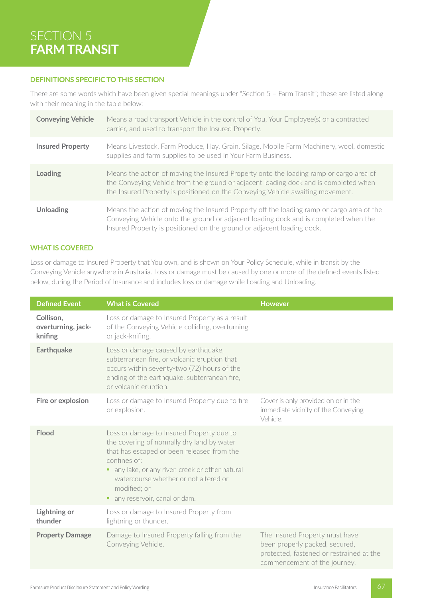# SECTION 5 **FARM TRANSIT**

## **DEFINITIONS SPECIFIC TO THIS SECTION**

There are some words which have been given special meanings under "Section 5 – Farm Transit"; these are listed along with their meaning in the table below:

| <b>Conveying Vehicle</b> | Means a road transport Vehicle in the control of You, Your Employee(s) or a contracted<br>carrier, and used to transport the Insured Property.                                                                                                                   |
|--------------------------|------------------------------------------------------------------------------------------------------------------------------------------------------------------------------------------------------------------------------------------------------------------|
| <b>Insured Property</b>  | Means Livestock, Farm Produce, Hay, Grain, Silage, Mobile Farm Machinery, wool, domestic<br>supplies and farm supplies to be used in Your Farm Business.                                                                                                         |
| Loading                  | Means the action of moving the Insured Property onto the loading ramp or cargo area of<br>the Conveying Vehicle from the ground or adjacent loading dock and is completed when<br>the Insured Property is positioned on the Conveying Vehicle awaiting movement. |
| <b>Unloading</b>         | Means the action of moving the Insured Property off the loading ramp or cargo area of the<br>Conveying Vehicle onto the ground or adjacent loading dock and is completed when the<br>Insured Property is positioned on the ground or adjacent loading dock.      |

# **WHAT IS COVERED**

Loss or damage to Insured Property that You own, and is shown on Your Policy Schedule, while in transit by the Conveying Vehicle anywhere in Australia. Loss or damage must be caused by one or more of the defined events listed below, during the Period of Insurance and includes loss or damage while Loading and Unloading.

| <b>Defined Event</b>                       | <b>What is Covered</b>                                                                                                                                                                                                                                                                                  | <b>However</b>                                                                                                                               |  |
|--------------------------------------------|---------------------------------------------------------------------------------------------------------------------------------------------------------------------------------------------------------------------------------------------------------------------------------------------------------|----------------------------------------------------------------------------------------------------------------------------------------------|--|
| Collison,<br>overturning, jack-<br>knifing | Loss or damage to Insured Property as a result<br>of the Conveying Vehicle colliding, overturning<br>or jack-knifing.                                                                                                                                                                                   |                                                                                                                                              |  |
| <b>Earthquake</b>                          | Loss or damage caused by earthquake,<br>subterranean fire, or volcanic eruption that<br>occurs within seventy-two (72) hours of the<br>ending of the earthquake, subterranean fire,<br>or volcanic eruption.                                                                                            |                                                                                                                                              |  |
| Fire or explosion                          | Loss or damage to Insured Property due to fire<br>or explosion.                                                                                                                                                                                                                                         | Cover is only provided on or in the<br>immediate vicinity of the Conveying<br>Vehicle.                                                       |  |
| Flood                                      | Loss or damage to Insured Property due to<br>the covering of normally dry land by water<br>that has escaped or been released from the<br>confines of:<br>• any lake, or any river, creek or other natural<br>watercourse whether or not altered or<br>modified; or<br>any reservoir, canal or dam.<br>٠ |                                                                                                                                              |  |
| <b>Lightning or</b><br>thunder             | Loss or damage to Insured Property from<br>lightning or thunder.                                                                                                                                                                                                                                        |                                                                                                                                              |  |
| <b>Property Damage</b>                     | Damage to Insured Property falling from the<br>Conveying Vehicle.                                                                                                                                                                                                                                       | The Insured Property must have<br>been properly packed, secured,<br>protected, fastened or restrained at the<br>commencement of the journey. |  |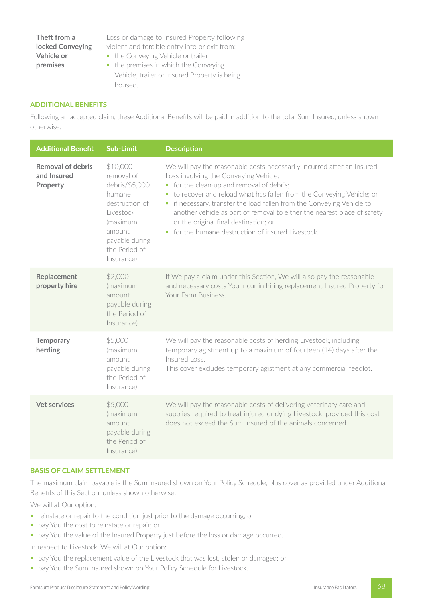## **Theft from a locked Conveying Vehicle or premises**

Loss or damage to Insured Property following violent and forcible entry into or exit from:

- the Conveying Vehicle or trailer;
- the premises in which the Conveying Vehicle, trailer or Insured Property is being housed.

## **ADDITIONAL BENEFITS**

Following an accepted claim, these Additional Benefits will be paid in addition to the total Sum Insured, unless shown otherwise.

| <b>Additional Benefit</b>                           | <b>Sub-Limit</b>                                                                                                                                         | <b>Description</b>                                                                                                                                                                                                                                                                                                                                                                                                                                                                          |
|-----------------------------------------------------|----------------------------------------------------------------------------------------------------------------------------------------------------------|---------------------------------------------------------------------------------------------------------------------------------------------------------------------------------------------------------------------------------------------------------------------------------------------------------------------------------------------------------------------------------------------------------------------------------------------------------------------------------------------|
| <b>Removal of debris</b><br>and Insured<br>Property | \$10,000<br>removal of<br>debris/\$5,000<br>humane<br>destruction of<br>Livestock<br>(maximum<br>amount<br>payable during<br>the Period of<br>Insurance) | We will pay the reasonable costs necessarily incurred after an Insured<br>Loss involving the Conveying Vehicle:<br>• for the clean-up and removal of debris;<br>• to recover and reload what has fallen from the Conveying Vehicle; or<br>• if necessary, transfer the load fallen from the Conveying Vehicle to<br>another vehicle as part of removal to either the nearest place of safety<br>or the original final destination; or<br>• for the humane destruction of insured Livestock. |
| Replacement<br>property hire                        | \$2,000<br>(maximum<br>amount<br>payable during<br>the Period of<br>Insurance)                                                                           | If We pay a claim under this Section, We will also pay the reasonable<br>and necessary costs You incur in hiring replacement Insured Property for<br>Your Farm Business.                                                                                                                                                                                                                                                                                                                    |
| <b>Temporary</b><br>herding                         | \$5,000<br>(maximum<br>amount<br>payable during<br>the Period of<br>Insurance)                                                                           | We will pay the reasonable costs of herding Livestock, including<br>temporary agistment up to a maximum of fourteen (14) days after the<br>Insured Loss.<br>This cover excludes temporary agistment at any commercial feedlot.                                                                                                                                                                                                                                                              |
| <b>Vet services</b>                                 | \$5,000<br>(maximum<br>amount<br>payable during<br>the Period of<br>Insurance)                                                                           | We will pay the reasonable costs of delivering veterinary care and<br>supplies required to treat injured or dying Livestock, provided this cost<br>does not exceed the Sum Insured of the animals concerned.                                                                                                                                                                                                                                                                                |

### **BASIS OF CLAIM SETTLEMENT**

The maximum claim payable is the Sum Insured shown on Your Policy Schedule, plus cover as provided under Additional Benefits of this Section, unless shown otherwise.

We will at Our option:

- reinstate or repair to the condition just prior to the damage occurring; or
- **•** pay You the cost to reinstate or repair; or
- **pay You the value of the Insured Property just before the loss or damage occurred.**
- In respect to Livestock, We will at Our option:
- **•** pay You the replacement value of the Livestock that was lost, stolen or damaged; or
- pay You the Sum Insured shown on Your Policy Schedule for Livestock.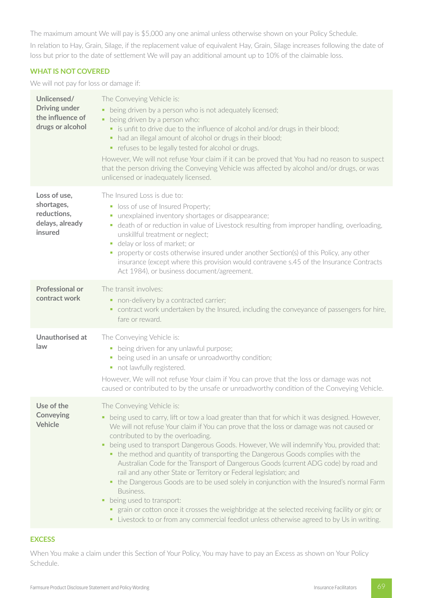The maximum amount We will pay is \$5,000 any one animal unless otherwise shown on your Policy Schedule.

In relation to Hay, Grain, Silage, if the replacement value of equivalent Hay, Grain, Silage increases following the date of loss but prior to the date of settlement We will pay an additional amount up to 10% of the claimable loss.

## **WHAT IS NOT COVERED**

We will not pay for loss or damage if:

| Unlicensed/<br><b>Driving under</b><br>the influence of<br>drugs or alcohol | The Conveying Vehicle is:<br>• being driven by a person who is not adequately licensed;<br>• being driven by a person who:<br>• is unfit to drive due to the influence of alcohol and/or drugs in their blood;<br>had an illegal amount of alcohol or drugs in their blood;<br>٠<br>• refuses to be legally tested for alcohol or drugs.<br>However, We will not refuse Your claim if it can be proved that You had no reason to suspect<br>that the person driving the Conveying Vehicle was affected by alcohol and/or drugs, or was<br>unlicensed or inadequately licensed.                                                                                                                                                                                                                                                                                                                                                                    |
|-----------------------------------------------------------------------------|---------------------------------------------------------------------------------------------------------------------------------------------------------------------------------------------------------------------------------------------------------------------------------------------------------------------------------------------------------------------------------------------------------------------------------------------------------------------------------------------------------------------------------------------------------------------------------------------------------------------------------------------------------------------------------------------------------------------------------------------------------------------------------------------------------------------------------------------------------------------------------------------------------------------------------------------------|
| Loss of use,<br>shortages,<br>reductions,<br>delays, already<br>insured     | The Insured Loss is due to:<br>loss of use of Insured Property;<br>unexplained inventory shortages or disappearance;<br>п<br>death of or reduction in value of Livestock resulting from improper handling, overloading,<br>$\mathcal{L}_{\mathcal{A}}$<br>unskillful treatment or neglect;<br>delay or loss of market; or<br>u,<br>property or costs otherwise insured under another Section(s) of this Policy, any other<br>insurance (except where this provision would contravene s.45 of the Insurance Contracts<br>Act 1984), or business document/agreement.                                                                                                                                                                                                                                                                                                                                                                                |
| <b>Professional or</b><br>contract work                                     | The transit involves:<br>• non-delivery by a contracted carrier;<br>contract work undertaken by the Insured, including the conveyance of passengers for hire,<br>٠,<br>fare or reward.                                                                                                                                                                                                                                                                                                                                                                                                                                                                                                                                                                                                                                                                                                                                                            |
| Unauthorised at<br>law                                                      | The Conveying Vehicle is:<br>• being driven for any unlawful purpose;<br>being used in an unsafe or unroadworthy condition;<br>u,<br>• not lawfully registered.<br>However, We will not refuse Your claim if You can prove that the loss or damage was not<br>caused or contributed to by the unsafe or unroadworthy condition of the Conveying Vehicle.                                                                                                                                                                                                                                                                                                                                                                                                                                                                                                                                                                                          |
| Use of the<br>Conveying<br><b>Vehicle</b>                                   | The Conveying Vehicle is:<br>being used to carry, lift or tow a load greater than that for which it was designed. However,<br>We will not refuse Your claim if You can prove that the loss or damage was not caused or<br>contributed to by the overloading.<br>• being used to transport Dangerous Goods. However, We will indemnify You, provided that:<br>• the method and quantity of transporting the Dangerous Goods complies with the<br>Australian Code for the Transport of Dangerous Goods (current ADG code) by road and<br>rail and any other State or Territory or Federal legislation; and<br>• the Dangerous Goods are to be used solely in conjunction with the Insured's normal Farm<br>Business.<br>• being used to transport:<br>• grain or cotton once it crosses the weighbridge at the selected receiving facility or gin; or<br>• Livestock to or from any commercial feedlot unless otherwise agreed to by Us in writing. |

### **EXCESS**

When You make a claim under this Section of Your Policy, You may have to pay an Excess as shown on Your Policy Schedule.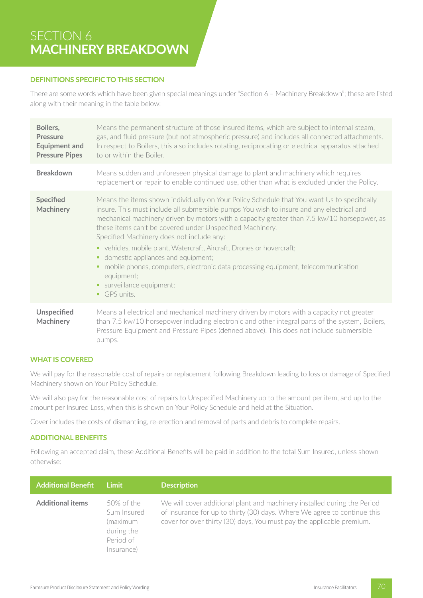# SECTION 6 **MACHINERY BREAKDOWN**

#### **DEFINITIONS SPECIFIC TO THIS SECTION**

There are some words which have been given special meanings under "Section 6 – Machinery Breakdown"; these are listed along with their meaning in the table below:

| Boilers,<br><b>Pressure</b><br><b>Equipment and</b><br><b>Pressure Pipes</b> | Means the permanent structure of those insured items, which are subject to internal steam,<br>gas, and fluid pressure (but not atmospheric pressure) and includes all connected attachments.<br>In respect to Boilers, this also includes rotating, reciprocating or electrical apparatus attached<br>to or within the Boiler.                                                                                                                                                                                                                                                                                                                                         |
|------------------------------------------------------------------------------|------------------------------------------------------------------------------------------------------------------------------------------------------------------------------------------------------------------------------------------------------------------------------------------------------------------------------------------------------------------------------------------------------------------------------------------------------------------------------------------------------------------------------------------------------------------------------------------------------------------------------------------------------------------------|
| <b>Breakdown</b>                                                             | Means sudden and unforeseen physical damage to plant and machinery which requires<br>replacement or repair to enable continued use, other than what is excluded under the Policy.                                                                                                                                                                                                                                                                                                                                                                                                                                                                                      |
| Specified<br><b>Machinery</b>                                                | Means the items shown individually on Your Policy Schedule that You want Us to specifically<br>insure. This must include all submersible pumps You wish to insure and any electrical and<br>mechanical machinery driven by motors with a capacity greater than 7.5 kw/10 horsepower, as<br>these items can't be covered under Unspecified Machinery.<br>Specified Machinery does not include any:<br>• vehicles, mobile plant, Watercraft, Aircraft, Drones or hovercraft;<br>domestic appliances and equipment;<br>mobile phones, computers, electronic data processing equipment, telecommunication<br>٠<br>equipment;<br>surveillance equipment;<br>٠<br>GPS units. |
| <b>Unspecified</b><br><b>Machinery</b>                                       | Means all electrical and mechanical machinery driven by motors with a capacity not greater<br>than 7.5 kw/10 horsepower including electronic and other integral parts of the system, Boilers,<br>Pressure Equipment and Pressure Pipes (defined above). This does not include submersible<br>pumps.                                                                                                                                                                                                                                                                                                                                                                    |

### **WHAT IS COVERED**

We will pay for the reasonable cost of repairs or replacement following Breakdown leading to loss or damage of Specified Machinery shown on Your Policy Schedule.

We will also pay for the reasonable cost of repairs to Unspecified Machinery up to the amount per item, and up to the amount per Insured Loss, when this is shown on Your Policy Schedule and held at the Situation.

Cover includes the costs of dismantling, re-erection and removal of parts and debris to complete repairs.

## **ADDITIONAL BENEFITS**

Following an accepted claim, these Additional Benefits will be paid in addition to the total Sum Insured, unless shown otherwise:

| <b>Additional Benefit</b> | Limit                                                                          | <b>Description</b>                                                                                                                                                                                                            |
|---------------------------|--------------------------------------------------------------------------------|-------------------------------------------------------------------------------------------------------------------------------------------------------------------------------------------------------------------------------|
| <b>Additional items</b>   | 50% of the<br>Sum Insured<br>(maximum<br>during the<br>Period of<br>Insurance) | We will cover additional plant and machinery installed during the Period<br>of Insurance for up to thirty (30) days. Where We agree to continue this<br>cover for over thirty (30) days, You must pay the applicable premium. |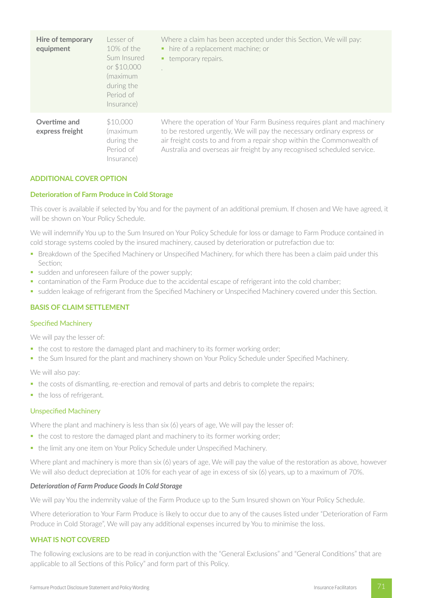| <b>Hire of temporary</b><br>equipment | Lesser of<br>$10\%$ of the<br>Sum Insured<br>or \$10,000<br>(maximum<br>during the<br>Period of<br>Insurance) | Where a claim has been accepted under this Section, We will pay:<br>• hire of a replacement machine; or<br>temporary repairs.                                                                                                                                                                         |
|---------------------------------------|---------------------------------------------------------------------------------------------------------------|-------------------------------------------------------------------------------------------------------------------------------------------------------------------------------------------------------------------------------------------------------------------------------------------------------|
| Overtime and<br>express freight       | \$10,000<br>(maximum<br>during the<br>Period of<br>Insurance)                                                 | Where the operation of Your Farm Business requires plant and machinery<br>to be restored urgently, We will pay the necessary ordinary express or<br>air freight costs to and from a repair shop within the Commonwealth of<br>Australia and overseas air freight by any recognised scheduled service. |

### **ADDITIONAL COVER OPTION**

#### **Deterioration of Farm Produce in Cold Storage**

This cover is available if selected by You and for the payment of an additional premium. If chosen and We have agreed, it will be shown on Your Policy Schedule.

We will indemnify You up to the Sum Insured on Your Policy Schedule for loss or damage to Farm Produce contained in cold storage systems cooled by the insured machinery, caused by deterioration or putrefaction due to:

- § Breakdown of the Specified Machinery or Unspecified Machinery, for which there has been a claim paid under this Section;
- sudden and unforeseen failure of the power supply;
- contamination of the Farm Produce due to the accidental escape of refrigerant into the cold chamber;
- sudden leakage of refrigerant from the Specified Machinery or Unspecified Machinery covered under this Section.

### **BASIS OF CLAIM SETTLEMENT**

#### Specified Machinery

We will pay the lesser of:

- the cost to restore the damaged plant and machinery to its former working order;
- the Sum Insured for the plant and machinery shown on Your Policy Schedule under Specified Machinery.

We will also pay:

- the costs of dismantling, re-erection and removal of parts and debris to complete the repairs;
- the loss of refrigerant.

#### Unspecified Machinery

Where the plant and machinery is less than six (6) years of age, We will pay the lesser of:

- the cost to restore the damaged plant and machinery to its former working order;
- the limit any one item on Your Policy Schedule under Unspecified Machinery.

Where plant and machinery is more than six (6) years of age, We will pay the value of the restoration as above, however We will also deduct depreciation at 10% for each year of age in excess of six (6) years, up to a maximum of 70%.

#### *Deterioration of Farm Produce Goods In Cold Storage*

We will pay You the indemnity value of the Farm Produce up to the Sum Insured shown on Your Policy Schedule.

Where deterioration to Your Farm Produce is likely to occur due to any of the causes listed under "Deterioration of Farm Produce in Cold Storage", We will pay any additional expenses incurred by You to minimise the loss.

### **WHAT IS NOT COVERED**

The following exclusions are to be read in conjunction with the "General Exclusions" and "General Conditions" that are applicable to all Sections of this Policy" and form part of this Policy.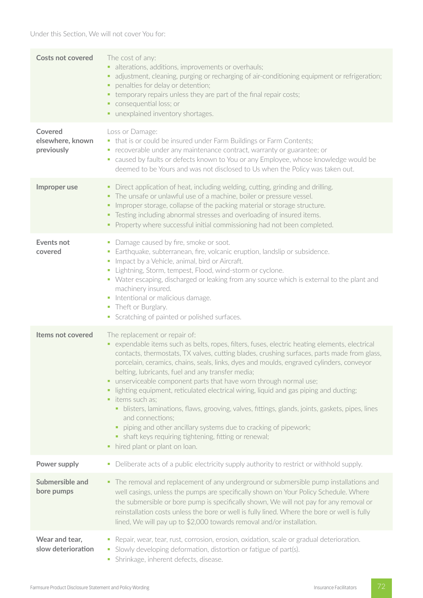Under this Section, We will not cover You for:

| <b>Costs not covered</b>                  | The cost of any:<br>• alterations, additions, improvements or overhauls;<br>• adjustment, cleaning, purging or recharging of air-conditioning equipment or refrigeration;<br>penalties for delay or detention;<br>• temporary repairs unless they are part of the final repair costs;<br>consequential loss; or<br>• unexplained inventory shortages.                                                                                                                                                                                                                                                                                                                                                                                                                                                                                                                 |
|-------------------------------------------|-----------------------------------------------------------------------------------------------------------------------------------------------------------------------------------------------------------------------------------------------------------------------------------------------------------------------------------------------------------------------------------------------------------------------------------------------------------------------------------------------------------------------------------------------------------------------------------------------------------------------------------------------------------------------------------------------------------------------------------------------------------------------------------------------------------------------------------------------------------------------|
| Covered<br>elsewhere, known<br>previously | Loss or Damage:<br>• that is or could be insured under Farm Buildings or Farm Contents;<br>• recoverable under any maintenance contract, warranty or guarantee; or<br>" caused by faults or defects known to You or any Employee, whose knowledge would be<br>deemed to be Yours and was not disclosed to Us when the Policy was taken out.                                                                                                                                                                                                                                                                                                                                                                                                                                                                                                                           |
| Improper use                              | Direct application of heat, including welding, cutting, grinding and drilling.<br>ш<br>• The unsafe or unlawful use of a machine, boiler or pressure vessel.<br>Improper storage, collapse of the packing material or storage structure.<br>• Testing including abnormal stresses and overloading of insured items.<br>• Property where successful initial commissioning had not been completed.                                                                                                                                                                                                                                                                                                                                                                                                                                                                      |
| <b>Events not</b><br>covered              | Damage caused by fire, smoke or soot.<br>$\blacksquare$<br>• Earthquake, subterranean, fire, volcanic eruption, landslip or subsidence.<br>Impact by a Vehicle, animal, bird or Aircraft.<br>• Lightning, Storm, tempest, Flood, wind-storm or cyclone.<br>• Water escaping, discharged or leaking from any source which is external to the plant and<br>machinery insured.<br>• Intentional or malicious damage.<br>• Theft or Burglary.<br>• Scratching of painted or polished surfaces.                                                                                                                                                                                                                                                                                                                                                                            |
| Items not covered                         | The replacement or repair of:<br>• expendable items such as belts, ropes, filters, fuses, electric heating elements, electrical<br>contacts, thermostats, TX valves, cutting blades, crushing surfaces, parts made from glass,<br>porcelain, ceramics, chains, seals, links, dyes and moulds, engraved cylinders, conveyor<br>belting, lubricants, fuel and any transfer media;<br>unserviceable component parts that have worn through normal use;<br>٠<br>lighting equipment, reticulated electrical wiring, liquid and gas piping and ducting;<br>• items such as;<br>blisters, laminations, flaws, grooving, valves, fittings, glands, joints, gaskets, pipes, lines<br>٠<br>and connections;<br>piping and other ancillary systems due to cracking of pipework;<br>• shaft keys requiring tightening, fitting or renewal;<br>hired plant or plant on loan.<br>п, |
| Power supply                              | Deliberate acts of a public electricity supply authority to restrict or withhold supply.<br>ш                                                                                                                                                                                                                                                                                                                                                                                                                                                                                                                                                                                                                                                                                                                                                                         |
| Submersible and<br>bore pumps             | • The removal and replacement of any underground or submersible pump installations and<br>well casings, unless the pumps are specifically shown on Your Policy Schedule. Where<br>the submersible or bore pump is specifically shown, We will not pay for any removal or<br>reinstallation costs unless the bore or well is fully lined. Where the bore or well is fully<br>lined, We will pay up to \$2,000 towards removal and/or installation.                                                                                                                                                                                                                                                                                                                                                                                                                     |
| Wear and tear,<br>slow deterioration      | • Repair, wear, tear, rust, corrosion, erosion, oxidation, scale or gradual deterioration.<br>• Slowly developing deformation, distortion or fatigue of part(s).<br>• Shrinkage, inherent defects, disease.                                                                                                                                                                                                                                                                                                                                                                                                                                                                                                                                                                                                                                                           |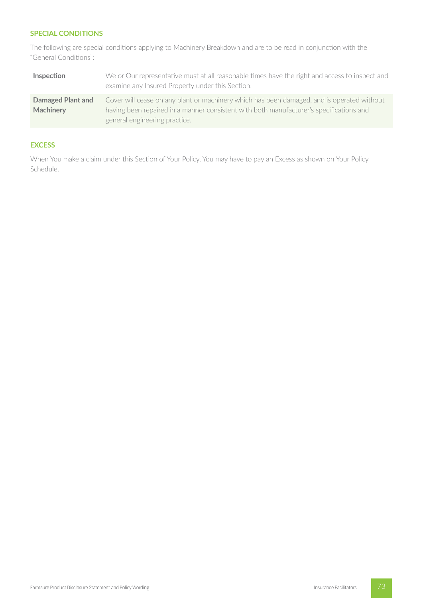# **SPECIAL CONDITIONS**

The following are special conditions applying to Machinery Breakdown and are to be read in conjunction with the "General Conditions":

| Inspection        | We or Our representative must at all reasonable times have the right and access to inspect and<br>examine any Insured Property under this Section. |
|-------------------|----------------------------------------------------------------------------------------------------------------------------------------------------|
| Damaged Plant and | Cover will cease on any plant or machinery which has been damaged, and is operated without                                                         |
| Machinery         | having been repaired in a manner consistent with both manufacturer's specifications and                                                            |
|                   | general engineering practice.                                                                                                                      |

# **EXCESS**

When You make a claim under this Section of Your Policy, You may have to pay an Excess as shown on Your Policy Schedule.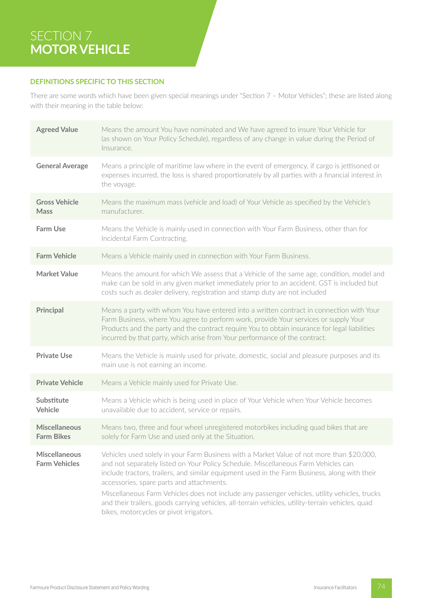# SECTION 7 **MOTOR VEHICLE**

# **DEFINITIONS SPECIFIC TO THIS SECTION**

There are some words which have been given special meanings under "Section 7 – Motor Vehicles"; these are listed along with their meaning in the table below:

| <b>Agreed Value</b>                          | Means the amount You have nominated and We have agreed to insure Your Vehicle for<br>(as shown on Your Policy Schedule), regardless of any change in value during the Period of<br>Insurance.                                                                                                                                                                                                                                                                                                                                                                                  |
|----------------------------------------------|--------------------------------------------------------------------------------------------------------------------------------------------------------------------------------------------------------------------------------------------------------------------------------------------------------------------------------------------------------------------------------------------------------------------------------------------------------------------------------------------------------------------------------------------------------------------------------|
| <b>General Average</b>                       | Means a principle of maritime law where in the event of emergency, if cargo is jettisoned or<br>expenses incurred, the loss is shared proportionately by all parties with a financial interest in<br>the voyage.                                                                                                                                                                                                                                                                                                                                                               |
| <b>Gross Vehicle</b><br><b>Mass</b>          | Means the maximum mass (vehicle and load) of Your Vehicle as specified by the Vehicle's<br>manufacturer.                                                                                                                                                                                                                                                                                                                                                                                                                                                                       |
| <b>Farm Use</b>                              | Means the Vehicle is mainly used in connection with Your Farm Business, other than for<br>Incidental Farm Contracting.                                                                                                                                                                                                                                                                                                                                                                                                                                                         |
| <b>Farm Vehicle</b>                          | Means a Vehicle mainly used in connection with Your Farm Business.                                                                                                                                                                                                                                                                                                                                                                                                                                                                                                             |
| <b>Market Value</b>                          | Means the amount for which We assess that a Vehicle of the same age, condition, model and<br>make can be sold in any given market immediately prior to an accident. GST is included but<br>costs such as dealer delivery, registration and stamp duty are not included                                                                                                                                                                                                                                                                                                         |
| <b>Principal</b>                             | Means a party with whom You have entered into a written contract in connection with Your<br>Farm Business, where You agree to perform work, provide Your services or supply Your<br>Products and the party and the contract require You to obtain insurance for legal liabilities<br>incurred by that party, which arise from Your performance of the contract.                                                                                                                                                                                                                |
| <b>Private Use</b>                           | Means the Vehicle is mainly used for private, domestic, social and pleasure purposes and its<br>main use is not earning an income.                                                                                                                                                                                                                                                                                                                                                                                                                                             |
| <b>Private Vehicle</b>                       | Means a Vehicle mainly used for Private Use.                                                                                                                                                                                                                                                                                                                                                                                                                                                                                                                                   |
| Substitute<br>Vehicle                        | Means a Vehicle which is being used in place of Your Vehicle when Your Vehicle becomes<br>unavailable due to accident, service or repairs.                                                                                                                                                                                                                                                                                                                                                                                                                                     |
| <b>Miscellaneous</b><br><b>Farm Bikes</b>    | Means two, three and four wheel unregistered motorbikes including quad bikes that are<br>solely for Farm Use and used only at the Situation.                                                                                                                                                                                                                                                                                                                                                                                                                                   |
| <b>Miscellaneous</b><br><b>Farm Vehicles</b> | Vehicles used solely in your Farm Business with a Market Value of not more than \$20,000,<br>and not separately listed on Your Policy Schedule. Miscellaneous Farm Vehicles can<br>include tractors, trailers, and similar equipment used in the Farm Business, along with their<br>accessories, spare parts and attachments.<br>Miscellaneous Farm Vehicles does not include any passenger vehicles, utility vehicles, trucks<br>and their trailers, goods carrying vehicles, all-terrain vehicles, utility-terrain vehicles, quad<br>bikes, motorcycles or pivot irrigators. |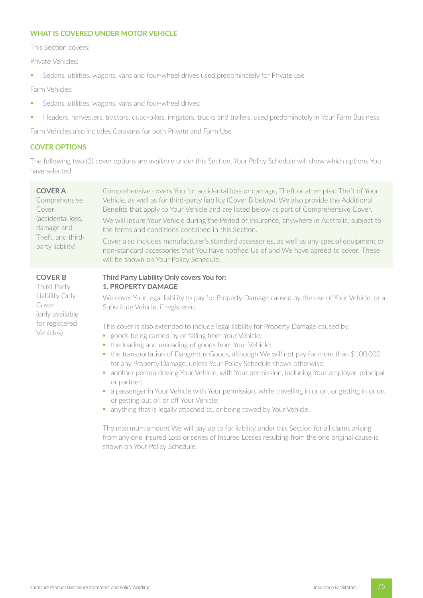### **WHAT IS COVERED UNDER MOTOR VEHICLE**

This Section covers:

Private Vehicles:

■ Sedans, utilities, wagons, vans and four-wheel drives used predominately for Private use

Farm Vehicles:

- **•** Sedans, utilities, wagons, vans and four-wheel drives;
- **■** Headers, harvesters, tractors, quad-bikes, irrigators, trucks and trailers, used predominately in Your Farm Business

Farm Vehicles also includes Caravans for both Private and Farm Use

#### **COVER OPTIONS**

The following two (2) cover options are available under this Section. Your Policy Schedule will show which options You have selected

| <b>COVER A</b><br>Comprehensive<br>Cover<br>(accidental loss,<br>damage and<br>Theft, and third-<br>party liability) | Comprehensive covers You for accidental loss or damage, Theft or attempted Theft of Your<br>Vehicle, as well as for third-party liability (Cover B below). We also provide the Additional<br>Benefits that apply to Your Vehicle and are listed below as part of Comprehensive Cover.<br>We will insure Your Vehicle during the Period of Insurance, anywhere in Australia, subject to<br>the terms and conditions contained in this Section.<br>Cover also includes manufacturer's standard accessories, as well as any special equipment or<br>non-standard accessories that You have notified Us of and We have agreed to cover. These<br>will be shown on Your Policy Schedule. |
|----------------------------------------------------------------------------------------------------------------------|-------------------------------------------------------------------------------------------------------------------------------------------------------------------------------------------------------------------------------------------------------------------------------------------------------------------------------------------------------------------------------------------------------------------------------------------------------------------------------------------------------------------------------------------------------------------------------------------------------------------------------------------------------------------------------------|
| <b>COVER B</b><br>Third-Party<br>Liability Only<br>Cover<br>(only available<br>for registered<br>Vehicles)           | Third Party Liability Only covers You for:<br><b>1. PROPERTY DAMAGE</b><br>We cover Your legal liability to pay for Property Damage caused by the use of Your Vehicle, or a<br>Substitute Vehicle, if registered.<br>This cover is also extended to include legal liability for Property Damage caused by:                                                                                                                                                                                                                                                                                                                                                                          |
|                                                                                                                      | • goods being carried by or falling from Your Vehicle;<br>the loading and unloading of goods from Your Vehicle;<br>u.<br>• the transportation of Dangerous Goods, although We will not pay for more than \$100,000<br>for any Property Damage, unless Your Policy Schedule shows otherwise;<br>another person driving Your Vehicle, with Your permission, including Your employer, principal<br>or partner;                                                                                                                                                                                                                                                                         |

- a passenger in Your Vehicle with Your permission, while travelling in or on, or getting in or on, or getting out of, or off Your Vehicle;
- anything that is legally attached to, or being towed by Your Vehicle.

The maximum amount We will pay up to for liability under this Section for all claims arising from any one Insured Loss or series of Insured Losses resulting from the one original cause is shown on Your Policy Schedule: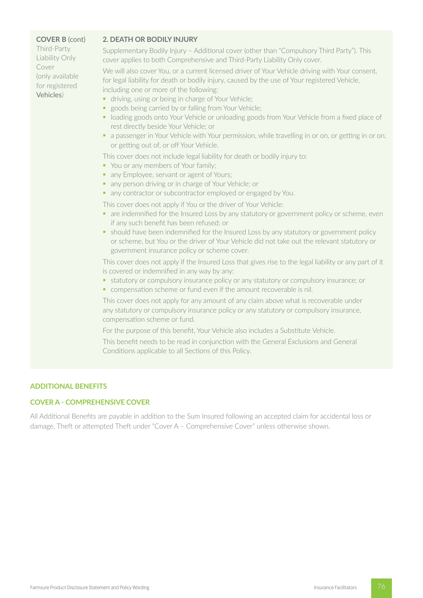#### **COVER B** (cont)

Third-Party Liability Only Cover (only available for registered Vehicles)

#### **2. DEATH OR BODILY INJURY**

Supplementary Bodily Injury – Additional cover (other than "Compulsory Third Party"). This cover applies to both Comprehensive and Third-Party Liability Only cover.

We will also cover You, or a current licensed driver of Your Vehicle driving with Your consent, for legal liability for death or bodily injury, caused by the use of Your registered Vehicle, including one or more of the following:

- driving, using or being in charge of Your Vehicle;
- goods being carried by or falling from Your Vehicle;
- loading goods onto Your Vehicle or unloading goods from Your Vehicle from a fixed place of rest directly beside Your Vehicle; or
- a passenger in Your Vehicle with Your permission, while travelling in or on, or getting in or on, or getting out of, or off Your Vehicle.

This cover does not include legal liability for death or bodily injury to:

- You or any members of Your family;
- any Employee, servant or agent of Yours;
- any person driving or in charge of Your Vehicle; or
- any contractor or subcontractor employed or engaged by You.

This cover does not apply if You or the driver of Your Vehicle:

- are indemnified for the Insured Loss by any statutory or government policy or scheme, even if any such benefit has been refused; or
- should have been indemnified for the Insured Loss by any statutory or government policy or scheme, but You or the driver of Your Vehicle did not take out the relevant statutory or government insurance policy or scheme cover.

This cover does not apply if the Insured Loss that gives rise to the legal liability or any part of it is covered or indemnified in any way by any:

- statutory or compulsory insurance policy or any statutory or compulsory insurance; or
- § compensation scheme or fund even if the amount recoverable is nil.

This cover does not apply for any amount of any claim above what is recoverable under any statutory or compulsory insurance policy or any statutory or compulsory insurance, compensation scheme or fund.

For the purpose of this benefit, Your Vehicle also includes a Substitute Vehicle.

This benefit needs to be read in conjunction with the General Exclusions and General Conditions applicable to all Sections of this Policy.

#### **ADDITIONAL BENEFITS**

# **COVER A - COMPREHENSIVE COVER**

All Additional Benefits are payable in addition to the Sum Insured following an accepted claim for accidental loss or damage, Theft or attempted Theft under "Cover A – Comprehensive Cover" unless otherwise shown.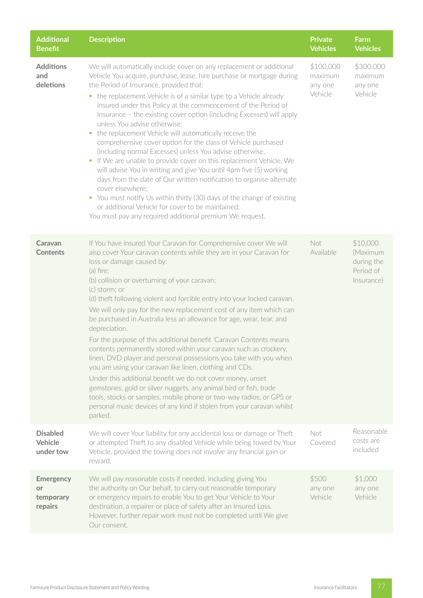| <b>Additional</b><br><b>Benefit</b>            | <b>Description</b>                                                                                                                                                                                                                                                                                                                                                                                                                                                                                                                                                                                                                                                                                                                                                                                                                                                                                                                                                                                                                                                          | <b>Private</b><br><b>Vehicles</b>          | Farm<br><b>Vehicles</b>                                       |
|------------------------------------------------|-----------------------------------------------------------------------------------------------------------------------------------------------------------------------------------------------------------------------------------------------------------------------------------------------------------------------------------------------------------------------------------------------------------------------------------------------------------------------------------------------------------------------------------------------------------------------------------------------------------------------------------------------------------------------------------------------------------------------------------------------------------------------------------------------------------------------------------------------------------------------------------------------------------------------------------------------------------------------------------------------------------------------------------------------------------------------------|--------------------------------------------|---------------------------------------------------------------|
| <b>Additions</b><br>and<br>deletions           | We will automatically include cover on any replacement or additional<br>Vehicle You acquire, purchase, lease, hire purchase or mortgage during<br>the Period of Insurance, provided that:<br>• the replacement Vehicle is of a similar type to a Vehicle already<br>insured under this Policy at the commencement of the Period of<br>Insurance - the existing cover option (including Excesses) will apply<br>unless You advise otherwise;<br>the replacement Vehicle will automatically receive the<br>ш<br>comprehensive cover option for the class of Vehicle purchased<br>(including normal Excesses) unless You advise otherwise.<br>• If We are unable to provide cover on this replacement Vehicle, We<br>will advise You in writing and give You until 4pm five (5) working<br>days from the date of Our written notification to organise alternate<br>cover elsewhere;<br>• You must notify Us within thirty (30) days of the change of existing<br>or additional Vehicle for cover to be maintained;<br>You must pay any required additional premium We request. | \$100,000<br>maximum<br>any one<br>Vehicle | \$300,000<br>maximum<br>any one<br>Vehicle                    |
| Caravan<br><b>Contents</b>                     | If You have insured Your Caravan for Comprehensive cover We will<br>also cover Your caravan contents while they are in your Caravan for<br>loss or damage caused by:<br>$(a)$ fire;<br>(b) collision or overturning of your caravan;<br>(c) storm; or<br>(d) theft following violent and forcible entry into your locked caravan.<br>We will only pay for the new replacement cost of any item which can<br>be purchased in Australia less an allowance for age, wear, tear, and<br>depreciation.<br>For the purpose of this additional benefit 'Caravan Contents means<br>contents permanently stored within your caravan such as crockery,<br>linen, DVD player and personal possessions you take with you when<br>you are using your caravan like linen, clothing and CDs.<br>Under this additional benefit we do not cover money, unset<br>gemstones, gold or silver nuggets, any animal bird or fish, trade<br>tools, stocks or samples, mobile phone or two-way radios, or GPS or<br>personal music devices of any kind if stolen from your caravan whilst<br>parked. | Not<br>Available                           | \$10,000<br>(Maximum<br>during the<br>Period of<br>Insurance) |
| <b>Disabled</b><br>Vehicle<br>under tow        | We will cover Your liability for any accidental loss or damage or Theft<br>or attempted Theft to any disabled Vehicle while being towed by Your<br>Vehicle, provided the towing does not involve any financial gain or<br>reward.                                                                                                                                                                                                                                                                                                                                                                                                                                                                                                                                                                                                                                                                                                                                                                                                                                           | Not<br>Covered                             | Reasonable<br>costs are<br>included                           |
| <b>Emergency</b><br>or<br>temporary<br>repairs | We will pay reasonable costs if needed, including giving You<br>the authority on Our behalf, to carry out reasonable temporary<br>or emergency repairs to enable You to get Your Vehicle to Your<br>destination, a repairer or place of safety after an Insured Loss.<br>However, further repair work must not be completed until We give<br>Our consent.                                                                                                                                                                                                                                                                                                                                                                                                                                                                                                                                                                                                                                                                                                                   | \$500<br>any one<br>Vehicle                | \$1,000<br>any one<br>Vehicle                                 |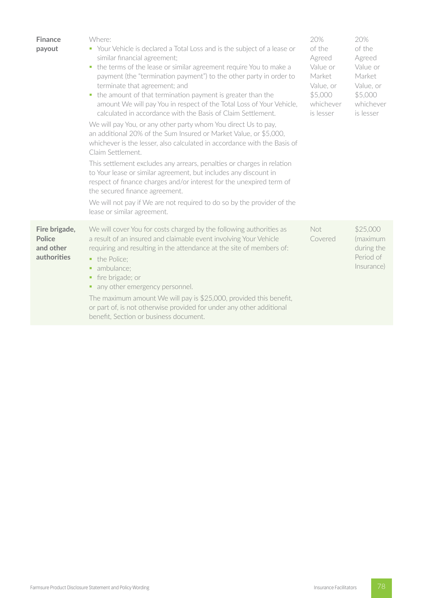| <b>Finance</b><br>payout                                   | Where:<br>• Your Vehicle is declared a Total Loss and is the subject of a lease or<br>similar financial agreement;<br>the terms of the lease or similar agreement require You to make a<br>u.<br>payment (the "termination payment") to the other party in order to<br>terminate that agreement; and<br>the amount of that termination payment is greater than the<br>ш<br>amount We will pay You in respect of the Total Loss of Your Vehicle,<br>calculated in accordance with the Basis of Claim Settlement.<br>We will pay You, or any other party whom You direct Us to pay,<br>an additional 20% of the Sum Insured or Market Value, or \$5,000,<br>whichever is the lesser, also calculated in accordance with the Basis of<br>Claim Settlement.<br>This settlement excludes any arrears, penalties or charges in relation<br>to Your lease or similar agreement, but includes any discount in<br>respect of finance charges and/or interest for the unexpired term of<br>the secured finance agreement.<br>We will not pay if We are not required to do so by the provider of the<br>lease or similar agreement. | 20%<br>of the<br>Agreed<br>Value or<br>Market<br>Value, or<br>\$5,000<br>whichever<br>is lesser | 20%<br>of the<br>Agreed<br>Value or<br>Market<br>Value, or<br>\$5,000<br>whichever<br>is lesser |
|------------------------------------------------------------|--------------------------------------------------------------------------------------------------------------------------------------------------------------------------------------------------------------------------------------------------------------------------------------------------------------------------------------------------------------------------------------------------------------------------------------------------------------------------------------------------------------------------------------------------------------------------------------------------------------------------------------------------------------------------------------------------------------------------------------------------------------------------------------------------------------------------------------------------------------------------------------------------------------------------------------------------------------------------------------------------------------------------------------------------------------------------------------------------------------------------|-------------------------------------------------------------------------------------------------|-------------------------------------------------------------------------------------------------|
| Fire brigade,<br><b>Police</b><br>and other<br>authorities | We will cover You for costs charged by the following authorities as<br>a result of an insured and claimable event involving Your Vehicle<br>requiring and resulting in the attendance at the site of members of:<br>• the Police;<br>ambulance;<br>٠<br>fire brigade; or<br>٠<br>• any other emergency personnel.<br>The maximum amount We will pay is \$25,000, provided this benefit,<br>or part of, is not otherwise provided for under any other additional<br>benefit, Section or business document.                                                                                                                                                                                                                                                                                                                                                                                                                                                                                                                                                                                                                | Not<br>Covered                                                                                  | \$25,000<br>(maximum<br>during the<br>Period of<br>Insurance)                                   |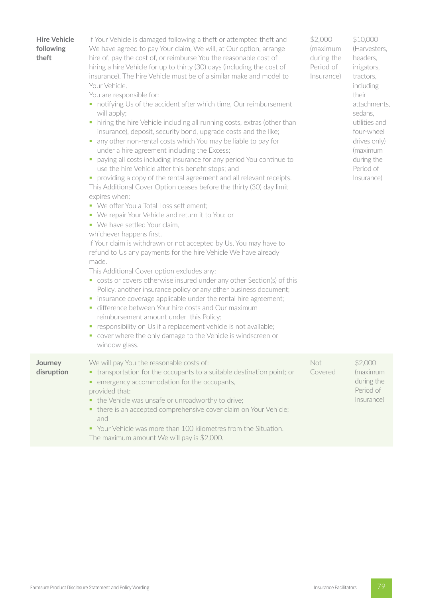**Hire Vehicle following theft** If Your Vehicle is damaged following a theft or attempted theft and We have agreed to pay Your claim, We will, at Our option, arrange hire of, pay the cost of, or reimburse You the reasonable cost of hiring a hire Vehicle for up to thirty (30) days (including the cost of insurance). The hire Vehicle must be of a similar make and model to Your Vehicle. You are responsible for: ■ notifying Us of the accident after which time, Our reimbursement will apply; • hiring the hire Vehicle including all running costs, extras (other than insurance), deposit, security bond, upgrade costs and the like; • any other non-rental costs which You may be liable to pay for under a hire agreement including the Excess; paying all costs including insurance for any period You continue to use the hire Vehicle after this benefit stops; and • providing a copy of the rental agreement and all relevant receipts. This Additional Cover Option ceases before the thirty (30) day limit expires when: ■ We offer You a Total Loss settlement; § We repair Your Vehicle and return it to You; or • We have settled Your claim, whichever happens first. If Your claim is withdrawn or not accepted by Us, You may have to refund to Us any payments for the hire Vehicle We have already made. This Additional Cover option excludes any: ■ costs or covers otherwise insured under any other Section(s) of this Policy, another insurance policy or any other business document; • insurance coverage applicable under the rental hire agreement; ■ difference between Your hire costs and Our maximum reimbursement amount under this Policy; **•** responsibility on Us if a replacement vehicle is not available; cover where the only damage to the Vehicle is windscreen or window glass. \$2,000 (maximum during the Period of Insurance) \$10,000 (Harvesters, headers, irrigators, tractors, including their attachments, sedans, utilities and four-wheel drives only) (maximum during the Period of Insurance) **Journey disruption** We will pay You the reasonable costs of: • transportation for the occupants to a suitable destination point; or • emergency accommodation for the occupants, provided that: • the Vehicle was unsafe or unroadworthy to drive; ■ there is an accepted comprehensive cover claim on Your Vehicle; and § Your Vehicle was more than 100 kilometres from the Situation. Not Covered \$2,000 (maximum during the Period of Insurance)

The maximum amount We will pay is \$2,000.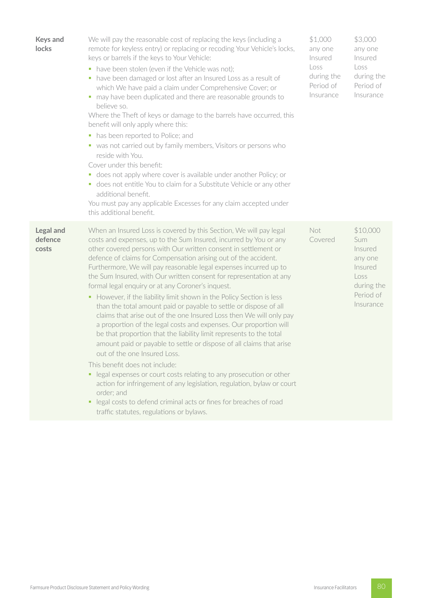| <b>Keys and</b><br>locks             | We will pay the reasonable cost of replacing the keys (including a<br>remote for keyless entry) or replacing or recoding Your Vehicle's locks,<br>keys or barrels if the keys to Your Vehicle:<br>• have been stolen (even if the Vehicle was not);<br>• have been damaged or lost after an Insured Loss as a result of<br>which We have paid a claim under Comprehensive Cover; or<br>• may have been duplicated and there are reasonable grounds to<br>believe so.<br>Where the Theft of keys or damage to the barrels have occurred, this<br>benefit will only apply where this:<br>has been reported to Police; and<br>$\blacksquare$<br>• was not carried out by family members, Visitors or persons who<br>reside with You.<br>Cover under this benefit:<br>• does not apply where cover is available under another Policy; or<br>• does not entitle You to claim for a Substitute Vehicle or any other<br>additional benefit.<br>You must pay any applicable Excesses for any claim accepted under<br>this additional benefit.                                                                                                                                                                                                                                      | \$1,000<br>any one<br>Insured<br>Loss<br>during the<br>Period of<br>Insurance | \$3,000<br>any one<br>Insured<br>Loss<br>during the<br>Period of<br>Insurance                    |
|--------------------------------------|----------------------------------------------------------------------------------------------------------------------------------------------------------------------------------------------------------------------------------------------------------------------------------------------------------------------------------------------------------------------------------------------------------------------------------------------------------------------------------------------------------------------------------------------------------------------------------------------------------------------------------------------------------------------------------------------------------------------------------------------------------------------------------------------------------------------------------------------------------------------------------------------------------------------------------------------------------------------------------------------------------------------------------------------------------------------------------------------------------------------------------------------------------------------------------------------------------------------------------------------------------------------------|-------------------------------------------------------------------------------|--------------------------------------------------------------------------------------------------|
| <b>Legal and</b><br>defence<br>costs | When an Insured Loss is covered by this Section, We will pay legal<br>costs and expenses, up to the Sum Insured, incurred by You or any<br>other covered persons with Our written consent in settlement or<br>defence of claims for Compensation arising out of the accident.<br>Furthermore, We will pay reasonable legal expenses incurred up to<br>the Sum Insured, with Our written consent for representation at any<br>formal legal enquiry or at any Coroner's inquest.<br>• However, if the liability limit shown in the Policy Section is less<br>than the total amount paid or payable to settle or dispose of all<br>claims that arise out of the one Insured Loss then We will only pay<br>a proportion of the legal costs and expenses. Our proportion will<br>be that proportion that the liability limit represents to the total<br>amount paid or payable to settle or dispose of all claims that arise<br>out of the one Insured Loss.<br>This benefit does not include:<br>• legal expenses or court costs relating to any prosecution or other<br>action for infringement of any legislation, regulation, bylaw or court<br>order; and<br>legal costs to defend criminal acts or fines for breaches of road<br>traffic statutes, regulations or bylaws. | Not<br>Covered                                                                | \$10,000<br>Sum<br>Insured<br>any one<br>Insured<br>Loss<br>during the<br>Period of<br>Insurance |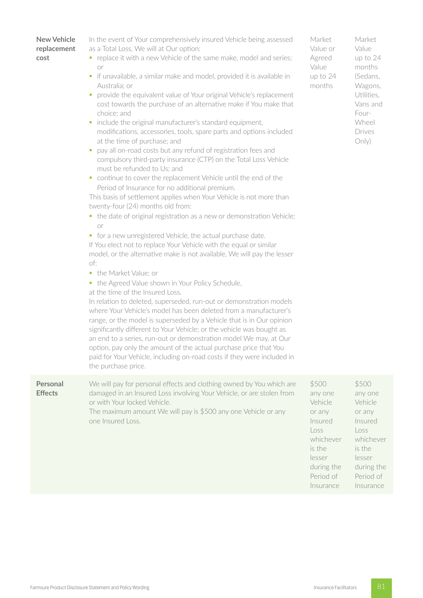| <b>New Vehicle</b><br>replacement<br>cost | In the event of Your comprehensively insured Vehicle being assessed<br>as a Total Loss, We will at Our option:<br>• replace it with a new Vehicle of the same make, model and series;<br>or<br>if unavailable, a similar make and model, provided it is available in<br>ш<br>Australia; or<br>provide the equivalent value of Your original Vehicle's replacement<br>u,<br>cost towards the purchase of an alternative make if You make that<br>choice; and<br>include the original manufacturer's standard equipment,<br>Е<br>modifications, accessories, tools, spare parts and options included<br>at the time of purchase; and<br>pay all on-road costs but any refund of registration fees and<br>ш<br>compulsory third-party insurance (CTP) on the Total Loss Vehicle<br>must be refunded to Us; and<br>continue to cover the replacement Vehicle until the end of the<br>Period of Insurance for no additional premium.<br>This basis of settlement applies when Your Vehicle is not more than<br>twenty-four (24) months old from:<br>• the date of original registration as a new or demonstration Vehicle;<br><b>or</b><br>• for a new unregistered Vehicle, the actual purchase date.<br>If You elect not to replace Your Vehicle with the equal or similar<br>model, or the alternative make is not available, We will pay the lesser<br>of:<br>• the Market Value; or<br>the Agreed Value shown in Your Policy Schedule,<br>٠<br>at the time of the Insured Loss.<br>In relation to deleted, superseded, run-out or demonstration models<br>where Your Vehicle's model has been deleted from a manufacturer's<br>range, or the model is superseded by a Vehicle that is in Our opinion<br>significantly different to Your Vehicle; or the vehicle was bought as<br>an end to a series, run-out or demonstration model We may, at Our<br>option, pay only the amount of the actual purchase price that You<br>paid for Your Vehicle, including on-road costs if they were included in<br>the purchase price. | Market<br>Value or<br>Agreed<br>Value<br>up to 24<br>months                                                          | Market<br>Value<br>up to 24<br>months<br>(Sedans,<br>Wagons,<br>Utilities,<br>Vans and<br>Four-<br>Wheel<br>Drives<br>Only) |
|-------------------------------------------|---------------------------------------------------------------------------------------------------------------------------------------------------------------------------------------------------------------------------------------------------------------------------------------------------------------------------------------------------------------------------------------------------------------------------------------------------------------------------------------------------------------------------------------------------------------------------------------------------------------------------------------------------------------------------------------------------------------------------------------------------------------------------------------------------------------------------------------------------------------------------------------------------------------------------------------------------------------------------------------------------------------------------------------------------------------------------------------------------------------------------------------------------------------------------------------------------------------------------------------------------------------------------------------------------------------------------------------------------------------------------------------------------------------------------------------------------------------------------------------------------------------------------------------------------------------------------------------------------------------------------------------------------------------------------------------------------------------------------------------------------------------------------------------------------------------------------------------------------------------------------------------------------------------------------------------------------------------------------------------------------------------------------|----------------------------------------------------------------------------------------------------------------------|-----------------------------------------------------------------------------------------------------------------------------|
| Personal<br><b>Effects</b>                | We will pay for personal effects and clothing owned by You which are<br>damaged in an Insured Loss involving Your Vehicle, or are stolen from<br>or with Your locked Vehicle.<br>The maximum amount We will pay is \$500 any one Vehicle or any<br>one Insured Loss.                                                                                                                                                                                                                                                                                                                                                                                                                                                                                                                                                                                                                                                                                                                                                                                                                                                                                                                                                                                                                                                                                                                                                                                                                                                                                                                                                                                                                                                                                                                                                                                                                                                                                                                                                      | \$500<br>any one<br>Vehicle<br>or any<br>Insured<br>Loss<br>whichever<br>is the<br>lesser<br>during the<br>Period of | \$500<br>any one<br>Vehicle<br>or any<br>Insured<br>Loss<br>whichever<br>is the<br>lesser<br>during the<br>Period of        |

Insurance

Period of Insurance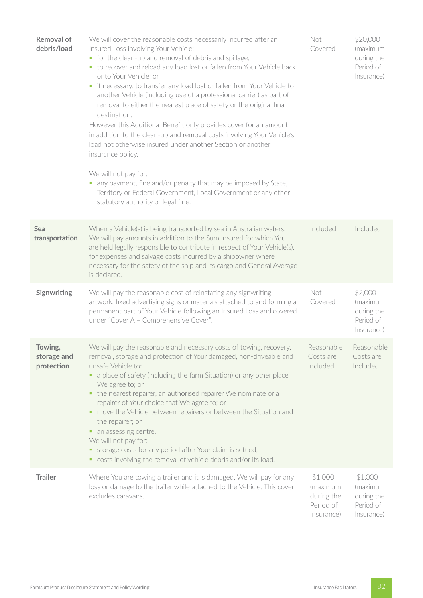| Removal of<br>debris/load            | We will cover the reasonable costs necessarily incurred after an<br>Insured Loss involving Your Vehicle:<br>• for the clean-up and removal of debris and spillage;<br>• to recover and reload any load lost or fallen from Your Vehicle back<br>onto Your Vehicle; or<br>if necessary, to transfer any load lost or fallen from Your Vehicle to<br>u.<br>another Vehicle (including use of a professional carrier) as part of<br>removal to either the nearest place of safety or the original final<br>destination.<br>However this Additional Benefit only provides cover for an amount<br>in addition to the clean-up and removal costs involving Your Vehicle's<br>load not otherwise insured under another Section or another<br>insurance policy.<br>We will not pay for:<br>any payment, fine and/or penalty that may be imposed by State,<br>ш<br>Territory or Federal Government, Local Government or any other<br>statutory authority or legal fine. | Not<br>Covered                                               | \$20,000<br>(maximum<br>during the<br>Period of<br>Insurance) |
|--------------------------------------|----------------------------------------------------------------------------------------------------------------------------------------------------------------------------------------------------------------------------------------------------------------------------------------------------------------------------------------------------------------------------------------------------------------------------------------------------------------------------------------------------------------------------------------------------------------------------------------------------------------------------------------------------------------------------------------------------------------------------------------------------------------------------------------------------------------------------------------------------------------------------------------------------------------------------------------------------------------|--------------------------------------------------------------|---------------------------------------------------------------|
| Sea<br>transportation                | When a Vehicle(s) is being transported by sea in Australian waters,<br>We will pay amounts in addition to the Sum Insured for which You<br>are held legally responsible to contribute in respect of Your Vehicle(s),<br>for expenses and salvage costs incurred by a shipowner where<br>necessary for the safety of the ship and its cargo and General Average<br>is declared.                                                                                                                                                                                                                                                                                                                                                                                                                                                                                                                                                                                 | Included                                                     | Included                                                      |
| Signwriting                          | We will pay the reasonable cost of reinstating any signwriting,<br>artwork, fixed advertising signs or materials attached to and forming a<br>permanent part of Your Vehicle following an Insured Loss and covered<br>under "Cover A - Comprehensive Cover".                                                                                                                                                                                                                                                                                                                                                                                                                                                                                                                                                                                                                                                                                                   | Not<br>Covered                                               | \$2,000<br>(maximum<br>during the<br>Period of<br>Insurance)  |
| Towing,<br>storage and<br>protection | We will pay the reasonable and necessary costs of towing, recovery,<br>removal, storage and protection of Your damaged, non-driveable and<br>unsafe Vehicle to:<br>a place of safety (including the farm Situation) or any other place<br>۰.<br>We agree to; or<br>the nearest repairer, an authorised repairer We nominate or a<br>repairer of Your choice that We agree to; or<br>• move the Vehicle between repairers or between the Situation and<br>the repairer; or<br>• an assessing centre.<br>We will not pay for:<br>storage costs for any period after Your claim is settled;<br>ш,<br>• costs involving the removal of vehicle debris and/or its load.                                                                                                                                                                                                                                                                                             | Reasonable<br>Costs are<br>Included                          | Reasonable<br>Costs are<br>Included                           |
| <b>Trailer</b>                       | Where You are towing a trailer and it is damaged, We will pay for any<br>loss or damage to the trailer while attached to the Vehicle. This cover<br>excludes caravans.                                                                                                                                                                                                                                                                                                                                                                                                                                                                                                                                                                                                                                                                                                                                                                                         | \$1,000<br>(maximum<br>during the<br>Period of<br>Insurance) | \$1,000<br>(maximum<br>during the<br>Period of<br>Insurance)  |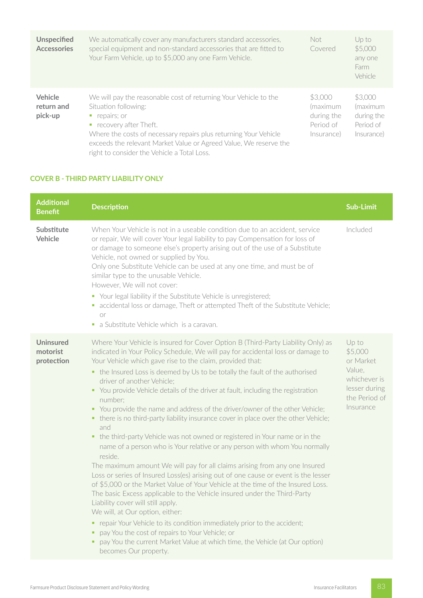| <b>Unspecified</b><br><b>Accessories</b> | We automatically cover any manufacturers standard accessories,<br>special equipment and non-standard accessories that are fitted to<br>Your Farm Vehicle, up to \$5,000 any one Farm Vehicle.                                                                                                                            | Not.<br>Covered                                              | $Up$ to<br>\$5,000<br>any one<br>Farm<br>Vehicle             |
|------------------------------------------|--------------------------------------------------------------------------------------------------------------------------------------------------------------------------------------------------------------------------------------------------------------------------------------------------------------------------|--------------------------------------------------------------|--------------------------------------------------------------|
| Vehicle<br>return and<br>pick-up         | We will pay the reasonable cost of returning Your Vehicle to the<br>Situation following:<br>repairs; or<br>recovery after Theft.<br>Where the costs of necessary repairs plus returning Your Vehicle<br>exceeds the relevant Market Value or Agreed Value, We reserve the<br>right to consider the Vehicle a Total Loss. | \$3,000<br>(maximum<br>during the<br>Period of<br>Insurance) | \$3,000<br>(maximum<br>during the<br>Period of<br>Insurance) |

# **COVER B - THIRD PARTY LIABILITY ONLY**

| <b>Additional</b><br><b>Benefit</b>        | <b>Description</b>                                                                                                                                                                                                                                                                                                                                                                                                                                                                                                                                                                                                                                                                                                                                                                                                                                                                                                                                                                                                                                                                                                                                                                                                                                                                                                                                                                                                                                            | <b>Sub-Limit</b>                                                                                       |
|--------------------------------------------|---------------------------------------------------------------------------------------------------------------------------------------------------------------------------------------------------------------------------------------------------------------------------------------------------------------------------------------------------------------------------------------------------------------------------------------------------------------------------------------------------------------------------------------------------------------------------------------------------------------------------------------------------------------------------------------------------------------------------------------------------------------------------------------------------------------------------------------------------------------------------------------------------------------------------------------------------------------------------------------------------------------------------------------------------------------------------------------------------------------------------------------------------------------------------------------------------------------------------------------------------------------------------------------------------------------------------------------------------------------------------------------------------------------------------------------------------------------|--------------------------------------------------------------------------------------------------------|
| Substitute<br>Vehicle                      | When Your Vehicle is not in a useable condition due to an accident, service<br>or repair, We will cover Your legal liability to pay Compensation for loss of<br>or damage to someone else's property arising out of the use of a Substitute<br>Vehicle, not owned or supplied by You.<br>Only one Substitute Vehicle can be used at any one time, and must be of<br>similar type to the unusable Vehicle.<br>However, We will not cover:<br>• Your legal liability if the Substitute Vehicle is unregistered;<br>• accidental loss or damage, Theft or attempted Theft of the Substitute Vehicle;<br>or<br>• a Substitute Vehicle which is a caravan.                                                                                                                                                                                                                                                                                                                                                                                                                                                                                                                                                                                                                                                                                                                                                                                                         | Included                                                                                               |
| <b>Uninsured</b><br>motorist<br>protection | Where Your Vehicle is insured for Cover Option B (Third-Party Liability Only) as<br>indicated in Your Policy Schedule, We will pay for accidental loss or damage to<br>Your Vehicle which gave rise to the claim, provided that:<br>• the Insured Loss is deemed by Us to be totally the fault of the authorised<br>driver of another Vehicle;<br>• You provide Vehicle details of the driver at fault, including the registration<br>number:<br>• You provide the name and address of the driver/owner of the other Vehicle;<br>• there is no third-party liability insurance cover in place over the other Vehicle;<br>and<br>• the third-party Vehicle was not owned or registered in Your name or in the<br>name of a person who is Your relative or any person with whom You normally<br>reside.<br>The maximum amount We will pay for all claims arising from any one Insured<br>Loss or series of Insured Loss(es) arising out of one cause or event is the lesser<br>of \$5,000 or the Market Value of Your Vehicle at the time of the Insured Loss.<br>The basic Excess applicable to the Vehicle insured under the Third-Party<br>Liability cover will still apply.<br>We will, at Our option, either:<br>• repair Your Vehicle to its condition immediately prior to the accident;<br>pay You the cost of repairs to Your Vehicle; or<br>٠<br>pay You the current Market Value at which time, the Vehicle (at Our option)<br>becomes Our property. | Up to<br>\$5,000<br>or Market<br>Value.<br>whichever is<br>lesser during<br>the Period of<br>Insurance |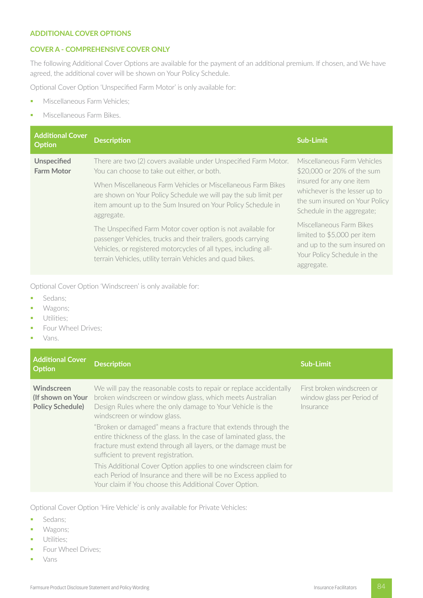#### **ADDITIONAL COVER OPTIONS**

# **COVER A - COMPREHENSIVE COVER ONLY**

The following Additional Cover Options are available for the payment of an additional premium. If chosen, and We have agreed, the additional cover will be shown on Your Policy Schedule.

Optional Cover Option 'Unspecified Farm Motor' is only available for:

- **Miscellaneous Farm Vehicles;**
- **•** Miscellaneous Farm Bikes.

| <b>Additional Cover</b><br><b>Option</b> | Description                                                                                                                                                                                                                                                     | <b>Sub-Limit</b>                                                                                                                     |
|------------------------------------------|-----------------------------------------------------------------------------------------------------------------------------------------------------------------------------------------------------------------------------------------------------------------|--------------------------------------------------------------------------------------------------------------------------------------|
| <b>Unspecified</b><br><b>Farm Motor</b>  | There are two (2) covers available under Unspecified Farm Motor.<br>You can choose to take out either, or both.                                                                                                                                                 | Miscellaneous Farm Vehicles<br>\$20,000 or 20% of the sum                                                                            |
|                                          | When Miscellaneous Farm Vehicles or Miscellaneous Farm Bikes<br>are shown on Your Policy Schedule we will pay the sub limit per<br>item amount up to the Sum Insured on Your Policy Schedule in<br>aggregate.                                                   | insured for any one item<br>whichever is the lesser up to<br>the sum insured on Your Policy<br>Schedule in the aggregate;            |
|                                          | The Unspecified Farm Motor cover option is not available for<br>passenger Vehicles, trucks and their trailers, goods carrying<br>Vehicles, or registered motorcycles of all types, including all-<br>terrain Vehicles, utility terrain Vehicles and quad bikes. | Miscellaneous Farm Bikes<br>limited to \$5,000 per item<br>and up to the sum insured on<br>Your Policy Schedule in the<br>aggregate. |

Optional Cover Option 'Windscreen' is only available for:

- Sedans;
- Wagons;
- **•** Utilities;
- **•** Four Wheel Drives;
- § Vans.

| <b>Additional Cover</b><br><b>Option</b>                   | <b>Description</b>                                                                                                                                                                                                                           | Sub-Limit                                                             |
|------------------------------------------------------------|----------------------------------------------------------------------------------------------------------------------------------------------------------------------------------------------------------------------------------------------|-----------------------------------------------------------------------|
| Windscreen<br>(If shown on Your<br><b>Policy Schedule)</b> | We will pay the reasonable costs to repair or replace accidentally<br>broken windscreen or window glass, which meets Australian<br>Design Rules where the only damage to Your Vehicle is the<br>windscreen or window glass.                  | First broken windscreen or<br>window glass per Period of<br>Insurance |
|                                                            | "Broken or damaged" means a fracture that extends through the<br>entire thickness of the glass. In the case of laminated glass, the<br>fracture must extend through all layers, or the damage must be<br>sufficient to prevent registration. |                                                                       |
|                                                            | This Additional Cover Option applies to one windscreen claim for<br>each Period of Insurance and there will be no Excess applied to<br>Your claim if You choose this Additional Cover Option.                                                |                                                                       |

Optional Cover Option 'Hire Vehicle' is only available for Private Vehicles:

- Sedans;
- § Wagons;
- **•** Utilities;
- **•** Four Wheel Drives;
- § Vans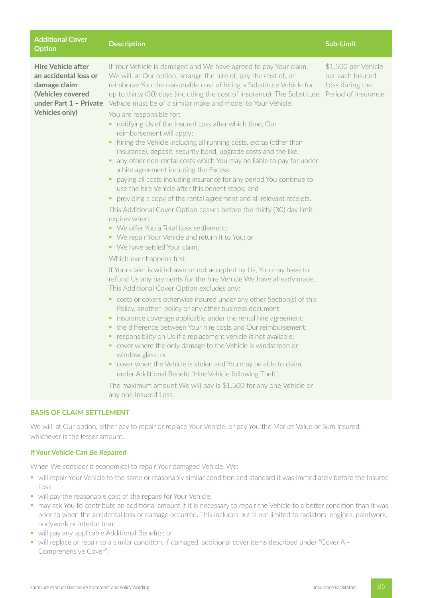| <b>Additional Cover</b><br><b>Option</b>                                                                                                   | <b>Description</b>                                                                                                                                                                                                                                                                                                                                                                                                                                                                                                                                                                                                                                                                                                                                                                                                                                                                                                                                                                                                                                                                                                                                                                                                                                                                                                                                                                                                                                                                                                                                                                                                                                                                                                                                                                                                                                                                                                                                                                                                                                                             | <b>Sub-Limit</b>                                                                  |
|--------------------------------------------------------------------------------------------------------------------------------------------|--------------------------------------------------------------------------------------------------------------------------------------------------------------------------------------------------------------------------------------------------------------------------------------------------------------------------------------------------------------------------------------------------------------------------------------------------------------------------------------------------------------------------------------------------------------------------------------------------------------------------------------------------------------------------------------------------------------------------------------------------------------------------------------------------------------------------------------------------------------------------------------------------------------------------------------------------------------------------------------------------------------------------------------------------------------------------------------------------------------------------------------------------------------------------------------------------------------------------------------------------------------------------------------------------------------------------------------------------------------------------------------------------------------------------------------------------------------------------------------------------------------------------------------------------------------------------------------------------------------------------------------------------------------------------------------------------------------------------------------------------------------------------------------------------------------------------------------------------------------------------------------------------------------------------------------------------------------------------------------------------------------------------------------------------------------------------------|-----------------------------------------------------------------------------------|
| <b>Hire Vehicle after</b><br>an accidental loss or<br>damage claim<br>(Vehicles covered<br>under Part 1 - Private<br><b>Vehicles only)</b> | If Your Vehicle is damaged and We have agreed to pay Your claim,<br>We will, at Our option, arrange the hire of, pay the cost of, or<br>reimburse You the reasonable cost of hiring a Substitute Vehicle for<br>up to thirty (30) days (including the cost of insurance). The Substitute<br>Vehicle must be of a similar make and model to Your Vehicle.<br>You are responsible for:<br>• notifying Us of the Insured Loss after which time, Our<br>reimbursement will apply;<br>hiring the Vehicle including all running costs, extras (other than<br>٠<br>insurance), deposit, security bond, upgrade costs and the like;<br>any other non-rental costs which You may be liable to pay for under<br>٠<br>a hire agreement including the Excess;<br>paying all costs including insurance for any period You continue to<br>٠<br>use the hire Vehicle after this benefit stops; and<br>• providing a copy of the rental agreement and all relevant receipts.<br>This Additional Cover Option ceases before the thirty (30) day limit<br>expires when:<br>• We offer You a Total Loss settlement;<br>• We repair Your Vehicle and return it to You; or<br>• We have settled Your claim,<br>Which ever happens first.<br>If Your claim is withdrawn or not accepted by Us, You may have to<br>refund Us any payments for the hire Vehicle We have already made.<br>This Additional Cover Option excludes any:<br>• costs or covers otherwise insured under any other Section(s) of this<br>Policy, another policy or any other business document;<br>insurance coverage applicable under the rental hire agreement;<br>ш<br>the difference between Your hire costs and Our reimbursement;<br>ш<br>responsibility on Us if a replacement vehicle is not available;<br>• cover where the only damage to the Vehicle is windscreen or<br>window glass; or<br>cover when the Vehicle is stolen and You may be able to claim<br>under Additional Benefit "Hire Vehicle following Theft".<br>The maximum amount We will pay is \$1,500 for any one Vehicle or<br>any one Insured Loss. | \$1,500 per Vehicle<br>per each Insured<br>Loss during the<br>Period of Insurance |
| <b>BASIS OF CLAIM SETTLEMENT</b>                                                                                                           |                                                                                                                                                                                                                                                                                                                                                                                                                                                                                                                                                                                                                                                                                                                                                                                                                                                                                                                                                                                                                                                                                                                                                                                                                                                                                                                                                                                                                                                                                                                                                                                                                                                                                                                                                                                                                                                                                                                                                                                                                                                                                |                                                                                   |

We will, at Our option, either pay to repair or replace Your Vehicle, or pay You the Market Value or Sum Insured, whichever is the lesser amount.

# **If Your Vehicle Can Be Repaired**

When We consider it economical to repair Your damaged Vehicle, We:

- will repair Your Vehicle to the same or reasonably similar condition and standard it was immediately before the Insured Loss;
- will pay the reasonable cost of the repairs for Your Vehicle;
- § may ask You to contribute an additional amount if it is necessary to repair the Vehicle to a better condition than it was prior to when the accidental loss or damage occurred. This includes but is not limited to radiators, engines, paintwork, bodywork or interior trim;
- will pay any applicable Additional Benefits; or
- will replace or repair to a similar condition, if damaged, additional cover items described under "Cover A Comprehensive Cover".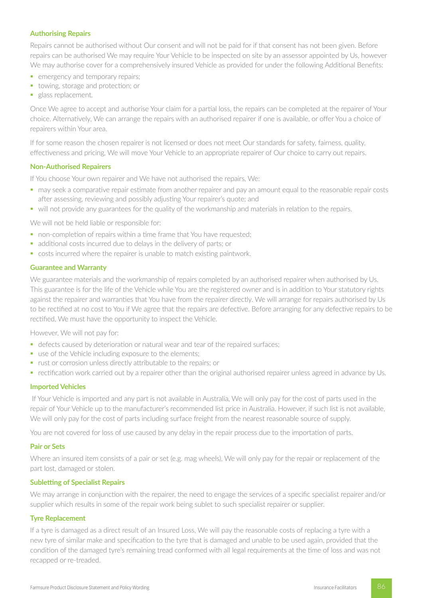### **Authorising Repairs**

Repairs cannot be authorised without Our consent and will not be paid for if that consent has not been given. Before repairs can be authorised We may require Your Vehicle to be inspected on site by an assessor appointed by Us, however We may authorise cover for a comprehensively insured Vehicle as provided for under the following Additional Benefits:

- **•** emergency and temporary repairs:
- towing, storage and protection; or
- glass replacement.

Once We agree to accept and authorise Your claim for a partial loss, the repairs can be completed at the repairer of Your choice. Alternatively, We can arrange the repairs with an authorised repairer if one is available, or offer You a choice of repairers within Your area.

If for some reason the chosen repairer is not licensed or does not meet Our standards for safety, fairness, quality, effectiveness and pricing, We will move Your Vehicle to an appropriate repairer of Our choice to carry out repairs.

#### **Non-Authorised Repairers**

If You choose Your own repairer and We have not authorised the repairs, We:

- may seek a comparative repair estimate from another repairer and pay an amount equal to the reasonable repair costs after assessing, reviewing and possibly adjusting Your repairer's quote; and
- will not provide any guarantees for the quality of the workmanship and materials in relation to the repairs.

We will not be held liable or responsible for:

- non-completion of repairs within a time frame that You have requested;
- additional costs incurred due to delays in the delivery of parts; or
- costs incurred where the repairer is unable to match existing paintwork.

#### **Guarantee and Warranty**

We guarantee materials and the workmanship of repairs completed by an authorised repairer when authorised by Us. This guarantee is for the life of the Vehicle while You are the registered owner and is in addition to Your statutory rights against the repairer and warranties that You have from the repairer directly. We will arrange for repairs authorised by Us to be rectified at no cost to You if We agree that the repairs are defective. Before arranging for any defective repairs to be rectified, We must have the opportunity to inspect the Vehicle.

However, We will not pay for:

- defects caused by deterioration or natural wear and tear of the repaired surfaces;
- use of the Vehicle including exposure to the elements;
- rust or corrosion unless directly attributable to the repairs; or
- rectification work carried out by a repairer other than the original authorised repairer unless agreed in advance by Us.

#### **Imported Vehicles**

 If Your Vehicle is imported and any part is not available in Australia, We will only pay for the cost of parts used in the repair of Your Vehicle up to the manufacturer's recommended list price in Australia. However, if such list is not available, We will only pay for the cost of parts including surface freight from the nearest reasonable source of supply.

You are not covered for loss of use caused by any delay in the repair process due to the importation of parts.

#### **Pair or Sets**

Where an insured item consists of a pair or set (e.g. mag wheels), We will only pay for the repair or replacement of the part lost, damaged or stolen.

#### **Subletting of Specialist Repairs**

We may arrange in conjunction with the repairer, the need to engage the services of a specific specialist repairer and/or supplier which results in some of the repair work being sublet to such specialist repairer or supplier.

#### **Tyre Replacement**

If a tyre is damaged as a direct result of an Insured Loss, We will pay the reasonable costs of replacing a tyre with a new tyre of similar make and specification to the tyre that is damaged and unable to be used again, provided that the condition of the damaged tyre's remaining tread conformed with all legal requirements at the time of loss and was not recapped or re-treaded.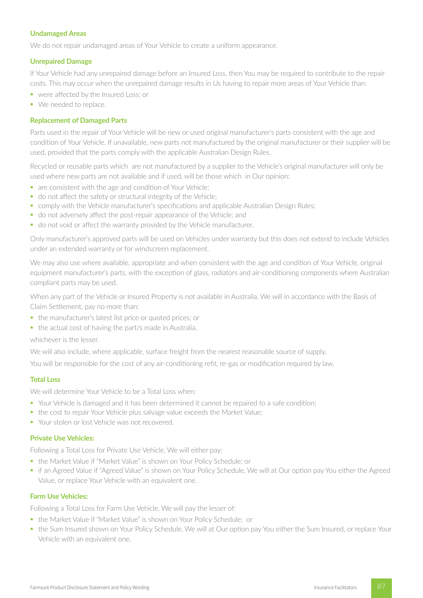#### **Undamaged Areas**

We do not repair undamaged areas of Your Vehicle to create a uniform appearance.

#### **Unrepaired Damage**

If Your Vehicle had any unrepaired damage before an Insured Loss, then You may be required to contribute to the repair costs. This may occur when the unrepaired damage results in Us having to repair more areas of Your Vehicle than:

- were affected by the Insured Loss; or
- We needed to replace.

#### **Replacement of Damaged Parts**

Parts used in the repair of Your Vehicle will be new or used original manufacturer's parts consistent with the age and condition of Your Vehicle. If unavailable, new parts not manufactured by the original manufacturer or their supplier will be used, provided that the parts comply with the applicable Australian Design Rules.

Recycled or reusable parts which are not manufactured by a supplier to the Vehicle's original manufacturer will only be used where new parts are not available and if used, will be those which in Our opinion:

- are consistent with the age and condition of Your Vehicle;
- do not affect the safety or structural integrity of the Vehicle;
- comply with the Vehicle manufacturer's specifications and applicable Australian Design Rules;
- do not adversely affect the post-repair appearance of the Vehicle; and
- do not void or affect the warranty provided by the Vehicle manufacturer.

Only manufacturer's approved parts will be used on Vehicles under warranty but this does not extend to include Vehicles under an extended warranty or for windscreen replacement.

We may also use where available, appropriate and when consistent with the age and condition of Your Vehicle, original equipment manufacturer's parts, with the exception of glass, radiators and air-conditioning components where Australian compliant parts may be used.

When any part of the Vehicle or Insured Property is not available in Australia, We will in accordance with the Basis of Claim Settlement, pay no more than:

- the manufacturer's latest list price or quoted prices; or
- the actual cost of having the part/s made in Australia,

whichever is the lesser.

We will also include, where applicable, surface freight from the nearest reasonable source of supply.

You will be responsible for the cost of any air-conditioning refit, re-gas or modification required by law.

#### **Total Loss**

We will determine Your Vehicle to be a Total Loss when:

- § Your Vehicle is damaged and it has been determined it cannot be repaired to a safe condition;
- the cost to repair Your Vehicle plus salvage value exceeds the Market Value;
- Your stolen or lost Vehicle was not recovered.

#### **Private Use Vehicles:**

Following a Total Loss for Private Use Vehicle, We will either pay:

- the Market Value if "Market Value" is shown on Your Policy Schedule; or
- if an Agreed Value if "Agreed Value" is shown on Your Policy Schedule, We will at Our option pay You either the Agreed Value, or replace Your Vehicle with an equivalent one.

#### **Farm Use Vehicles:**

Following a Total Loss for Farm Use Vehicle, We will pay the lesser of:

- the Market Value if "Market Value" is shown on Your Policy Schedule; or
- the Sum Insured shown on Your Policy Schedule, We will at Our option pay You either the Sum Insured, or replace Your Vehicle with an equivalent one.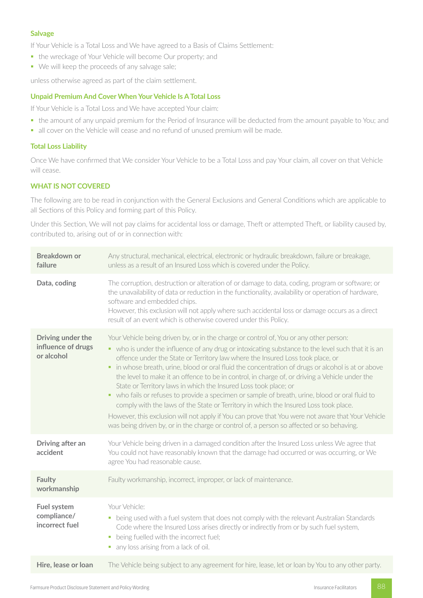# **Salvage**

If Your Vehicle is a Total Loss and We have agreed to a Basis of Claims Settlement:

- the wreckage of Your Vehicle will become Our property; and
- We will keep the proceeds of any salvage sale;

unless otherwise agreed as part of the claim settlement.

# **Unpaid Premium And Cover When Your Vehicle Is A Total Loss**

If Your Vehicle is a Total Loss and We have accepted Your claim:

- the amount of any unpaid premium for the Period of Insurance will be deducted from the amount payable to You; and
- all cover on the Vehicle will cease and no refund of unused premium will be made.

#### **Total Loss Liability**

Once We have confirmed that We consider Your Vehicle to be a Total Loss and pay Your claim, all cover on that Vehicle will cease.

# **WHAT IS NOT COVERED**

The following are to be read in conjunction with the General Exclusions and General Conditions which are applicable to all Sections of this Policy and forming part of this Policy.

Under this Section, We will not pay claims for accidental loss or damage, Theft or attempted Theft, or liability caused by, contributed to, arising out of or in connection with:

| <b>Breakdown or</b><br>failure                        | Any structural, mechanical, electrical, electronic or hydraulic breakdown, failure or breakage,<br>unless as a result of an Insured Loss which is covered under the Policy.                                                                                                                                                                                                                                                                                                                                                                                                                                                                                                                                                                                                                                                                                                                                                                                |
|-------------------------------------------------------|------------------------------------------------------------------------------------------------------------------------------------------------------------------------------------------------------------------------------------------------------------------------------------------------------------------------------------------------------------------------------------------------------------------------------------------------------------------------------------------------------------------------------------------------------------------------------------------------------------------------------------------------------------------------------------------------------------------------------------------------------------------------------------------------------------------------------------------------------------------------------------------------------------------------------------------------------------|
| Data, coding                                          | The corruption, destruction or alteration of or damage to data, coding, program or software; or<br>the unavailability of data or reduction in the functionality, availability or operation of hardware,<br>software and embedded chips.<br>However, this exclusion will not apply where such accidental loss or damage occurs as a direct<br>result of an event which is otherwise covered under this Policy.                                                                                                                                                                                                                                                                                                                                                                                                                                                                                                                                              |
| Driving under the<br>influence of drugs<br>or alcohol | Your Vehicle being driven by, or in the charge or control of, You or any other person:<br>• who is under the influence of any drug or intoxicating substance to the level such that it is an<br>offence under the State or Territory law where the Insured Loss took place, or<br>in whose breath, urine, blood or oral fluid the concentration of drugs or alcohol is at or above<br>٠<br>the level to make it an offence to be in control, in charge of, or driving a Vehicle under the<br>State or Territory laws in which the Insured Loss took place; or<br>• who fails or refuses to provide a specimen or sample of breath, urine, blood or oral fluid to<br>comply with the laws of the State or Territory in which the Insured Loss took place.<br>However, this exclusion will not apply if You can prove that You were not aware that Your Vehicle<br>was being driven by, or in the charge or control of, a person so affected or so behaving. |
| Driving after an<br>accident                          | Your Vehicle being driven in a damaged condition after the Insured Loss unless We agree that<br>You could not have reasonably known that the damage had occurred or was occurring, or We<br>agree You had reasonable cause.                                                                                                                                                                                                                                                                                                                                                                                                                                                                                                                                                                                                                                                                                                                                |
| <b>Faulty</b><br>workmanship                          | Faulty workmanship, incorrect, improper, or lack of maintenance.                                                                                                                                                                                                                                                                                                                                                                                                                                                                                                                                                                                                                                                                                                                                                                                                                                                                                           |
| Fuel system<br>compliance/<br>incorrect fuel          | Your Vehicle:<br>being used with a fuel system that does not comply with the relevant Australian Standards<br>$\blacksquare$<br>Code where the Insured Loss arises directly or indirectly from or by such fuel system,<br>being fuelled with the incorrect fuel;<br>ш<br>any loss arising from a lack of oil.<br>$\blacksquare$                                                                                                                                                                                                                                                                                                                                                                                                                                                                                                                                                                                                                            |
| Hire, lease or loan                                   | The Vehicle being subject to any agreement for hire, lease, let or loan by You to any other party.                                                                                                                                                                                                                                                                                                                                                                                                                                                                                                                                                                                                                                                                                                                                                                                                                                                         |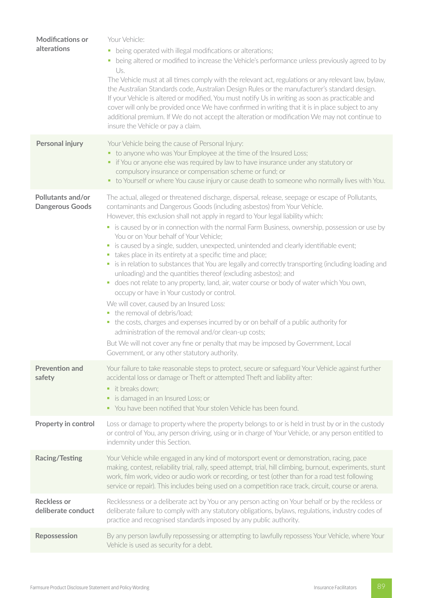| <b>Modifications or</b><br>alterations      | Your Vehicle:<br>being operated with illegal modifications or alterations;<br>being altered or modified to increase the Vehicle's performance unless previously agreed to by<br>Us.<br>The Vehicle must at all times comply with the relevant act, regulations or any relevant law, bylaw,<br>the Australian Standards code, Australian Design Rules or the manufacturer's standard design.<br>If your Vehicle is altered or modified, You must notify Us in writing as soon as practicable and<br>cover will only be provided once We have confirmed in writing that it is in place subject to any<br>additional premium. If We do not accept the alteration or modification We may not continue to<br>insure the Vehicle or pay a claim.                                                                                                                                                                                                                                                                                                                                                                                                                                                                                                                         |
|---------------------------------------------|--------------------------------------------------------------------------------------------------------------------------------------------------------------------------------------------------------------------------------------------------------------------------------------------------------------------------------------------------------------------------------------------------------------------------------------------------------------------------------------------------------------------------------------------------------------------------------------------------------------------------------------------------------------------------------------------------------------------------------------------------------------------------------------------------------------------------------------------------------------------------------------------------------------------------------------------------------------------------------------------------------------------------------------------------------------------------------------------------------------------------------------------------------------------------------------------------------------------------------------------------------------------|
| <b>Personal injury</b>                      | Your Vehicle being the cause of Personal Injury:<br>• to anyone who was Your Employee at the time of the Insured Loss;<br>• if You or anyone else was required by law to have insurance under any statutory or<br>compulsory insurance or compensation scheme or fund; or<br>• to Yourself or where You cause injury or cause death to someone who normally lives with You.                                                                                                                                                                                                                                                                                                                                                                                                                                                                                                                                                                                                                                                                                                                                                                                                                                                                                        |
| Pollutants and/or<br><b>Dangerous Goods</b> | The actual, alleged or threatened discharge, dispersal, release, seepage or escape of Pollutants,<br>contaminants and Dangerous Goods (including asbestos) from Your Vehicle.<br>However, this exclusion shall not apply in regard to Your legal liability which:<br>• is caused by or in connection with the normal Farm Business, ownership, possession or use by<br>You or on Your behalf of Your Vehicle;<br>• is caused by a single, sudden, unexpected, unintended and clearly identifiable event;<br>• takes place in its entirety at a specific time and place;<br>• is in relation to substances that You are legally and correctly transporting (including loading and<br>unloading) and the quantities thereof (excluding asbestos); and<br>" does not relate to any property, land, air, water course or body of water which You own,<br>occupy or have in Your custody or control.<br>We will cover, caused by an Insured Loss:<br>the removal of debris/load;<br>• the costs, charges and expenses incurred by or on behalf of a public authority for<br>administration of the removal and/or clean-up costs;<br>But We will not cover any fine or penalty that may be imposed by Government, Local<br>Government, or any other statutory authority. |
| <b>Prevention and</b><br>safety             | Your failure to take reasonable steps to protect, secure or safeguard Your Vehicle against further<br>accidental loss or damage or Theft or attempted Theft and liability after:<br>• it breaks down:<br>is damaged in an Insured Loss; or<br>ш<br>• You have been notified that Your stolen Vehicle has been found.                                                                                                                                                                                                                                                                                                                                                                                                                                                                                                                                                                                                                                                                                                                                                                                                                                                                                                                                               |
| Property in control                         | Loss or damage to property where the property belongs to or is held in trust by or in the custody<br>or control of You, any person driving, using or in charge of Your Vehicle, or any person entitled to<br>indemnity under this Section.                                                                                                                                                                                                                                                                                                                                                                                                                                                                                                                                                                                                                                                                                                                                                                                                                                                                                                                                                                                                                         |
| <b>Racing/Testing</b>                       | Your Vehicle while engaged in any kind of motorsport event or demonstration, racing, pace<br>making, contest, reliability trial, rally, speed attempt, trial, hill climbing, burnout, experiments, stunt<br>work, film work, video or audio work or recording, or test (other than for a road test following<br>service or repair). This includes being used on a competition race track, circuit, course or arena.                                                                                                                                                                                                                                                                                                                                                                                                                                                                                                                                                                                                                                                                                                                                                                                                                                                |
| <b>Reckless or</b><br>deliberate conduct    | Recklessness or a deliberate act by You or any person acting on Your behalf or by the reckless or<br>deliberate failure to comply with any statutory obligations, bylaws, regulations, industry codes of<br>practice and recognised standards imposed by any public authority.                                                                                                                                                                                                                                                                                                                                                                                                                                                                                                                                                                                                                                                                                                                                                                                                                                                                                                                                                                                     |
| Repossession                                | By any person lawfully repossessing or attempting to lawfully repossess Your Vehicle, where Your<br>Vehicle is used as security for a debt.                                                                                                                                                                                                                                                                                                                                                                                                                                                                                                                                                                                                                                                                                                                                                                                                                                                                                                                                                                                                                                                                                                                        |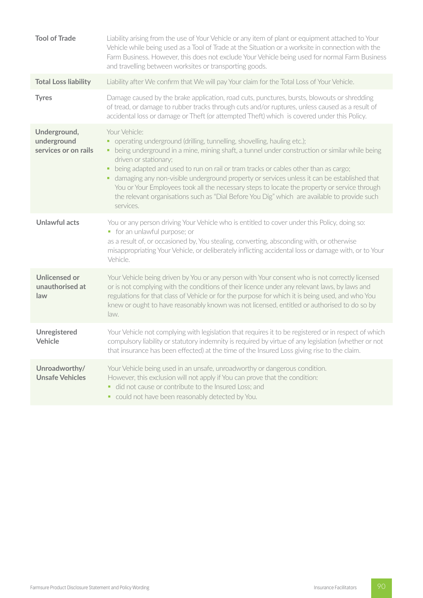| <b>Tool of Trade</b>                                | Liability arising from the use of Your Vehicle or any item of plant or equipment attached to Your<br>Vehicle while being used as a Tool of Trade at the Situation or a worksite in connection with the<br>Farm Business. However, this does not exclude Your Vehicle being used for normal Farm Business<br>and travelling between worksites or transporting goods.                                                                                                                                                                                                                                                       |
|-----------------------------------------------------|---------------------------------------------------------------------------------------------------------------------------------------------------------------------------------------------------------------------------------------------------------------------------------------------------------------------------------------------------------------------------------------------------------------------------------------------------------------------------------------------------------------------------------------------------------------------------------------------------------------------------|
| <b>Total Loss liability</b>                         | Liability after We confirm that We will pay Your claim for the Total Loss of Your Vehicle.                                                                                                                                                                                                                                                                                                                                                                                                                                                                                                                                |
| <b>Tyres</b>                                        | Damage caused by the brake application, road cuts, punctures, bursts, blowouts or shredding<br>of tread, or damage to rubber tracks through cuts and/or ruptures, unless caused as a result of<br>accidental loss or damage or Theft (or attempted Theft) which is covered under this Policy.                                                                                                                                                                                                                                                                                                                             |
| Underground,<br>underground<br>services or on rails | Your Vehicle:<br>• operating underground (drilling, tunnelling, shovelling, hauling etc.);<br>• being underground in a mine, mining shaft, a tunnel under construction or similar while being<br>driven or stationary;<br>being adapted and used to run on rail or tram tracks or cables other than as cargo;<br>damaging any non-visible underground property or services unless it can be established that<br>You or Your Employees took all the necessary steps to locate the property or service through<br>the relevant organisations such as "Dial Before You Dig" which are available to provide such<br>services. |
| <b>Unlawful acts</b>                                | You or any person driving Your Vehicle who is entitled to cover under this Policy, doing so:<br>• for an unlawful purpose; or<br>as a result of, or occasioned by, You stealing, converting, absconding with, or otherwise<br>misappropriating Your Vehicle, or deliberately inflicting accidental loss or damage with, or to Your<br>Vehicle.                                                                                                                                                                                                                                                                            |
| <b>Unlicensed or</b><br>unauthorised at<br>law      | Your Vehicle being driven by You or any person with Your consent who is not correctly licensed<br>or is not complying with the conditions of their licence under any relevant laws, by laws and<br>regulations for that class of Vehicle or for the purpose for which it is being used, and who You<br>knew or ought to have reasonably known was not licensed, entitled or authorised to do so by<br>law.                                                                                                                                                                                                                |
| Unregistered<br>Vehicle                             | Your Vehicle not complying with legislation that requires it to be registered or in respect of which<br>compulsory liability or statutory indemnity is required by virtue of any legislation (whether or not<br>that insurance has been effected) at the time of the Insured Loss giving rise to the claim.                                                                                                                                                                                                                                                                                                               |
| Unroadworthy/<br><b>Unsafe Vehicles</b>             | Your Vehicle being used in an unsafe, unroadworthy or dangerous condition.<br>However, this exclusion will not apply if You can prove that the condition:<br>did not cause or contribute to the Insured Loss; and<br>could not have been reasonably detected by You.                                                                                                                                                                                                                                                                                                                                                      |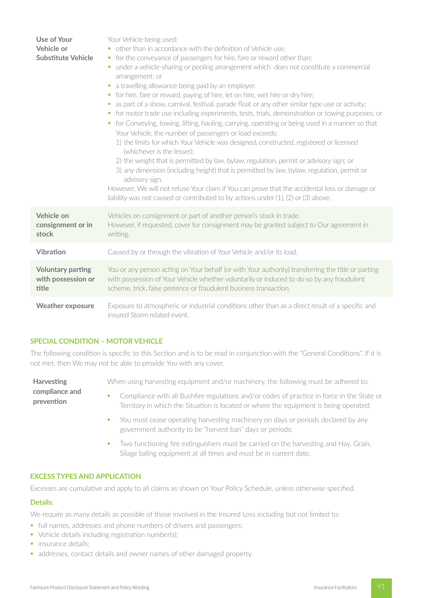| Use of Your<br>Vehicle or<br><b>Substitute Vehicle</b>  | Your Vehicle being used:<br>• other than in accordance with the definition of Vehicle use;<br>• for the conveyance of passengers for hire, fare or reward other than;<br>under a vehicle-sharing or pooling arrangement which does not constitute a commercial<br>u.<br>arrangement; or<br>• a travelling allowance being paid by an employer.<br>for hire, fare or reward, paying of hire, let on hire, wet hire or dry hire;<br>ш<br>as part of a show, carnival, festival, parade float or any other similar type use or activity;<br>• for motor trade use including experiments, tests, trials, demonstration or towing purposes; or<br>for Conveying, towing, lifting, hauling, carrying, operating or being used in a manner so that<br>ш<br>Your Vehicle, the number of passengers or load exceeds:<br>1) the limits for which Your Vehicle was designed, constructed, registered or licensed<br>(whichever is the lesser);<br>2) the weight that is permitted by law, bylaw, regulation, permit or advisory sign; or<br>3) any dimension (including height) that is permitted by law, bylaw, regulation, permit or<br>advisory sign.<br>However, We will not refuse Your claim if You can prove that the accidental loss or damage or<br>liability was not caused or contributed to by actions under (1), (2) or (3) above. |
|---------------------------------------------------------|--------------------------------------------------------------------------------------------------------------------------------------------------------------------------------------------------------------------------------------------------------------------------------------------------------------------------------------------------------------------------------------------------------------------------------------------------------------------------------------------------------------------------------------------------------------------------------------------------------------------------------------------------------------------------------------------------------------------------------------------------------------------------------------------------------------------------------------------------------------------------------------------------------------------------------------------------------------------------------------------------------------------------------------------------------------------------------------------------------------------------------------------------------------------------------------------------------------------------------------------------------------------------------------------------------------------------------------|
| Vehicle on<br>consignment or in<br>stock                | Vehicles on consignment or part of another person's stock in trade.<br>However, if requested, cover for consignment may be granted subject to Our agreement in<br>writing.                                                                                                                                                                                                                                                                                                                                                                                                                                                                                                                                                                                                                                                                                                                                                                                                                                                                                                                                                                                                                                                                                                                                                           |
| <b>Vibration</b>                                        | Caused by or through the vibration of Your Vehicle and/or its load.                                                                                                                                                                                                                                                                                                                                                                                                                                                                                                                                                                                                                                                                                                                                                                                                                                                                                                                                                                                                                                                                                                                                                                                                                                                                  |
| <b>Voluntary parting</b><br>with possession or<br>title | You or any person acting on Your behalf (or with Your authority) transferring the title or parting<br>with possession of Your Vehicle whether voluntarily or induced to do so by any fraudulent<br>scheme, trick, false pretence or fraudulent business transaction.                                                                                                                                                                                                                                                                                                                                                                                                                                                                                                                                                                                                                                                                                                                                                                                                                                                                                                                                                                                                                                                                 |
| <b>Weather exposure</b>                                 | Exposure to atmospheric or industrial conditions other than as a direct result of a specific and<br>insured Storm related event.                                                                                                                                                                                                                                                                                                                                                                                                                                                                                                                                                                                                                                                                                                                                                                                                                                                                                                                                                                                                                                                                                                                                                                                                     |

#### **SPECIAL CONDITION – MOTOR VEHICLE**

The following condition is specific to this Section and is to be read in conjunction with the "General Conditions". If it is not met, then We may not be able to provide You with any cover.

**Harvesting compliance and prevention** When using harvesting equipment and/or machinery, the following must be adhered to: • Compliance with all Bushfire regulations and/or codes of practice in force in the State or Territory in which the Situation is located or where the equipment is being operated;

- You must cease operating harvesting machinery on days or periods declared by any government authority to be "harvest ban" days or periods;
- Two functioning fire extinguishers must be carried on the harvesting and Hay, Grain, Silage baling equipment at all times and must be in current date.

#### **EXCESS TYPES AND APPLICATION**

Excesses are cumulative and apply to all claims as shown on Your Policy Schedule, unless otherwise specified.

#### **Details:**

We require as many details as possible of those involved in the Insured Loss including but not limited to:

- full names, addresses and phone numbers of drivers and passengers;
- Vehicle details including registration number(s);
- insurance details;
- addresses, contact details and owner names of other damaged property.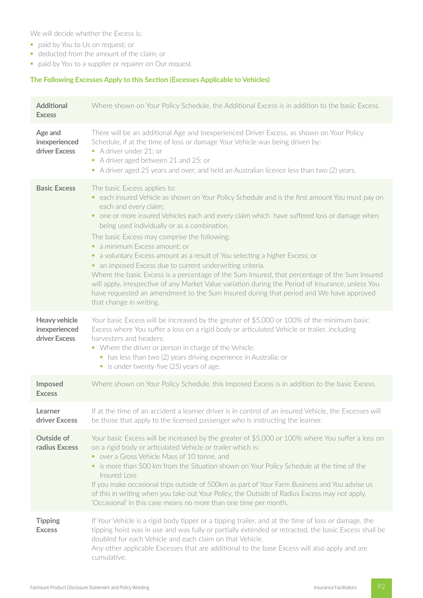We will decide whether the Excess is:

- § paid by You to Us on request; or
- § deducted from the amount of the claim; or
- paid by You to a supplier or repairer on Our request.

# **The Following Excesses Apply to this Section (Excesses Applicable to Vehicles)**

| <b>Additional</b><br><b>Excess</b>              | Where shown on Your Policy Schedule, the Additional Excess is in addition to the basic Excess.                                                                                                                                                                                                                                                                                                                                                                                                                                                                                                                                                                                                                                                                                                                                                                   |
|-------------------------------------------------|------------------------------------------------------------------------------------------------------------------------------------------------------------------------------------------------------------------------------------------------------------------------------------------------------------------------------------------------------------------------------------------------------------------------------------------------------------------------------------------------------------------------------------------------------------------------------------------------------------------------------------------------------------------------------------------------------------------------------------------------------------------------------------------------------------------------------------------------------------------|
| Age and<br>inexperienced<br>driver Excess       | There will be an additional Age and Inexperienced Driver Excess, as shown on Your Policy<br>Schedule, if at the time of loss or damage Your Vehicle was being driven by:<br>A driver under 21; or<br>A driver aged between 21 and 25; or<br>• A driver aged 25 years and over, and held an Australian licence less than two (2) years.                                                                                                                                                                                                                                                                                                                                                                                                                                                                                                                           |
| <b>Basic Excess</b>                             | The basic Excess applies to:<br>• each insured Vehicle as shown on Your Policy Schedule and is the first amount You must pay on<br>each and every claim;<br>• one or more insured Vehicles each and every claim which have suffered loss or damage when<br>being used individually or as a combination.<br>The basic Excess may comprise the following:<br>• a minimum Excess amount; or<br>• a voluntary Excess amount as a result of You selecting a higher Excess; or<br>• an imposed Excess due to current underwriting criteria.<br>Where the basic Excess is a percentage of the Sum Insured, that percentage of the Sum Insured<br>will apply, irrespective of any Market Value variation during the Period of Insurance, unless You<br>have requested an amendment to the Sum Insured during that period and We have approved<br>that change in writing. |
| Heavy vehicle<br>inexperienced<br>driver Excess | Your basic Excess will be increased by the greater of \$5,000 or 100% of the minimum basic<br>Excess where You suffer a loss on a rigid body or articulated Vehicle or trailer, including<br>harvesters and headers:<br>• Where the driver or person in charge of the Vehicle:<br>• has less than two (2) years driving experience in Australia; or<br>• is under twenty-five (25) years of age.                                                                                                                                                                                                                                                                                                                                                                                                                                                                 |
| Imposed<br><b>Excess</b>                        | Where shown on Your Policy Schedule, this Imposed Excess is in addition to the basic Excess.                                                                                                                                                                                                                                                                                                                                                                                                                                                                                                                                                                                                                                                                                                                                                                     |
| Learner<br>driver Excess                        | If at the time of an accident a learner driver is in control of an insured Vehicle, the Excesses will<br>be those that apply to the licensed passenger who is instructing the learner.                                                                                                                                                                                                                                                                                                                                                                                                                                                                                                                                                                                                                                                                           |
| <b>Outside of</b><br>radius Excess              | Your basic Excess will be increased by the greater of \$5,000 or 100% where You suffer a loss on<br>on a rigid body or articulated Vehicle or trailer which is:<br>• over a Gross Vehicle Mass of 10 tonne, and<br>• is more than 500 km from the Situation shown on Your Policy Schedule at the time of the<br>Insured Loss<br>If you make occasional trips outside of 500km as part of Your Farm Business and You advise us<br>of this in writing when you take out Your Policy, the Outside of Radius Excess may not apply.<br>'Occasional' in this case means no more than one time per month.                                                                                                                                                                                                                                                               |
| <b>Tipping</b><br><b>Excess</b>                 | If Your Vehicle is a rigid body tipper or a tipping trailer, and at the time of loss or damage, the<br>tipping hoist was in use and was fully or partially extended or retracted, the basic Excess shall be<br>doubled for each Vehicle and each claim on that Vehicle.<br>Any other applicable Excesses that are additional to the base Excess will also apply and are<br>cumulative.                                                                                                                                                                                                                                                                                                                                                                                                                                                                           |